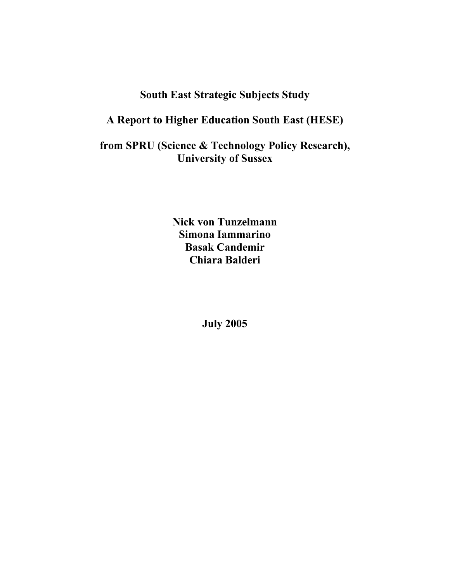# **South East Strategic Subjects Study**

# **A Report to Higher Education South East (HESE)**

**from SPRU (Science & Technology Policy Research), University of Sussex** 

> **Nick von Tunzelmann Simona Iammarino Basak Candemir Chiara Balderi**

> > **July 2005**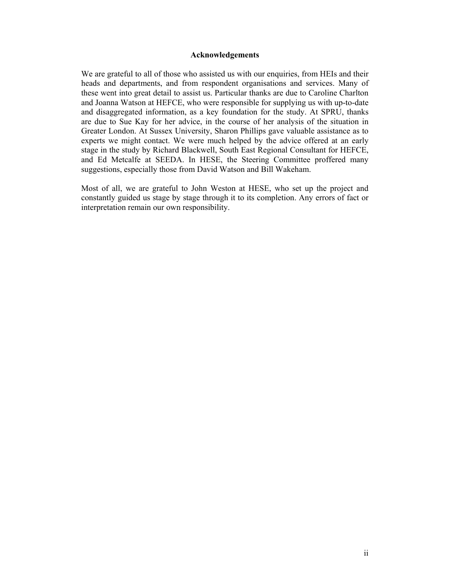#### **Acknowledgements**

We are grateful to all of those who assisted us with our enquiries, from HEIs and their heads and departments, and from respondent organisations and services. Many of these went into great detail to assist us. Particular thanks are due to Caroline Charlton and Joanna Watson at HEFCE, who were responsible for supplying us with up-to-date and disaggregated information, as a key foundation for the study. At SPRU, thanks are due to Sue Kay for her advice, in the course of her analysis of the situation in Greater London. At Sussex University, Sharon Phillips gave valuable assistance as to experts we might contact. We were much helped by the advice offered at an early stage in the study by Richard Blackwell, South East Regional Consultant for HEFCE, and Ed Metcalfe at SEEDA. In HESE, the Steering Committee proffered many suggestions, especially those from David Watson and Bill Wakeham.

Most of all, we are grateful to John Weston at HESE, who set up the project and constantly guided us stage by stage through it to its completion. Any errors of fact or interpretation remain our own responsibility.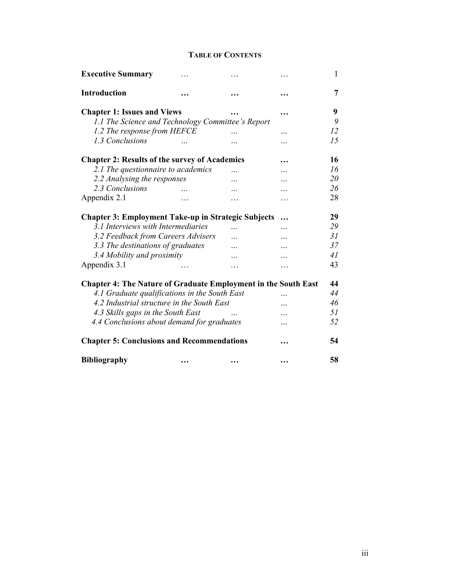# **TABLE OF CONTENTS**

| <b>Executive Summary</b>                                              | .                           | .         | .         | $\mathbf{1}$ |
|-----------------------------------------------------------------------|-----------------------------|-----------|-----------|--------------|
| Introduction                                                          |                             |           |           | 7            |
| <b>Chapter 1: Issues and Views</b>                                    |                             |           | $\ddotsc$ | 9            |
| 1.1 The Science and Technology Committee's Report                     |                             |           |           | 9            |
| 1.2 The response from HEFCE                                           |                             |           | $\ddotsc$ | 12           |
| 1.3 Conclusions                                                       |                             | .         | .         | 15           |
| <b>Chapter 2: Results of the survey of Academics</b>                  |                             |           |           | 16           |
| 2.1 The questionnaire to academics                                    |                             | $\ddotsc$ | .         | 16           |
| 2.2 Analysing the responses                                           |                             | .         | .         | 20           |
| 2.3 Conclusions                                                       |                             | .         | .         | 26           |
| Appendix 2.1                                                          | .                           | $\cdots$  | .         | 28           |
| <b>Chapter 3: Employment Take-up in Strategic Subjects</b>            |                             |           |           | 29           |
| 3.1 Interviews with Intermediaries                                    |                             | $\cdots$  | .         | 29           |
| 3.2 Feedback from Careers Advisers                                    |                             | .         | .         | 31           |
| 3.3 The destinations of graduates                                     |                             | $\ddotsc$ | .         | 37           |
| 3.4 Mobility and proximity                                            |                             | .         | .         | 41           |
| Appendix 3.1                                                          | $\sim$ $\sim$ $\sim$ $\sim$ | $\cdots$  | .         | 43           |
| <b>Chapter 4: The Nature of Graduate Employment in the South East</b> |                             |           |           | 44           |
| 4.1 Graduate qualifications in the South East                         |                             |           | .         | 44           |
| 4.2 Industrial structure in the South East                            |                             |           |           | 46           |
| 4.3 Skills gaps in the South East                                     |                             |           | $\cdots$  | 51           |
| 4.4 Conclusions about demand for graduates                            |                             |           | .         | 52           |
| <b>Chapter 5: Conclusions and Recommendations</b>                     |                             |           |           | 54           |
| <b>Bibliography</b>                                                   | $\ddotsc$                   | $\ddotsc$ |           | 58           |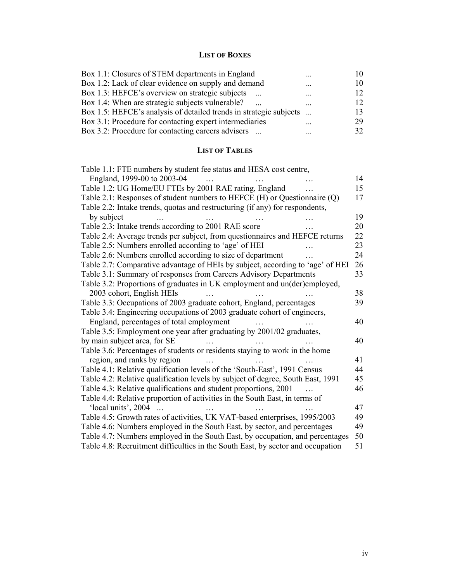# **LIST OF BOXES**

| $\ddotsc$                                                          |    |
|--------------------------------------------------------------------|----|
| $\ddotsc$                                                          |    |
| $\cdots$                                                           | 12 |
|                                                                    | 12 |
| Box 1.5: HEFCE's analysis of detailed trends in strategic subjects | 13 |
| $\ddotsc$                                                          | 29 |
| $\ddotsc$                                                          | 32 |
|                                                                    |    |

# **LIST OF TABLES**

| Table 1.1: FTE numbers by student fee status and HESA cost centre,              |    |
|---------------------------------------------------------------------------------|----|
| England, 1999-00 to 2003-04                                                     | 14 |
| Table 1.2: UG Home/EU FTEs by 2001 RAE rating, England                          | 15 |
| Table 2.1: Responses of student numbers to HEFCE $(H)$ or Questionnaire $(Q)$   | 17 |
| Table 2.2: Intake trends, quotas and restructuring (if any) for respondents,    |    |
| by subject                                                                      | 19 |
| Table 2.3: Intake trends according to 2001 RAE score                            | 20 |
| Table 2.4: Average trends per subject, from questionnaires and HEFCE returns    | 22 |
| Table 2.5: Numbers enrolled according to 'age' of HEI                           | 23 |
| Table 2.6: Numbers enrolled according to size of department                     | 24 |
| Table 2.7: Comparative advantage of HEIs by subject, according to 'age' of HEI  | 26 |
| Table 3.1: Summary of responses from Careers Advisory Departments               | 33 |
| Table 3.2: Proportions of graduates in UK employment and un(der)employed,       |    |
| 2003 cohort, English HEIs                                                       | 38 |
| Table 3.3: Occupations of 2003 graduate cohort, England, percentages            | 39 |
| Table 3.4: Engineering occupations of 2003 graduate cohort of engineers,        |    |
| England, percentages of total employment                                        | 40 |
| Table 3.5: Employment one year after graduating by 2001/02 graduates,           |    |
| by main subject area, for SE                                                    | 40 |
| Table 3.6: Percentages of students or residents staying to work in the home     |    |
| region, and ranks by region                                                     | 41 |
| Table 4.1: Relative qualification levels of the 'South-East', 1991 Census       | 44 |
| Table 4.2: Relative qualification levels by subject of degree, South East, 1991 | 45 |
| Table 4.3: Relative qualifications and student proportions, 2001                | 46 |
| Table 4.4: Relative proportion of activities in the South East, in terms of     |    |
| 'local units', 2004                                                             | 47 |
| Table 4.5: Growth rates of activities, UK VAT-based enterprises, 1995/2003      | 49 |
| Table 4.6: Numbers employed in the South East, by sector, and percentages       | 49 |
| Table 4.7: Numbers employed in the South East, by occupation, and percentages   | 50 |
| Table 4.8: Recruitment difficulties in the South East, by sector and occupation | 51 |
|                                                                                 |    |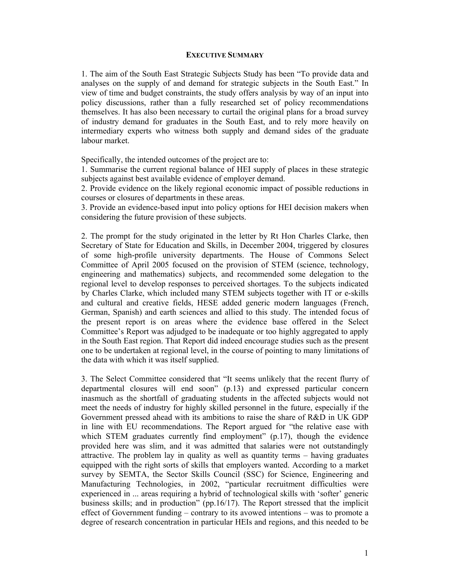## **EXECUTIVE SUMMARY**

1. The aim of the South East Strategic Subjects Study has been "To provide data and analyses on the supply of and demand for strategic subjects in the South East." In view of time and budget constraints, the study offers analysis by way of an input into policy discussions, rather than a fully researched set of policy recommendations themselves. It has also been necessary to curtail the original plans for a broad survey of industry demand for graduates in the South East, and to rely more heavily on intermediary experts who witness both supply and demand sides of the graduate labour market.

Specifically, the intended outcomes of the project are to:

1. Summarise the current regional balance of HEI supply of places in these strategic subjects against best available evidence of employer demand.

2. Provide evidence on the likely regional economic impact of possible reductions in courses or closures of departments in these areas.

3. Provide an evidence-based input into policy options for HEI decision makers when considering the future provision of these subjects.

2. The prompt for the study originated in the letter by Rt Hon Charles Clarke, then Secretary of State for Education and Skills, in December 2004, triggered by closures of some high-profile university departments. The House of Commons Select Committee of April 2005 focused on the provision of STEM (science, technology, engineering and mathematics) subjects, and recommended some delegation to the regional level to develop responses to perceived shortages. To the subjects indicated by Charles Clarke, which included many STEM subjects together with IT or e-skills and cultural and creative fields, HESE added generic modern languages (French, German, Spanish) and earth sciences and allied to this study. The intended focus of the present report is on areas where the evidence base offered in the Select Committee's Report was adjudged to be inadequate or too highly aggregated to apply in the South East region. That Report did indeed encourage studies such as the present one to be undertaken at regional level, in the course of pointing to many limitations of the data with which it was itself supplied.

3. The Select Committee considered that "It seems unlikely that the recent flurry of departmental closures will end soon" (p.13) and expressed particular concern inasmuch as the shortfall of graduating students in the affected subjects would not meet the needs of industry for highly skilled personnel in the future, especially if the Government pressed ahead with its ambitions to raise the share of R&D in UK GDP in line with EU recommendations. The Report argued for "the relative ease with which STEM graduates currently find employment" (p.17), though the evidence provided here was slim, and it was admitted that salaries were not outstandingly attractive. The problem lay in quality as well as quantity terms – having graduates equipped with the right sorts of skills that employers wanted. According to a market survey by SEMTA, the Sector Skills Council (SSC) for Science, Engineering and Manufacturing Technologies, in 2002, "particular recruitment difficulties were experienced in ... areas requiring a hybrid of technological skills with 'softer' generic business skills; and in production" (pp.16/17). The Report stressed that the implicit effect of Government funding – contrary to its avowed intentions – was to promote a degree of research concentration in particular HEIs and regions, and this needed to be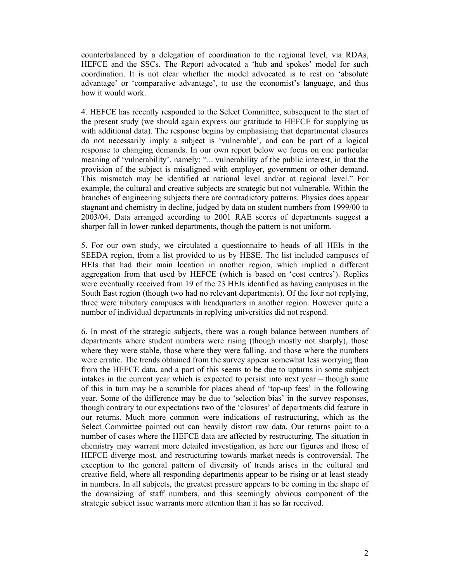counterbalanced by a delegation of coordination to the regional level, via RDAs, HEFCE and the SSCs. The Report advocated a 'hub and spokes' model for such coordination. It is not clear whether the model advocated is to rest on 'absolute advantage' or 'comparative advantage', to use the economist's language, and thus how it would work.

4. HEFCE has recently responded to the Select Committee, subsequent to the start of the present study (we should again express our gratitude to HEFCE for supplying us with additional data). The response begins by emphasising that departmental closures do not necessarily imply a subject is 'vulnerable', and can be part of a logical response to changing demands. In our own report below we focus on one particular meaning of 'vulnerability', namely: "... vulnerability of the public interest, in that the provision of the subject is misaligned with employer, government or other demand. This mismatch may be identified at national level and/or at regional level." For example, the cultural and creative subjects are strategic but not vulnerable. Within the branches of engineering subjects there are contradictory patterns. Physics does appear stagnant and chemistry in decline, judged by data on student numbers from 1999/00 to 2003/04. Data arranged according to 2001 RAE scores of departments suggest a sharper fall in lower-ranked departments, though the pattern is not uniform.

5. For our own study, we circulated a questionnaire to heads of all HEIs in the SEEDA region, from a list provided to us by HESE. The list included campuses of HEIs that had their main location in another region, which implied a different aggregation from that used by HEFCE (which is based on 'cost centres'). Replies were eventually received from 19 of the 23 HEIs identified as having campuses in the South East region (though two had no relevant departments). Of the four not replying, three were tributary campuses with headquarters in another region. However quite a number of individual departments in replying universities did not respond.

6. In most of the strategic subjects, there was a rough balance between numbers of departments where student numbers were rising (though mostly not sharply), those where they were stable, those where they were falling, and those where the numbers were erratic. The trends obtained from the survey appear somewhat less worrying than from the HEFCE data, and a part of this seems to be due to upturns in some subject intakes in the current year which is expected to persist into next year – though some of this in turn may be a scramble for places ahead of 'top-up fees' in the following year. Some of the difference may be due to 'selection bias' in the survey responses, though contrary to our expectations two of the 'closures' of departments did feature in our returns. Much more common were indications of restructuring, which as the Select Committee pointed out can heavily distort raw data. Our returns point to a number of cases where the HEFCE data are affected by restructuring. The situation in chemistry may warrant more detailed investigation, as here our figures and those of HEFCE diverge most, and restructuring towards market needs is controversial. The exception to the general pattern of diversity of trends arises in the cultural and creative field, where all responding departments appear to be rising or at least steady in numbers. In all subjects, the greatest pressure appears to be coming in the shape of the downsizing of staff numbers, and this seemingly obvious component of the strategic subject issue warrants more attention than it has so far received.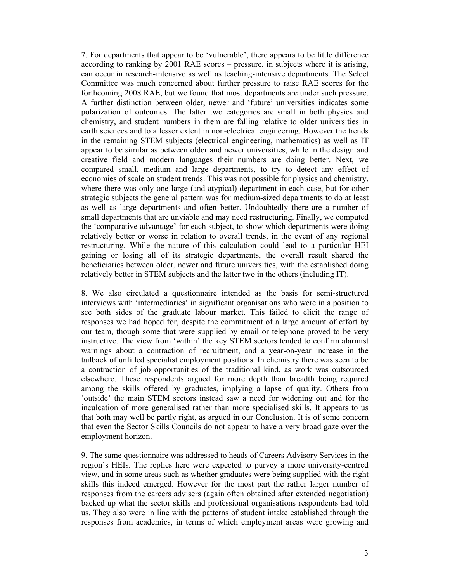7. For departments that appear to be 'vulnerable', there appears to be little difference according to ranking by 2001 RAE scores – pressure, in subjects where it is arising, can occur in research-intensive as well as teaching-intensive departments. The Select Committee was much concerned about further pressure to raise RAE scores for the forthcoming 2008 RAE, but we found that most departments are under such pressure. A further distinction between older, newer and 'future' universities indicates some polarization of outcomes. The latter two categories are small in both physics and chemistry, and student numbers in them are falling relative to older universities in earth sciences and to a lesser extent in non-electrical engineering. However the trends in the remaining STEM subjects (electrical engineering, mathematics) as well as IT appear to be similar as between older and newer universities, while in the design and creative field and modern languages their numbers are doing better. Next, we compared small, medium and large departments, to try to detect any effect of economies of scale on student trends. This was not possible for physics and chemistry, where there was only one large (and atypical) department in each case, but for other strategic subjects the general pattern was for medium-sized departments to do at least as well as large departments and often better. Undoubtedly there are a number of small departments that are unviable and may need restructuring. Finally, we computed the 'comparative advantage' for each subject, to show which departments were doing relatively better or worse in relation to overall trends, in the event of any regional restructuring. While the nature of this calculation could lead to a particular HEI gaining or losing all of its strategic departments, the overall result shared the beneficiaries between older, newer and future universities, with the established doing relatively better in STEM subjects and the latter two in the others (including IT).

8. We also circulated a questionnaire intended as the basis for semi-structured interviews with 'intermediaries' in significant organisations who were in a position to see both sides of the graduate labour market. This failed to elicit the range of responses we had hoped for, despite the commitment of a large amount of effort by our team, though some that were supplied by email or telephone proved to be very instructive. The view from 'within' the key STEM sectors tended to confirm alarmist warnings about a contraction of recruitment, and a year-on-year increase in the tailback of unfilled specialist employment positions. In chemistry there was seen to be a contraction of job opportunities of the traditional kind, as work was outsourced elsewhere. These respondents argued for more depth than breadth being required among the skills offered by graduates, implying a lapse of quality. Others from 'outside' the main STEM sectors instead saw a need for widening out and for the inculcation of more generalised rather than more specialised skills. It appears to us that both may well be partly right, as argued in our Conclusion. It is of some concern that even the Sector Skills Councils do not appear to have a very broad gaze over the employment horizon.

9. The same questionnaire was addressed to heads of Careers Advisory Services in the region's HEIs. The replies here were expected to purvey a more university-centred view, and in some areas such as whether graduates were being supplied with the right skills this indeed emerged. However for the most part the rather larger number of responses from the careers advisers (again often obtained after extended negotiation) backed up what the sector skills and professional organisations respondents had told us. They also were in line with the patterns of student intake established through the responses from academics, in terms of which employment areas were growing and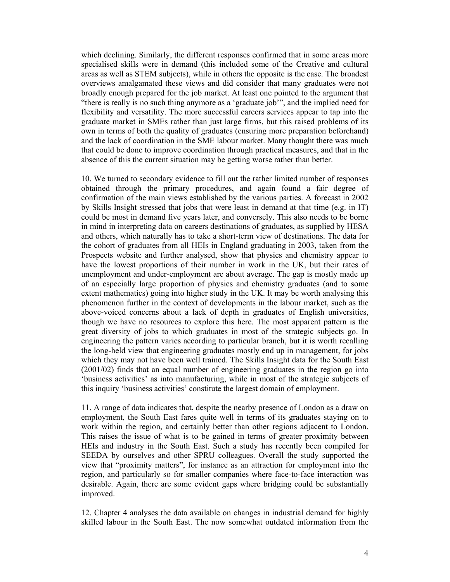which declining. Similarly, the different responses confirmed that in some areas more specialised skills were in demand (this included some of the Creative and cultural areas as well as STEM subjects), while in others the opposite is the case. The broadest overviews amalgamated these views and did consider that many graduates were not broadly enough prepared for the job market. At least one pointed to the argument that "there is really is no such thing anymore as a 'graduate job'", and the implied need for flexibility and versatility. The more successful careers services appear to tap into the graduate market in SMEs rather than just large firms, but this raised problems of its own in terms of both the quality of graduates (ensuring more preparation beforehand) and the lack of coordination in the SME labour market. Many thought there was much that could be done to improve coordination through practical measures, and that in the absence of this the current situation may be getting worse rather than better.

10. We turned to secondary evidence to fill out the rather limited number of responses obtained through the primary procedures, and again found a fair degree of confirmation of the main views established by the various parties. A forecast in 2002 by Skills Insight stressed that jobs that were least in demand at that time (e.g. in IT) could be most in demand five years later, and conversely. This also needs to be borne in mind in interpreting data on careers destinations of graduates, as supplied by HESA and others, which naturally has to take a short-term view of destinations. The data for the cohort of graduates from all HEIs in England graduating in 2003, taken from the Prospects website and further analysed, show that physics and chemistry appear to have the lowest proportions of their number in work in the UK, but their rates of unemployment and under-employment are about average. The gap is mostly made up of an especially large proportion of physics and chemistry graduates (and to some extent mathematics) going into higher study in the UK. It may be worth analysing this phenomenon further in the context of developments in the labour market, such as the above-voiced concerns about a lack of depth in graduates of English universities, though we have no resources to explore this here. The most apparent pattern is the great diversity of jobs to which graduates in most of the strategic subjects go. In engineering the pattern varies according to particular branch, but it is worth recalling the long-held view that engineering graduates mostly end up in management, for jobs which they may not have been well trained. The Skills Insight data for the South East (2001/02) finds that an equal number of engineering graduates in the region go into 'business activities' as into manufacturing, while in most of the strategic subjects of this inquiry 'business activities' constitute the largest domain of employment.

11. A range of data indicates that, despite the nearby presence of London as a draw on employment, the South East fares quite well in terms of its graduates staying on to work within the region, and certainly better than other regions adjacent to London. This raises the issue of what is to be gained in terms of greater proximity between HEIs and industry in the South East. Such a study has recently been compiled for SEEDA by ourselves and other SPRU colleagues. Overall the study supported the view that "proximity matters", for instance as an attraction for employment into the region, and particularly so for smaller companies where face-to-face interaction was desirable. Again, there are some evident gaps where bridging could be substantially improved.

12. Chapter 4 analyses the data available on changes in industrial demand for highly skilled labour in the South East. The now somewhat outdated information from the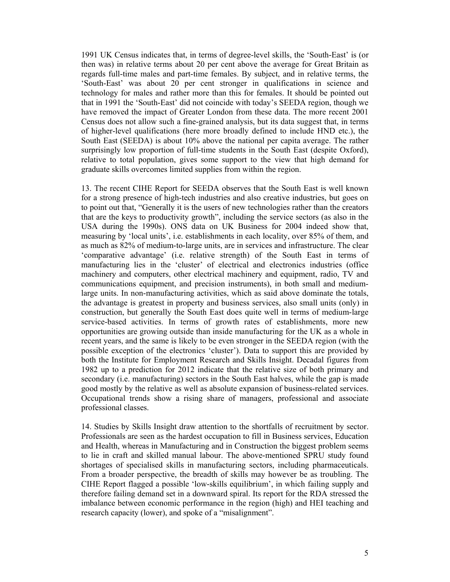1991 UK Census indicates that, in terms of degree-level skills, the 'South-East' is (or then was) in relative terms about 20 per cent above the average for Great Britain as regards full-time males and part-time females. By subject, and in relative terms, the 'South-East' was about 20 per cent stronger in qualifications in science and technology for males and rather more than this for females. It should be pointed out that in 1991 the 'South-East' did not coincide with today's SEEDA region, though we have removed the impact of Greater London from these data. The more recent 2001 Census does not allow such a fine-grained analysis, but its data suggest that, in terms of higher-level qualifications (here more broadly defined to include HND etc.), the South East (SEEDA) is about 10% above the national per capita average. The rather surprisingly low proportion of full-time students in the South East (despite Oxford), relative to total population, gives some support to the view that high demand for graduate skills overcomes limited supplies from within the region.

13. The recent CIHE Report for SEEDA observes that the South East is well known for a strong presence of high-tech industries and also creative industries, but goes on to point out that, "Generally it is the users of new technologies rather than the creators that are the keys to productivity growth", including the service sectors (as also in the USA during the 1990s). ONS data on UK Business for 2004 indeed show that, measuring by 'local units', i.e. establishments in each locality, over 85% of them, and as much as 82% of medium-to-large units, are in services and infrastructure. The clear 'comparative advantage' (i.e. relative strength) of the South East in terms of manufacturing lies in the 'cluster' of electrical and electronics industries (office machinery and computers, other electrical machinery and equipment, radio, TV and communications equipment, and precision instruments), in both small and mediumlarge units. In non-manufacturing activities, which as said above dominate the totals, the advantage is greatest in property and business services, also small units (only) in construction, but generally the South East does quite well in terms of medium-large service-based activities. In terms of growth rates of establishments, more new opportunities are growing outside than inside manufacturing for the UK as a whole in recent years, and the same is likely to be even stronger in the SEEDA region (with the possible exception of the electronics 'cluster'). Data to support this are provided by both the Institute for Employment Research and Skills Insight. Decadal figures from 1982 up to a prediction for 2012 indicate that the relative size of both primary and secondary (i.e. manufacturing) sectors in the South East halves, while the gap is made good mostly by the relative as well as absolute expansion of business-related services. Occupational trends show a rising share of managers, professional and associate professional classes.

14. Studies by Skills Insight draw attention to the shortfalls of recruitment by sector. Professionals are seen as the hardest occupation to fill in Business services, Education and Health, whereas in Manufacturing and in Construction the biggest problem seems to lie in craft and skilled manual labour. The above-mentioned SPRU study found shortages of specialised skills in manufacturing sectors, including pharmaceuticals. From a broader perspective, the breadth of skills may however be as troubling. The CIHE Report flagged a possible 'low-skills equilibrium', in which failing supply and therefore failing demand set in a downward spiral. Its report for the RDA stressed the imbalance between economic performance in the region (high) and HEI teaching and research capacity (lower), and spoke of a "misalignment".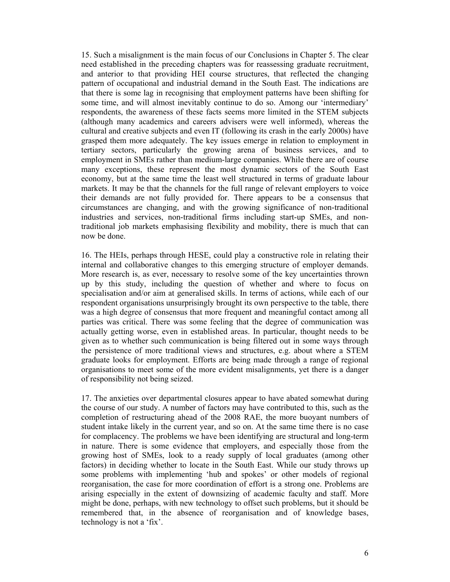15. Such a misalignment is the main focus of our Conclusions in Chapter 5. The clear need established in the preceding chapters was for reassessing graduate recruitment, and anterior to that providing HEI course structures, that reflected the changing pattern of occupational and industrial demand in the South East. The indications are that there is some lag in recognising that employment patterns have been shifting for some time, and will almost inevitably continue to do so. Among our 'intermediary' respondents, the awareness of these facts seems more limited in the STEM subjects (although many academics and careers advisers were well informed), whereas the cultural and creative subjects and even IT (following its crash in the early 2000s) have grasped them more adequately. The key issues emerge in relation to employment in tertiary sectors, particularly the growing arena of business services, and to employment in SMEs rather than medium-large companies. While there are of course many exceptions, these represent the most dynamic sectors of the South East economy, but at the same time the least well structured in terms of graduate labour markets. It may be that the channels for the full range of relevant employers to voice their demands are not fully provided for. There appears to be a consensus that circumstances are changing, and with the growing significance of non-traditional industries and services, non-traditional firms including start-up SMEs, and nontraditional job markets emphasising flexibility and mobility, there is much that can now be done.

16. The HEIs, perhaps through HESE, could play a constructive role in relating their internal and collaborative changes to this emerging structure of employer demands. More research is, as ever, necessary to resolve some of the key uncertainties thrown up by this study, including the question of whether and where to focus on specialisation and/or aim at generalised skills. In terms of actions, while each of our respondent organisations unsurprisingly brought its own perspective to the table, there was a high degree of consensus that more frequent and meaningful contact among all parties was critical. There was some feeling that the degree of communication was actually getting worse, even in established areas. In particular, thought needs to be given as to whether such communication is being filtered out in some ways through the persistence of more traditional views and structures, e.g. about where a STEM graduate looks for employment. Efforts are being made through a range of regional organisations to meet some of the more evident misalignments, yet there is a danger of responsibility not being seized.

17. The anxieties over departmental closures appear to have abated somewhat during the course of our study. A number of factors may have contributed to this, such as the completion of restructuring ahead of the 2008 RAE, the more buoyant numbers of student intake likely in the current year, and so on. At the same time there is no case for complacency. The problems we have been identifying are structural and long-term in nature. There is some evidence that employers, and especially those from the growing host of SMEs, look to a ready supply of local graduates (among other factors) in deciding whether to locate in the South East. While our study throws up some problems with implementing 'hub and spokes' or other models of regional reorganisation, the case for more coordination of effort is a strong one. Problems are arising especially in the extent of downsizing of academic faculty and staff. More might be done, perhaps, with new technology to offset such problems, but it should be remembered that, in the absence of reorganisation and of knowledge bases, technology is not a 'fix'.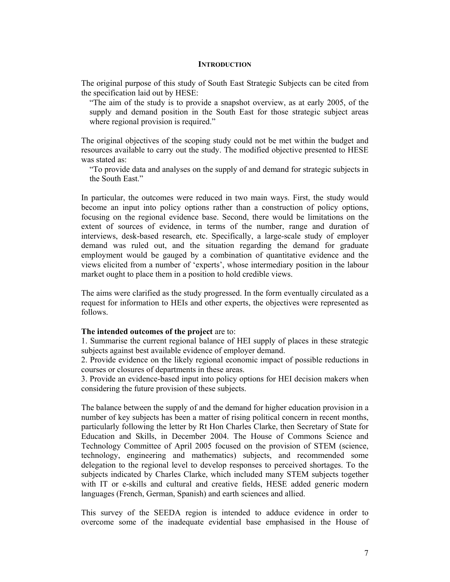#### **INTRODUCTION**

The original purpose of this study of South East Strategic Subjects can be cited from the specification laid out by HESE:

"The aim of the study is to provide a snapshot overview, as at early 2005, of the supply and demand position in the South East for those strategic subject areas where regional provision is required."

The original objectives of the scoping study could not be met within the budget and resources available to carry out the study. The modified objective presented to HESE was stated as:

"To provide data and analyses on the supply of and demand for strategic subjects in the South East."

In particular, the outcomes were reduced in two main ways. First, the study would become an input into policy options rather than a construction of policy options, focusing on the regional evidence base. Second, there would be limitations on the extent of sources of evidence, in terms of the number, range and duration of interviews, desk-based research, etc. Specifically, a large-scale study of employer demand was ruled out, and the situation regarding the demand for graduate employment would be gauged by a combination of quantitative evidence and the views elicited from a number of 'experts', whose intermediary position in the labour market ought to place them in a position to hold credible views.

The aims were clarified as the study progressed. In the form eventually circulated as a request for information to HEIs and other experts, the objectives were represented as follows.

#### **The intended outcomes of the project** are to:

1. Summarise the current regional balance of HEI supply of places in these strategic subjects against best available evidence of employer demand.

2. Provide evidence on the likely regional economic impact of possible reductions in courses or closures of departments in these areas.

3. Provide an evidence-based input into policy options for HEI decision makers when considering the future provision of these subjects.

The balance between the supply of and the demand for higher education provision in a number of key subjects has been a matter of rising political concern in recent months, particularly following the letter by Rt Hon Charles Clarke, then Secretary of State for Education and Skills, in December 2004. The House of Commons Science and Technology Committee of April 2005 focused on the provision of STEM (science, technology, engineering and mathematics) subjects, and recommended some delegation to the regional level to develop responses to perceived shortages. To the subjects indicated by Charles Clarke, which included many STEM subjects together with IT or e-skills and cultural and creative fields, HESE added generic modern languages (French, German, Spanish) and earth sciences and allied.

This survey of the SEEDA region is intended to adduce evidence in order to overcome some of the inadequate evidential base emphasised in the House of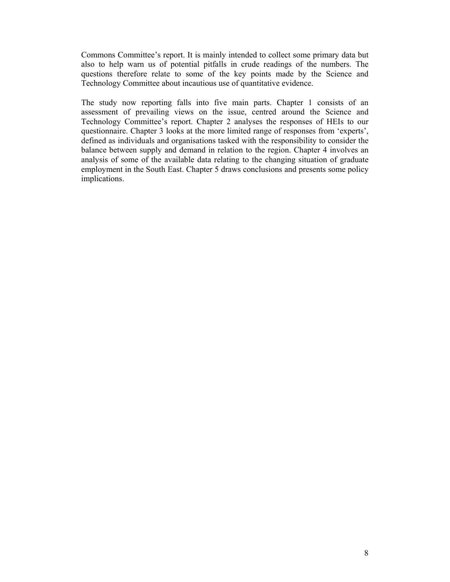Commons Committee's report. It is mainly intended to collect some primary data but also to help warn us of potential pitfalls in crude readings of the numbers. The questions therefore relate to some of the key points made by the Science and Technology Committee about incautious use of quantitative evidence.

The study now reporting falls into five main parts. Chapter 1 consists of an assessment of prevailing views on the issue, centred around the Science and Technology Committee's report. Chapter 2 analyses the responses of HEIs to our questionnaire. Chapter 3 looks at the more limited range of responses from 'experts', defined as individuals and organisations tasked with the responsibility to consider the balance between supply and demand in relation to the region. Chapter 4 involves an analysis of some of the available data relating to the changing situation of graduate employment in the South East. Chapter 5 draws conclusions and presents some policy implications.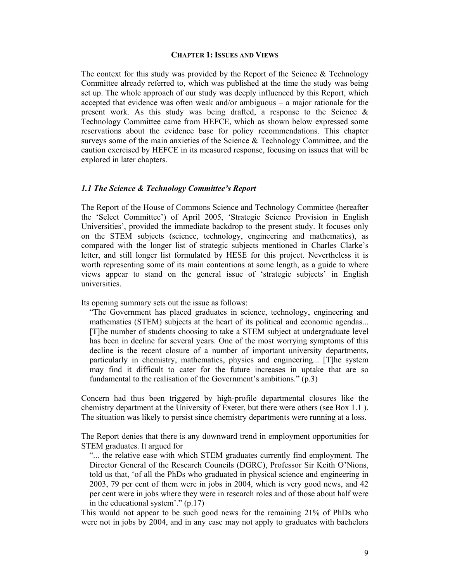#### **CHAPTER 1: ISSUES AND VIEWS**

The context for this study was provided by the Report of the Science  $\&$  Technology Committee already referred to, which was published at the time the study was being set up. The whole approach of our study was deeply influenced by this Report, which accepted that evidence was often weak and/or ambiguous – a major rationale for the present work. As this study was being drafted, a response to the Science  $\&$ Technology Committee came from HEFCE, which as shown below expressed some reservations about the evidence base for policy recommendations. This chapter surveys some of the main anxieties of the Science & Technology Committee, and the caution exercised by HEFCE in its measured response, focusing on issues that will be explored in later chapters.

#### *1.1 The Science & Technology Committee's Report*

The Report of the House of Commons Science and Technology Committee (hereafter the 'Select Committee') of April 2005, 'Strategic Science Provision in English Universities', provided the immediate backdrop to the present study. It focuses only on the STEM subjects (science, technology, engineering and mathematics), as compared with the longer list of strategic subjects mentioned in Charles Clarke's letter, and still longer list formulated by HESE for this project. Nevertheless it is worth representing some of its main contentions at some length, as a guide to where views appear to stand on the general issue of 'strategic subjects' in English universities.

Its opening summary sets out the issue as follows:

"The Government has placed graduates in science, technology, engineering and mathematics (STEM) subjects at the heart of its political and economic agendas... [T]he number of students choosing to take a STEM subject at undergraduate level has been in decline for several years. One of the most worrying symptoms of this decline is the recent closure of a number of important university departments, particularly in chemistry, mathematics, physics and engineering... [T]he system may find it difficult to cater for the future increases in uptake that are so fundamental to the realisation of the Government's ambitions." (p.3)

Concern had thus been triggered by high-profile departmental closures like the chemistry department at the University of Exeter, but there were others (see Box 1.1 ). The situation was likely to persist since chemistry departments were running at a loss.

The Report denies that there is any downward trend in employment opportunities for STEM graduates. It argued for

"... the relative ease with which STEM graduates currently find employment. The Director General of the Research Councils (DGRC), Professor Sir Keith O'Nions, told us that, 'of all the PhDs who graduated in physical science and engineering in 2003, 79 per cent of them were in jobs in 2004, which is very good news, and 42 per cent were in jobs where they were in research roles and of those about half were in the educational system'." (p.17)

This would not appear to be such good news for the remaining 21% of PhDs who were not in jobs by 2004, and in any case may not apply to graduates with bachelors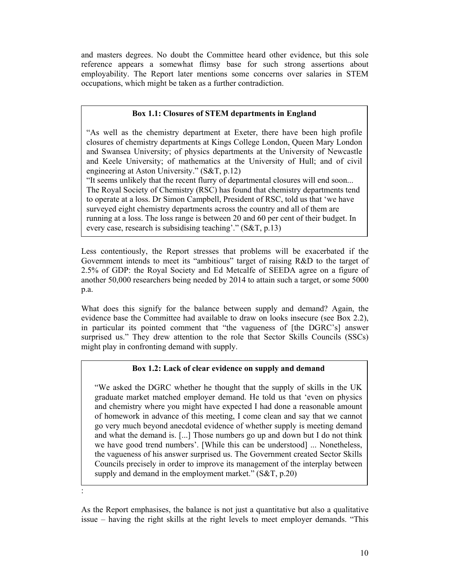and masters degrees. No doubt the Committee heard other evidence, but this sole reference appears a somewhat flimsy base for such strong assertions about employability. The Report later mentions some concerns over salaries in STEM occupations, which might be taken as a further contradiction.

# **Box 1.1: Closures of STEM departments in England**

"As well as the chemistry department at Exeter, there have been high profile closures of chemistry departments at Kings College London, Queen Mary London and Swansea University; of physics departments at the University of Newcastle and Keele University; of mathematics at the University of Hull; and of civil engineering at Aston University." (S&T, p.12)

"It seems unlikely that the recent flurry of departmental closures will end soon... The Royal Society of Chemistry (RSC) has found that chemistry departments tend to operate at a loss. Dr Simon Campbell, President of RSC, told us that 'we have surveyed eight chemistry departments across the country and all of them are running at a loss. The loss range is between 20 and 60 per cent of their budget. In every case, research is subsidising teaching'." (S&T, p.13)

Less contentiously, the Report stresses that problems will be exacerbated if the Government intends to meet its "ambitious" target of raising R&D to the target of 2.5% of GDP: the Royal Society and Ed Metcalfe of SEEDA agree on a figure of another 50,000 researchers being needed by 2014 to attain such a target, or some 5000 p.a.

What does this signify for the balance between supply and demand? Again, the evidence base the Committee had available to draw on looks insecure (see Box 2.2), in particular its pointed comment that "the vagueness of [the DGRC's] answer surprised us." They drew attention to the role that Sector Skills Councils (SSCs) might play in confronting demand with supply.

# **Box 1.2: Lack of clear evidence on supply and demand**

"We asked the DGRC whether he thought that the supply of skills in the UK graduate market matched employer demand. He told us that 'even on physics and chemistry where you might have expected I had done a reasonable amount of homework in advance of this meeting, I come clean and say that we cannot go very much beyond anecdotal evidence of whether supply is meeting demand and what the demand is. [...] Those numbers go up and down but I do not think we have good trend numbers'. [While this can be understood] ... Nonetheless, the vagueness of his answer surprised us. The Government created Sector Skills Councils precisely in order to improve its management of the interplay between supply and demand in the employment market."  $(S&T, p.20)$ 

As the Report emphasises, the balance is not just a quantitative but also a qualitative issue – having the right skills at the right levels to meet employer demands. "This

: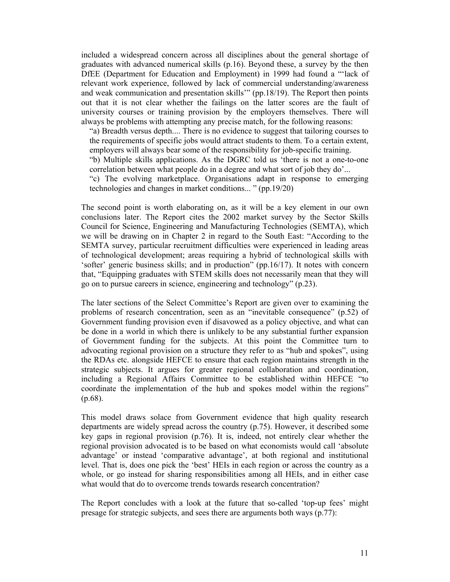included a widespread concern across all disciplines about the general shortage of graduates with advanced numerical skills (p.16). Beyond these, a survey by the then DfEE (Department for Education and Employment) in 1999 had found a "'lack of relevant work experience, followed by lack of commercial understanding/awareness and weak communication and presentation skills'" (pp.18/19). The Report then points out that it is not clear whether the failings on the latter scores are the fault of university courses or training provision by the employers themselves. There will always be problems with attempting any precise match, for the following reasons:

"a) Breadth versus depth.... There is no evidence to suggest that tailoring courses to the requirements of specific jobs would attract students to them. To a certain extent, employers will always bear some of the responsibility for job-specific training.

"b) Multiple skills applications. As the DGRC told us 'there is not a one-to-one correlation between what people do in a degree and what sort of job they do'...

"c) The evolving marketplace. Organisations adapt in response to emerging technologies and changes in market conditions... " (pp.19/20)

The second point is worth elaborating on, as it will be a key element in our own conclusions later. The Report cites the 2002 market survey by the Sector Skills Council for Science, Engineering and Manufacturing Technologies (SEMTA), which we will be drawing on in Chapter 2 in regard to the South East: "According to the SEMTA survey, particular recruitment difficulties were experienced in leading areas of technological development; areas requiring a hybrid of technological skills with 'softer' generic business skills; and in production" (pp.16/17). It notes with concern that, "Equipping graduates with STEM skills does not necessarily mean that they will go on to pursue careers in science, engineering and technology" (p.23).

The later sections of the Select Committee's Report are given over to examining the problems of research concentration, seen as an "inevitable consequence" (p.52) of Government funding provision even if disavowed as a policy objective, and what can be done in a world in which there is unlikely to be any substantial further expansion of Government funding for the subjects. At this point the Committee turn to advocating regional provision on a structure they refer to as "hub and spokes", using the RDAs etc. alongside HEFCE to ensure that each region maintains strength in the strategic subjects. It argues for greater regional collaboration and coordination, including a Regional Affairs Committee to be established within HEFCE "to coordinate the implementation of the hub and spokes model within the regions" (p.68).

This model draws solace from Government evidence that high quality research departments are widely spread across the country (p.75). However, it described some key gaps in regional provision (p.76). It is, indeed, not entirely clear whether the regional provision advocated is to be based on what economists would call 'absolute advantage' or instead 'comparative advantage', at both regional and institutional level. That is, does one pick the 'best' HEIs in each region or across the country as a whole, or go instead for sharing responsibilities among all HEIs, and in either case what would that do to overcome trends towards research concentration?

The Report concludes with a look at the future that so-called 'top-up fees' might presage for strategic subjects, and sees there are arguments both ways (p.77):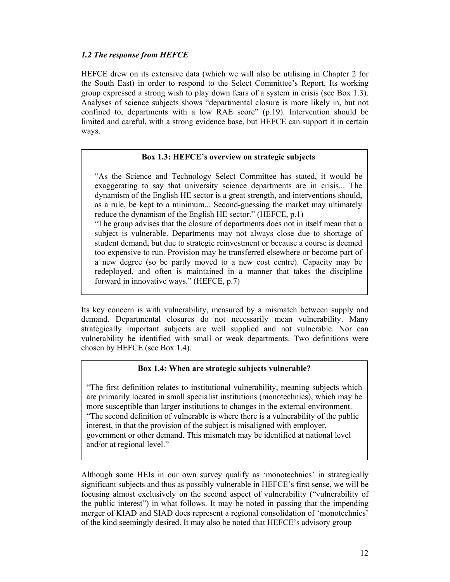# *1.2 The response from HEFCE*

HEFCE drew on its extensive data (which we will also be utilising in Chapter 2 for the South East) in order to respond to the Select Committee's Report. Its working group expressed a strong wish to play down fears of a system in crisis (see Box 1.3). Analyses of science subjects shows "departmental closure is more likely in, but not confined to, departments with a low RAE score" (p.19). Intervention should be limited and careful, with a strong evidence base, but HEFCE can support it in certain ways.

# **Box 1.3: HEFCE's overview on strategic subjects**

"As the Science and Technology Select Committee has stated, it would be exaggerating to say that university science departments are in crisis... The dynamism of the English HE sector is a great strength, and interventions should, as a rule, be kept to a minimum... Second-guessing the market may ultimately reduce the dynamism of the English HE sector." (HEFCE, p.1)

"The group advises that the closure of departments does not in itself mean that a subject is vulnerable. Departments may not always close due to shortage of student demand, but due to strategic reinvestment or because a course is deemed too expensive to run. Provision may be transferred elsewhere or become part of a new degree (so be partly moved to a new cost centre). Capacity may be redeployed, and often is maintained in a manner that takes the discipline forward in innovative ways." (HEFCE, p.7)

Its key concern is with vulnerability, measured by a mismatch between supply and demand. Departmental closures do not necessarily mean vulnerability. Many strategically important subjects are well supplied and not vulnerable. Nor can vulnerability be identified with small or weak departments. Two definitions were chosen by HEFCE (see Box 1.4).

# **Box 1.4: When are strategic subjects vulnerable?**

"The first definition relates to institutional vulnerability, meaning subjects which are primarily located in small specialist institutions (monotechnics), which may be more susceptible than larger institutions to changes in the external environment. "The second definition of vulnerable is where there is a vulnerability of the public interest, in that the provision of the subject is misaligned with employer, government or other demand. This mismatch may be identified at national level and/or at regional level."

Although some HEIs in our own survey qualify as 'monotechnics' in strategically significant subjects and thus as possibly vulnerable in HEFCE's first sense, we will be focusing almost exclusively on the second aspect of vulnerability ("vulnerability of the public interest") in what follows. It may be noted in passing that the impending merger of KIAD and SIAD does represent a regional consolidation of 'monotechnics' of the kind seemingly desired. It may also be noted that HEFCE's advisory group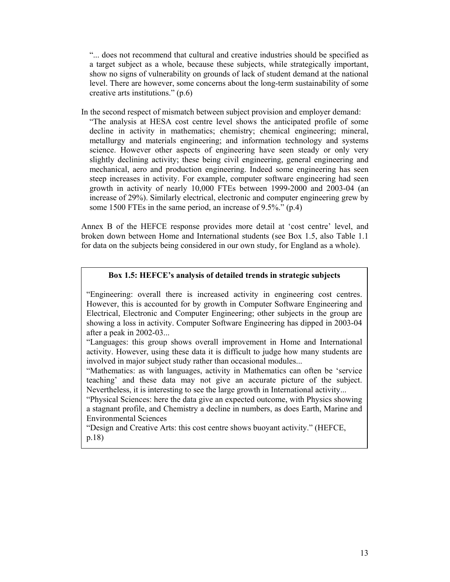"... does not recommend that cultural and creative industries should be specified as a target subject as a whole, because these subjects, while strategically important, show no signs of vulnerability on grounds of lack of student demand at the national level. There are however, some concerns about the long-term sustainability of some creative arts institutions." (p.6)

In the second respect of mismatch between subject provision and employer demand:

"The analysis at HESA cost centre level shows the anticipated profile of some decline in activity in mathematics; chemistry; chemical engineering; mineral, metallurgy and materials engineering; and information technology and systems science. However other aspects of engineering have seen steady or only very slightly declining activity; these being civil engineering, general engineering and mechanical, aero and production engineering. Indeed some engineering has seen steep increases in activity. For example, computer software engineering had seen growth in activity of nearly 10,000 FTEs between 1999-2000 and 2003-04 (an increase of 29%). Similarly electrical, electronic and computer engineering grew by some 1500 FTEs in the same period, an increase of 9.5%." (p.4)

Annex B of the HEFCE response provides more detail at 'cost centre' level, and broken down between Home and International students (see Box 1.5, also Table 1.1 for data on the subjects being considered in our own study, for England as a whole).

# **Box 1.5: HEFCE's analysis of detailed trends in strategic subjects**

"Engineering: overall there is increased activity in engineering cost centres. However, this is accounted for by growth in Computer Software Engineering and Electrical, Electronic and Computer Engineering; other subjects in the group are showing a loss in activity. Computer Software Engineering has dipped in 2003-04 after a peak in 2002-03...

"Languages: this group shows overall improvement in Home and International activity. However, using these data it is difficult to judge how many students are involved in major subject study rather than occasional modules...

"Mathematics: as with languages, activity in Mathematics can often be 'service teaching' and these data may not give an accurate picture of the subject. Nevertheless, it is interesting to see the large growth in International activity...

"Physical Sciences: here the data give an expected outcome, with Physics showing a stagnant profile, and Chemistry a decline in numbers, as does Earth, Marine and Environmental Sciences

"Design and Creative Arts: this cost centre shows buoyant activity." (HEFCE, p.18)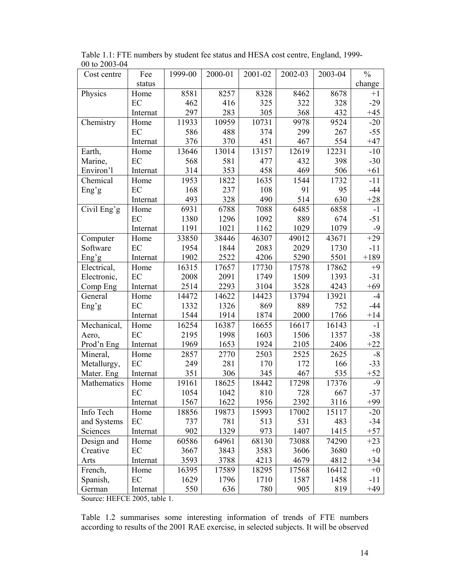| Cost centre | Fee      | 1999-00 | 2000-01 | 2001-02 | 2002-03 | 2003-04 | $\frac{0}{0}$ |
|-------------|----------|---------|---------|---------|---------|---------|---------------|
|             | status   |         |         |         |         |         | change        |
| Physics     | Home     | 8581    | 8257    | 8328    | 8462    | 8678    | $+1$          |
|             | EC       | 462     | 416     | 325     | 322     | 328     | $-29$         |
|             | Internat | 297     | 283     | 305     | 368     | 432     | $+45$         |
| Chemistry   | Home     | 11933   | 10959   | 10731   | 9978    | 9524    | $-20$         |
|             | EC       | 586     | 488     | 374     | 299     | 267     | $-55$         |
|             | Internat | 376     | 370     | 451     | 467     | 554     | $+47$         |
| Earth,      | Home     | 13646   | 13014   | 13157   | 12619   | 12231   | $-10$         |
| Marine,     | EC       | 568     | 581     | 477     | 432     | 398     | $-30$         |
| Environ'l   | Internat | 314     | 353     | 458     | 469     | 506     | $+61$         |
| Chemical    | Home     | 1953    | 1822    | 1635    | 1544    | 1732    | $-11$         |
| Eng'g       | EC       | 168     | 237     | 108     | 91      | 95      | $-44$         |
|             | Internat | 493     | 328     | 490     | 514     | 630     | $+28$         |
| Civil Eng'g | Home     | 6931    | 6788    | 7088    | 6485    | 6858    | $-1$          |
|             | EC       | 1380    | 1296    | 1092    | 889     | 674     | $-51$         |
|             | Internat | 1191    | 1021    | 1162    | 1029    | 1079    | -9            |
| Computer    | Home     | 33850   | 38446   | 46307   | 49012   | 43671   | $+29$         |
| Software    | EC       | 1954    | 1844    | 2083    | 2029    | 1730    | $-11$         |
| Eng'g       | Internat | 1902    | 2522    | 4206    | 5290    | 5501    | $+189$        |
| Electrical, | Home     | 16315   | 17657   | 17730   | 17578   | 17862   | $+9$          |
| Electronic, | EC       | 2008    | 2091    | 1749    | 1509    | 1393    | $-31$         |
| Comp Eng    | Internat | 2514    | 2293    | 3104    | 3528    | 4243    | $+69$         |
| General     | Home     | 14472   | 14622   | 14423   | 13794   | 13921   | $-4$          |
| Eng'g       | EC       | 1332    | 1326    | 869     | 889     | 752     | $-44$         |
|             | Internat | 1544    | 1914    | 1874    | 2000    | 1766    | $+14$         |
| Mechanical, | Home     | 16254   | 16387   | 16655   | 16617   | 16143   | $-1$          |
| Aero,       | EC       | 2195    | 1998    | 1603    | 1506    | 1357    | $-38$         |
| Prod'n Eng  | Internat | 1969    | 1653    | 1924    | 2105    | 2406    | $+22$         |
| Mineral,    | Home     | 2857    | 2770    | 2503    | 2525    | 2625    | $-8$          |
| Metallurgy, | EC       | 249     | 281     | 170     | 172     | 166     | $-33$         |
| Mater. Eng  | Internat | 351     | 306     | 345     | 467     | 535     | $+52$         |
| Mathematics | Home     | 19161   | 18625   | 18442   | 17298   | 17376   | $-9$          |
|             | EC       | 1054    | 1042    | 810     | 728     | 667     | $-37$         |
|             | Internat | 1567    | 1622    | 1956    | 2392    | 3116    | $+99$         |
| Info Tech   | Home     | 18856   | 19873   | 15993   | 17002   | 15117   | $-20$         |
| and Systems | EC       | 737     | 781     | 513     | 531     | 483     | $-34$         |
| Sciences    | Internat | 902     | 1329    | 973     | 1407    | 1415    | $+57$         |
| Design and  | Home     | 60586   | 64961   | 68130   | 73088   | 74290   | $+23$         |
| Creative    | EC       | 3667    | 3843    | 3583    | 3606    | 3680    | $+0$          |
| Arts        | Internat | 3593    | 3788    | 4213    | 4679    | 4812    | $+34$         |
| French,     | Home     | 16395   | 17589   | 18295   | 17568   | 16412   | $+0$          |
| Spanish,    | EC       | 1629    | 1796    | 1710    | 1587    | 1458    | $-11$         |
| German      | Internat | 550     | 636     | 780     | 905     | 819     | $+49$         |

Table 1.1: FTE numbers by student fee status and HESA cost centre, England, 1999- 00 to 2003-04

Source: HEFCE 2005, table 1.

Table 1.2 summarises some interesting information of trends of FTE numbers according to results of the 2001 RAE exercise, in selected subjects. It will be observed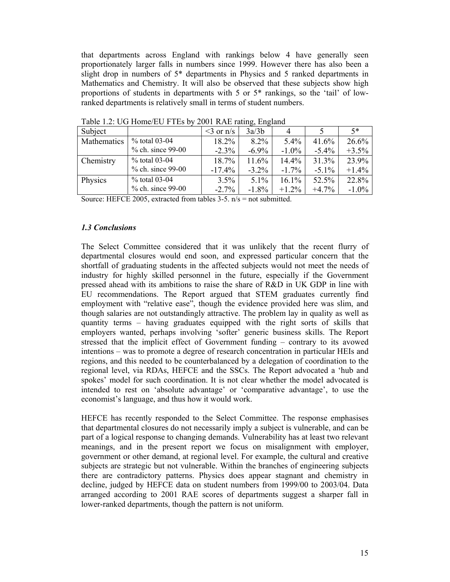that departments across England with rankings below 4 have generally seen proportionately larger falls in numbers since 1999. However there has also been a slight drop in numbers of 5\* departments in Physics and 5 ranked departments in Mathematics and Chemistry. It will also be observed that these subjects show high proportions of students in departments with 5 or 5\* rankings, so the 'tail' of lowranked departments is relatively small in terms of student numbers.

|                   |              | -פ--פ    |          |          |          |
|-------------------|--------------|----------|----------|----------|----------|
|                   | $<$ 3 or n/s | 3a/3b    | 4        |          | $5*$     |
| % total 03-04     | 18.2%        | 8.2%     | 5.4%     | 41.6%    | 26.6%    |
| % ch. since 99-00 | $-2.3%$      | $-6.9\%$ | $-1.0\%$ | $-5.4\%$ | $+3.5%$  |
| % total 03-04     | 18.7%        | 11.6%    | 14.4%    | 31.3%    | 23.9%    |
| % ch. since 99-00 | $-17.4%$     | $-3.2\%$ | $-1.7\%$ | $-5.1\%$ | $+1.4%$  |
| % total 03-04     | 3.5%         | $5.1\%$  | 16.1%    | 52.5%    | 22.8%    |
| % ch. since 99-00 | $-2.7%$      | $-1.8%$  | $+1.2%$  | $+4.7%$  | $-1.0\%$ |
|                   |              |          |          |          |          |

Table 1.2: UG Home/EU FTEs by 2001 RAE rating, England

Source: HEFCE 2005, extracted from tables 3-5. n/s = not submitted.

## *1.3 Conclusions*

The Select Committee considered that it was unlikely that the recent flurry of departmental closures would end soon, and expressed particular concern that the shortfall of graduating students in the affected subjects would not meet the needs of industry for highly skilled personnel in the future, especially if the Government pressed ahead with its ambitions to raise the share of R&D in UK GDP in line with EU recommendations. The Report argued that STEM graduates currently find employment with "relative ease", though the evidence provided here was slim, and though salaries are not outstandingly attractive. The problem lay in quality as well as quantity terms – having graduates equipped with the right sorts of skills that employers wanted, perhaps involving 'softer' generic business skills. The Report stressed that the implicit effect of Government funding – contrary to its avowed intentions – was to promote a degree of research concentration in particular HEIs and regions, and this needed to be counterbalanced by a delegation of coordination to the regional level, via RDAs, HEFCE and the SSCs. The Report advocated a 'hub and spokes' model for such coordination. It is not clear whether the model advocated is intended to rest on 'absolute advantage' or 'comparative advantage', to use the economist's language, and thus how it would work.

HEFCE has recently responded to the Select Committee. The response emphasises that departmental closures do not necessarily imply a subject is vulnerable, and can be part of a logical response to changing demands. Vulnerability has at least two relevant meanings, and in the present report we focus on misalignment with employer, government or other demand, at regional level. For example, the cultural and creative subjects are strategic but not vulnerable. Within the branches of engineering subjects there are contradictory patterns. Physics does appear stagnant and chemistry in decline, judged by HEFCE data on student numbers from 1999/00 to 2003/04. Data arranged according to 2001 RAE scores of departments suggest a sharper fall in lower-ranked departments, though the pattern is not uniform.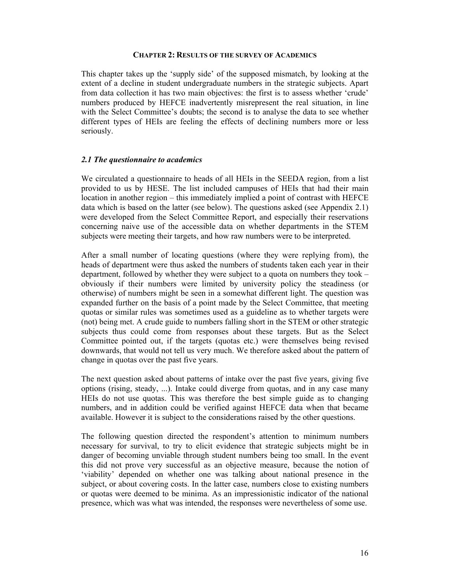#### **CHAPTER 2: RESULTS OF THE SURVEY OF ACADEMICS**

This chapter takes up the 'supply side' of the supposed mismatch, by looking at the extent of a decline in student undergraduate numbers in the strategic subjects. Apart from data collection it has two main objectives: the first is to assess whether 'crude' numbers produced by HEFCE inadvertently misrepresent the real situation, in line with the Select Committee's doubts; the second is to analyse the data to see whether different types of HEIs are feeling the effects of declining numbers more or less seriously.

## *2.1 The questionnaire to academics*

We circulated a questionnaire to heads of all HEIs in the SEEDA region, from a list provided to us by HESE. The list included campuses of HEIs that had their main location in another region – this immediately implied a point of contrast with HEFCE data which is based on the latter (see below). The questions asked (see Appendix 2.1) were developed from the Select Committee Report, and especially their reservations concerning naive use of the accessible data on whether departments in the STEM subjects were meeting their targets, and how raw numbers were to be interpreted.

After a small number of locating questions (where they were replying from), the heads of department were thus asked the numbers of students taken each year in their department, followed by whether they were subject to a quota on numbers they took – obviously if their numbers were limited by university policy the steadiness (or otherwise) of numbers might be seen in a somewhat different light. The question was expanded further on the basis of a point made by the Select Committee, that meeting quotas or similar rules was sometimes used as a guideline as to whether targets were (not) being met. A crude guide to numbers falling short in the STEM or other strategic subjects thus could come from responses about these targets. But as the Select Committee pointed out, if the targets (quotas etc.) were themselves being revised downwards, that would not tell us very much. We therefore asked about the pattern of change in quotas over the past five years.

The next question asked about patterns of intake over the past five years, giving five options (rising, steady, ...). Intake could diverge from quotas, and in any case many HEIs do not use quotas. This was therefore the best simple guide as to changing numbers, and in addition could be verified against HEFCE data when that became available. However it is subject to the considerations raised by the other questions.

The following question directed the respondent's attention to minimum numbers necessary for survival, to try to elicit evidence that strategic subjects might be in danger of becoming unviable through student numbers being too small. In the event this did not prove very successful as an objective measure, because the notion of 'viability' depended on whether one was talking about national presence in the subject, or about covering costs. In the latter case, numbers close to existing numbers or quotas were deemed to be minima. As an impressionistic indicator of the national presence, which was what was intended, the responses were nevertheless of some use.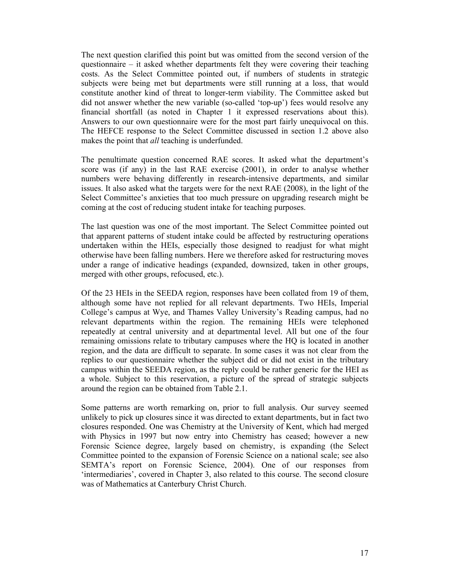The next question clarified this point but was omitted from the second version of the questionnaire – it asked whether departments felt they were covering their teaching costs. As the Select Committee pointed out, if numbers of students in strategic subjects were being met but departments were still running at a loss, that would constitute another kind of threat to longer-term viability. The Committee asked but did not answer whether the new variable (so-called 'top-up') fees would resolve any financial shortfall (as noted in Chapter 1 it expressed reservations about this). Answers to our own questionnaire were for the most part fairly unequivocal on this. The HEFCE response to the Select Committee discussed in section 1.2 above also makes the point that *all* teaching is underfunded.

The penultimate question concerned RAE scores. It asked what the department's score was (if any) in the last RAE exercise (2001), in order to analyse whether numbers were behaving differently in research-intensive departments, and similar issues. It also asked what the targets were for the next RAE (2008), in the light of the Select Committee's anxieties that too much pressure on upgrading research might be coming at the cost of reducing student intake for teaching purposes.

The last question was one of the most important. The Select Committee pointed out that apparent patterns of student intake could be affected by restructuring operations undertaken within the HEIs, especially those designed to readjust for what might otherwise have been falling numbers. Here we therefore asked for restructuring moves under a range of indicative headings (expanded, downsized, taken in other groups, merged with other groups, refocused, etc.).

Of the 23 HEIs in the SEEDA region, responses have been collated from 19 of them, although some have not replied for all relevant departments. Two HEIs, Imperial College's campus at Wye, and Thames Valley University's Reading campus, had no relevant departments within the region. The remaining HEIs were telephoned repeatedly at central university and at departmental level. All but one of the four remaining omissions relate to tributary campuses where the HQ is located in another region, and the data are difficult to separate. In some cases it was not clear from the replies to our questionnaire whether the subject did or did not exist in the tributary campus within the SEEDA region, as the reply could be rather generic for the HEI as a whole. Subject to this reservation, a picture of the spread of strategic subjects around the region can be obtained from Table 2.1.

Some patterns are worth remarking on, prior to full analysis. Our survey seemed unlikely to pick up closures since it was directed to extant departments, but in fact two closures responded. One was Chemistry at the University of Kent, which had merged with Physics in 1997 but now entry into Chemistry has ceased; however a new Forensic Science degree, largely based on chemistry, is expanding (the Select Committee pointed to the expansion of Forensic Science on a national scale; see also SEMTA's report on Forensic Science, 2004). One of our responses from 'intermediaries', covered in Chapter 3, also related to this course. The second closure was of Mathematics at Canterbury Christ Church.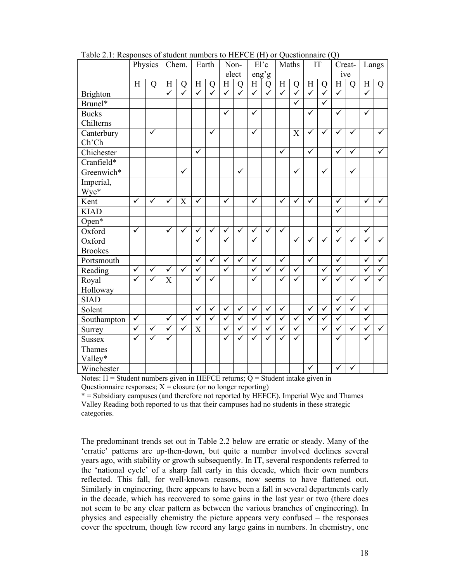|                 |                         | Physics                 | Chem.                   |              |                         | Earth                   | Non-         |                | El'c         |                         |                         | Maths                   | IT                      |                | Creat-       |                         | Langs                     |                |
|-----------------|-------------------------|-------------------------|-------------------------|--------------|-------------------------|-------------------------|--------------|----------------|--------------|-------------------------|-------------------------|-------------------------|-------------------------|----------------|--------------|-------------------------|---------------------------|----------------|
|                 |                         |                         |                         |              |                         |                         |              | elect          | eng'g        |                         |                         |                         |                         |                | ive          |                         |                           |                |
|                 | H                       | $\mathbf Q$             | H                       | $\mathbf Q$  | H                       | Q                       | H            | $\overline{O}$ | $\rm H$      | $\mathbf Q$             | H                       | Q                       | H                       | $\overline{Q}$ | H            | $\overline{O}$          | $\boldsymbol{\mathrm{H}}$ | $\overline{O}$ |
| <b>Brighton</b> |                         |                         | $\checkmark$            | ✓            | ✓                       | $\checkmark$            | $\checkmark$ | ✓              | $\checkmark$ | $\checkmark$            | $\checkmark$            | $\checkmark$            | $\checkmark$            | $\checkmark$   | $\checkmark$ |                         | ✓                         |                |
| Brunel*         |                         |                         |                         |              |                         |                         |              |                |              |                         |                         | $\overline{\checkmark}$ |                         | $\checkmark$   |              |                         |                           |                |
| <b>Bucks</b>    |                         |                         |                         |              |                         |                         | $\checkmark$ |                | ✓            |                         |                         |                         | ✓                       |                | $\checkmark$ |                         | $\checkmark$              |                |
| Chilterns       |                         |                         |                         |              |                         |                         |              |                |              |                         |                         |                         |                         |                |              |                         |                           |                |
| Canterbury      |                         | $\overline{\checkmark}$ |                         |              |                         | $\checkmark$            |              |                | $\checkmark$ |                         |                         | X                       | ✓                       | ✓              | $\checkmark$ | $\checkmark$            |                           | $\checkmark$   |
| Ch'Ch           |                         |                         |                         |              |                         |                         |              |                |              |                         |                         |                         |                         |                |              |                         |                           |                |
| Chichester      |                         |                         |                         |              | $\checkmark$            |                         |              |                |              |                         | $\checkmark$            |                         | $\checkmark$            |                | $\checkmark$ | $\checkmark$            |                           | ✓              |
| Cranfield*      |                         |                         |                         |              |                         |                         |              |                |              |                         |                         |                         |                         |                |              |                         |                           |                |
| Greenwich*      |                         |                         |                         | $\checkmark$ |                         |                         |              | $\checkmark$   |              |                         |                         | $\checkmark$            |                         | $\checkmark$   |              | $\overline{\checkmark}$ |                           |                |
| Imperial,       |                         |                         |                         |              |                         |                         |              |                |              |                         |                         |                         |                         |                |              |                         |                           |                |
| Wye*            |                         |                         |                         |              |                         |                         |              |                |              |                         |                         |                         |                         |                |              |                         |                           |                |
| Kent            | $\checkmark$            | $\checkmark$            | ✓                       | X            | $\checkmark$            |                         | $\checkmark$ |                | $\checkmark$ |                         | $\checkmark$            | $\checkmark$            | $\bar{v}$               |                | $\checkmark$ |                         | $\checkmark$              | $\checkmark$   |
| <b>KIAD</b>     |                         |                         |                         |              |                         |                         |              |                |              |                         |                         |                         |                         |                | $\checkmark$ |                         |                           |                |
| Open $*$        |                         |                         |                         |              |                         |                         |              |                |              |                         |                         |                         |                         |                |              |                         |                           |                |
| Oxford          | $\overline{\checkmark}$ |                         | $\overline{\checkmark}$ | $\checkmark$ | $\checkmark$            | $\checkmark$            | $\checkmark$ | $\checkmark$   | $\checkmark$ | $\checkmark$            | $\checkmark$            |                         |                         |                | ✓            |                         | $\checkmark$              |                |
| Oxford          |                         |                         |                         |              | ✓                       |                         | $\checkmark$ |                | ✓            |                         |                         | $\checkmark$            | ✓                       | $\checkmark$   |              | $\checkmark$            |                           |                |
| <b>Brookes</b>  |                         |                         |                         |              |                         |                         |              |                |              |                         |                         |                         |                         |                |              |                         |                           |                |
| Portsmouth      |                         |                         |                         |              | $\overline{\checkmark}$ | $\overline{\checkmark}$ | $\checkmark$ | $\checkmark$   | $\checkmark$ |                         | $\checkmark$            |                         | $\overline{\checkmark}$ |                | ✓            |                         | ✓                         | $\checkmark$   |
| Reading         | $\checkmark$            | $\checkmark$            | $\checkmark$            | $\checkmark$ | ✓                       |                         | $\checkmark$ |                | $\checkmark$ | $\checkmark$            | $\checkmark$            | $\checkmark$            |                         | ✓              | ✓            |                         |                           |                |
| Royal           | $\checkmark$            | ✓                       | X                       |              | $\checkmark$            | $\checkmark$            |              |                | $\checkmark$ |                         | ✓                       | ✓                       |                         | ✓              | ✓            | $\checkmark$            |                           |                |
| Holloway        |                         |                         |                         |              |                         |                         |              |                |              |                         |                         |                         |                         |                |              |                         |                           |                |
| <b>SIAD</b>     |                         |                         |                         |              |                         |                         |              |                |              |                         |                         |                         |                         |                | $\sqrt{ }$   | $\overline{\checkmark}$ |                           |                |
| Solent          |                         |                         |                         |              | ✓                       | $\checkmark$            | $\checkmark$ | ✓              | $\checkmark$ | $\checkmark$            | ✓                       |                         | ✓                       | ✓              | ✓            | $\checkmark$            | ✓                         |                |
| Southampton     | $\overline{\checkmark}$ |                         | $\checkmark$            | $\checkmark$ | $\checkmark$            | $\overline{\checkmark}$ | $\checkmark$ | $\checkmark$   | $\checkmark$ | $\overline{\checkmark}$ | $\overline{\checkmark}$ | $\checkmark$            | $\checkmark$            | $\checkmark$   | $\checkmark$ |                         | ✓                         |                |
| Surrey          | $\overline{\checkmark}$ | $\overline{\checkmark}$ | $\blacktriangledown$    | $\checkmark$ | X                       |                         | $\checkmark$ | $\checkmark$   | $\checkmark$ | $\checkmark$            | $\checkmark$            | $\checkmark$            |                         | $\checkmark$   | ✓            | $\overline{\checkmark}$ | ✓                         | $\checkmark$   |
| <b>Sussex</b>   | $\checkmark$            | $\checkmark$            | $\bar{\checkmark}$      |              |                         |                         | $\checkmark$ | $\checkmark$   | $\checkmark$ | $\checkmark$            | $\checkmark$            | $\checkmark$            |                         |                | ✓            |                         | $\checkmark$              |                |
| Thames          |                         |                         |                         |              |                         |                         |              |                |              |                         |                         |                         |                         |                |              |                         |                           |                |
| Valley*         |                         |                         |                         |              |                         |                         |              |                |              |                         |                         |                         |                         |                |              |                         |                           |                |
| Winchester      |                         |                         |                         |              |                         |                         |              |                |              |                         |                         |                         | $\checkmark$            |                | ✓            | ✓                       |                           |                |

Table 2.1: Responses of student numbers to HEFCE (H) or Questionnaire (Q)

Notes:  $H =$  Student numbers given in HEFCE returns;  $Q =$  Student intake given in Questionnaire responses;  $X = closure$  (or no longer reporting)

\* = Subsidiary campuses (and therefore not reported by HEFCE). Imperial Wye and Thames Valley Reading both reported to us that their campuses had no students in these strategic categories.

The predominant trends set out in Table 2.2 below are erratic or steady. Many of the 'erratic' patterns are up-then-down, but quite a number involved declines several years ago, with stability or growth subsequently. In IT, several respondents referred to the 'national cycle' of a sharp fall early in this decade, which their own numbers reflected. This fall, for well-known reasons, now seems to have flattened out. Similarly in engineering, there appears to have been a fall in several departments early in the decade, which has recovered to some gains in the last year or two (there does not seem to be any clear pattern as between the various branches of engineering). In physics and especially chemistry the picture appears very confused – the responses cover the spectrum, though few record any large gains in numbers. In chemistry, one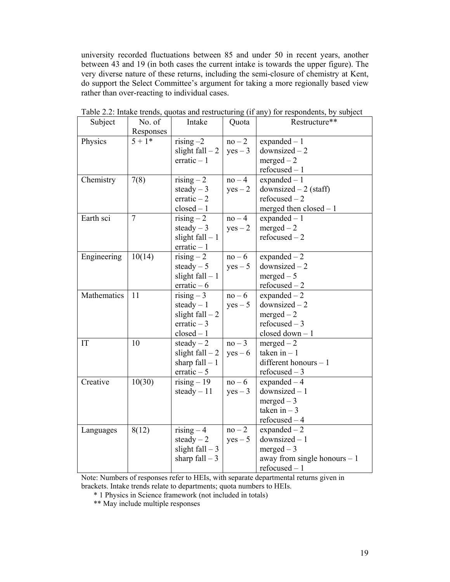university recorded fluctuations between 85 and under 50 in recent years, another between 43 and 19 (in both cases the current intake is towards the upper figure). The very diverse nature of these returns, including the semi-closure of chemistry at Kent, do support the Select Committee's argument for taking a more regionally based view rather than over-reacting to individual cases.

| Subject     | No. of         | Intake            | Quota     | Restructure**                 |
|-------------|----------------|-------------------|-----------|-------------------------------|
|             | Responses      |                   |           |                               |
| Physics     | $5 + 1*$       | rising $-2$       | $no-2$    | $expanded - 1$                |
|             |                | slight fall $-2$  | $yes - 3$ | $downsized-2$                 |
|             |                | $erratic - 1$     |           | $merged - 2$                  |
|             |                |                   |           | $refocused - 1$               |
| Chemistry   | 7(8)           | $rising - 2$      | $no-4$    | $expanded - 1$                |
|             |                | steady $-3$       | $yes - 2$ | downsized $-2$ (staff)        |
|             |                | $erratic - 2$     |           | $refocused - 2$               |
|             |                | $closed-1$        |           | merged then $closed - 1$      |
| Earth sci   | $\overline{7}$ | $rising - 2$      | $no-4$    | $expanded - 1$                |
|             |                | steady $-3$       | $yes - 2$ | $merged - 2$                  |
|             |                | slight $fall - 1$ |           | $refocused - 2$               |
|             |                | $erratic - 1$     |           |                               |
| Engineering | 10(14)         | $rising - 2$      | $no-6$    | expanded $-2$                 |
|             |                | steady $-5$       | $yes - 5$ | $downsized-2$                 |
|             |                | slight $fall - 1$ |           | $merged - 5$                  |
|             |                | $erratic - 6$     |           | $refocused - 2$               |
| Mathematics | 11             | rising $-3$       | $no-6$    | expanded $-2$                 |
|             |                | steady $-1$       | $yes - 5$ | $downsized-2$                 |
|             |                | slight $fall - 2$ |           | $merged - 2$                  |
|             |                | erratic $-3$      |           | refocused $-3$                |
|             |                | $closed-1$        |           | closed $down-1$               |
| IT          | 10             | steady $-2$       | $no-3$    | $merged - 2$                  |
|             |                | slight fall $-2$  | $yes - 6$ | taken in $-1$                 |
|             |                | sharp $fall - 1$  |           | different honours $-1$        |
|             |                | erratic $-5$      |           | refocused $-3$                |
| Creative    | 10(30)         | $rising - 19$     | $no-6$    | expanded $-4$                 |
|             |                | steady $-11$      | $yes - 3$ | $downsized - 1$               |
|             |                |                   |           | $merged - 3$                  |
|             |                |                   |           | taken in $-3$                 |
|             |                |                   |           | $refocused-4$                 |
| Languages   | 8(12)          | $rising - 4$      | $no-2$    | expanded $-2$                 |
|             |                | steady $-2$       | $yes - 5$ | $downsized - 1$               |
|             |                | slight $fall - 3$ |           | $merged - 3$                  |
|             |                | sharp fall $-3$   |           | away from single honours $-1$ |
|             |                |                   |           | $refocused - 1$               |

Table 2.2: Intake trends, quotas and restructuring (if any) for respondents, by subject

Note: Numbers of responses refer to HEIs, with separate departmental returns given in brackets. Intake trends relate to departments; quota numbers to HEIs.

\* 1 Physics in Science framework (not included in totals)

\*\* May include multiple responses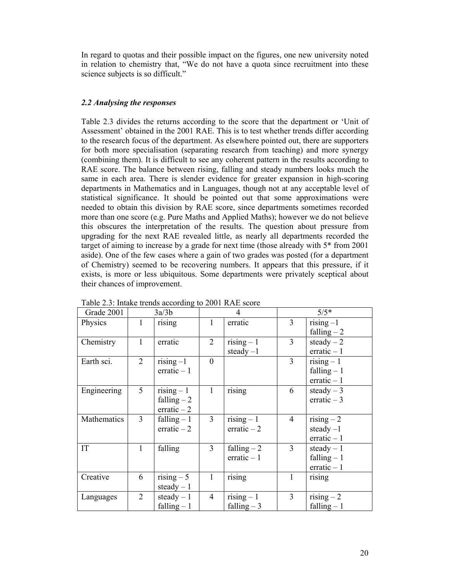In regard to quotas and their possible impact on the figures, one new university noted in relation to chemistry that, "We do not have a quota since recruitment into these science subjects is so difficult."

## *2.2 Analysing the responses*

Table 2.3 divides the returns according to the score that the department or 'Unit of Assessment' obtained in the 2001 RAE. This is to test whether trends differ according to the research focus of the department. As elsewhere pointed out, there are supporters for both more specialisation (separating research from teaching) and more synergy (combining them). It is difficult to see any coherent pattern in the results according to RAE score. The balance between rising, falling and steady numbers looks much the same in each area. There is slender evidence for greater expansion in high-scoring departments in Mathematics and in Languages, though not at any acceptable level of statistical significance. It should be pointed out that some approximations were needed to obtain this division by RAE score, since departments sometimes recorded more than one score (e.g. Pure Maths and Applied Maths); however we do not believe this obscures the interpretation of the results. The question about pressure from upgrading for the next RAE revealed little, as nearly all departments recorded the target of aiming to increase by a grade for next time (those already with 5\* from 2001 aside). One of the few cases where a gain of two grades was posted (for a department of Chemistry) seemed to be recovering numbers. It appears that this pressure, if it exists, is more or less ubiquitous. Some departments were privately sceptical about their chances of improvement.

| Grade 2001  |                | 3a/3b                     |                | $\overline{4}$          | $5/5*$         |                           |  |
|-------------|----------------|---------------------------|----------------|-------------------------|----------------|---------------------------|--|
| Physics     |                | rising                    | 1              | erratic                 | 3              | $Tising -1$               |  |
|             |                |                           |                |                         |                | falling $-2$              |  |
| Chemistry   |                | erratic                   | $\overline{2}$ | $rising - 1$            | 3              | steady $-2$               |  |
|             |                |                           |                | steady $-1$             |                | $erratio - 1$             |  |
| Earth sci.  | $\overline{2}$ | $rising-1$                | $\mathbf{0}$   |                         | 3              | $rising - 1$              |  |
|             |                | erratic $-1$              |                |                         |                | falling $-1$              |  |
|             |                |                           |                |                         |                | erratic $-1$              |  |
| Engineering | 5 <sup>1</sup> | $Tising - 1$              | $\mathbf{1}$   | rising                  | 6              | steady $-3$               |  |
|             |                | falling $-2$              |                |                         |                | erratic $-3$              |  |
|             |                | $erratic - 2$             |                |                         |                |                           |  |
| Mathematics | $\overline{3}$ | falling $-1$              | $\overline{3}$ | $rising - 1$            | $\overline{4}$ | $rising - 2$              |  |
|             |                | $erratic - 2$             |                | erratic $-2$            |                | steady $-1$               |  |
|             |                |                           |                |                         |                | $erratio - 1$             |  |
| IT          | $\mathbf{1}$   | falling                   | 3              | falling $-2$            | 3              | steady $-1$               |  |
|             |                |                           |                | erratic $-1$            |                | falling $-1$              |  |
|             |                |                           |                |                         |                | $erratio - 1$             |  |
| Creative    | 6              | $\overline{r}$ ising $-5$ | $\mathbf{1}$   | rising                  | 1              | rising                    |  |
|             |                | steady $-1$               |                |                         |                |                           |  |
| Languages   | $\overline{2}$ | steady $-1$               | $\overline{4}$ | $\overline{rising} - 1$ | 3              | $\overline{r}$ ising $-2$ |  |
|             |                | falling $-1$              |                | falling $-3$            |                | falling $-1$              |  |

Table 2.3: Intake trends according to 2001 RAE score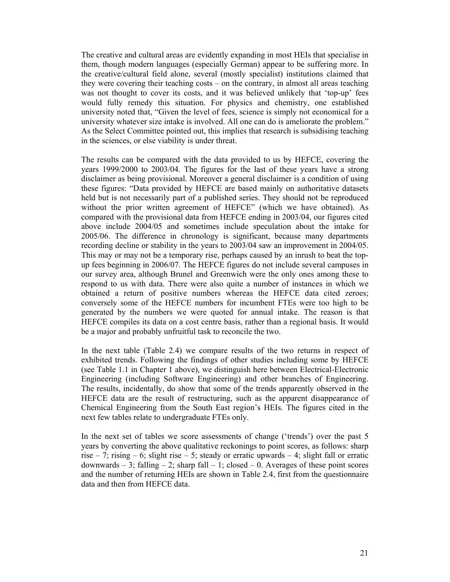The creative and cultural areas are evidently expanding in most HEIs that specialise in them, though modern languages (especially German) appear to be suffering more. In the creative/cultural field alone, several (mostly specialist) institutions claimed that they were covering their teaching costs – on the contrary, in almost all areas teaching was not thought to cover its costs, and it was believed unlikely that 'top-up' fees would fully remedy this situation. For physics and chemistry, one established university noted that, "Given the level of fees, science is simply not economical for a university whatever size intake is involved. All one can do is ameliorate the problem." As the Select Committee pointed out, this implies that research is subsidising teaching in the sciences, or else viability is under threat.

The results can be compared with the data provided to us by HEFCE, covering the years 1999/2000 to 2003/04. The figures for the last of these years have a strong disclaimer as being provisional. Moreover a general disclaimer is a condition of using these figures: "Data provided by HEFCE are based mainly on authoritative datasets held but is not necessarily part of a published series. They should not be reproduced without the prior written agreement of HEFCE" (which we have obtained). As compared with the provisional data from HEFCE ending in 2003/04, our figures cited above include 2004/05 and sometimes include speculation about the intake for 2005/06. The difference in chronology is significant, because many departments recording decline or stability in the years to 2003/04 saw an improvement in 2004/05. This may or may not be a temporary rise, perhaps caused by an inrush to beat the topup fees beginning in 2006/07. The HEFCE figures do not include several campuses in our survey area, although Brunel and Greenwich were the only ones among these to respond to us with data. There were also quite a number of instances in which we obtained a return of positive numbers whereas the HEFCE data cited zeroes; conversely some of the HEFCE numbers for incumbent FTEs were too high to be generated by the numbers we were quoted for annual intake. The reason is that HEFCE compiles its data on a cost centre basis, rather than a regional basis. It would be a major and probably unfruitful task to reconcile the two.

In the next table (Table 2.4) we compare results of the two returns in respect of exhibited trends. Following the findings of other studies including some by HEFCE (see Table 1.1 in Chapter 1 above), we distinguish here between Electrical-Electronic Engineering (including Software Engineering) and other branches of Engineering. The results, incidentally, do show that some of the trends apparently observed in the HEFCE data are the result of restructuring, such as the apparent disappearance of Chemical Engineering from the South East region's HEIs. The figures cited in the next few tables relate to undergraduate FTEs only.

In the next set of tables we score assessments of change ('trends') over the past 5 years by converting the above qualitative reckonings to point scores, as follows: sharp rise – 7; rising – 6; slight rise – 5; steady or erratic upwards – 4; slight fall or erratic downwards  $-3$ ; falling  $-2$ ; sharp fall  $-1$ ; closed  $-0$ . Averages of these point scores and the number of returning HEIs are shown in Table 2.4, first from the questionnaire data and then from HEFCE data.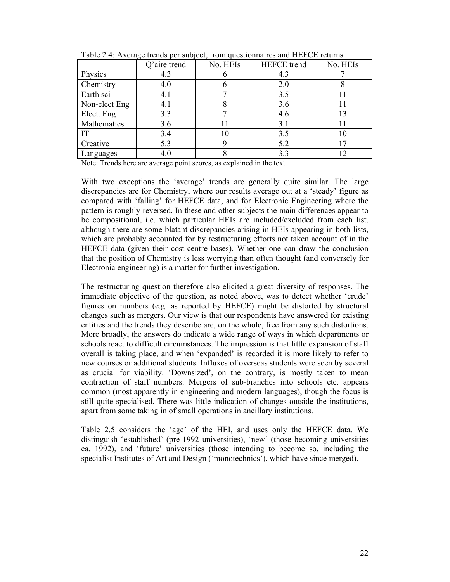| . <u>.</u> .  | Q'aire trend | No. HEIs | <b>HEFCE</b> trend | No. HEIs |
|---------------|--------------|----------|--------------------|----------|
| Physics       | 4.3          |          | 4.3                |          |
| Chemistry     | 4.0          |          | 2.0                |          |
| Earth sci     | 4.1          |          | 3.5                |          |
| Non-elect Eng | 4.1          |          | 3.6                |          |
| Elect. Eng    | 3.3          |          | 4.6                |          |
| Mathematics   | 3.6          |          | 3.1                |          |
| IT            | 3.4          |          | 3.5                |          |
| Creative      | 5.3          |          | 5.2                |          |
| Languages     | 4.0          |          | 3.3                |          |

Table 2.4: Average trends per subject, from questionnaires and HEFCE returns

Note: Trends here are average point scores, as explained in the text.

With two exceptions the 'average' trends are generally quite similar. The large discrepancies are for Chemistry, where our results average out at a 'steady' figure as compared with 'falling' for HEFCE data, and for Electronic Engineering where the pattern is roughly reversed. In these and other subjects the main differences appear to be compositional, i.e. which particular HEIs are included/excluded from each list, although there are some blatant discrepancies arising in HEIs appearing in both lists, which are probably accounted for by restructuring efforts not taken account of in the HEFCE data (given their cost-centre bases). Whether one can draw the conclusion that the position of Chemistry is less worrying than often thought (and conversely for Electronic engineering) is a matter for further investigation.

The restructuring question therefore also elicited a great diversity of responses. The immediate objective of the question, as noted above, was to detect whether 'crude' figures on numbers (e.g. as reported by HEFCE) might be distorted by structural changes such as mergers. Our view is that our respondents have answered for existing entities and the trends they describe are, on the whole, free from any such distortions. More broadly, the answers do indicate a wide range of ways in which departments or schools react to difficult circumstances. The impression is that little expansion of staff overall is taking place, and when 'expanded' is recorded it is more likely to refer to new courses or additional students. Influxes of overseas students were seen by several as crucial for viability. 'Downsized', on the contrary, is mostly taken to mean contraction of staff numbers. Mergers of sub-branches into schools etc. appears common (most apparently in engineering and modern languages), though the focus is still quite specialised. There was little indication of changes outside the institutions, apart from some taking in of small operations in ancillary institutions.

Table 2.5 considers the 'age' of the HEI, and uses only the HEFCE data. We distinguish 'established' (pre-1992 universities), 'new' (those becoming universities ca. 1992), and 'future' universities (those intending to become so, including the specialist Institutes of Art and Design ('monotechnics'), which have since merged).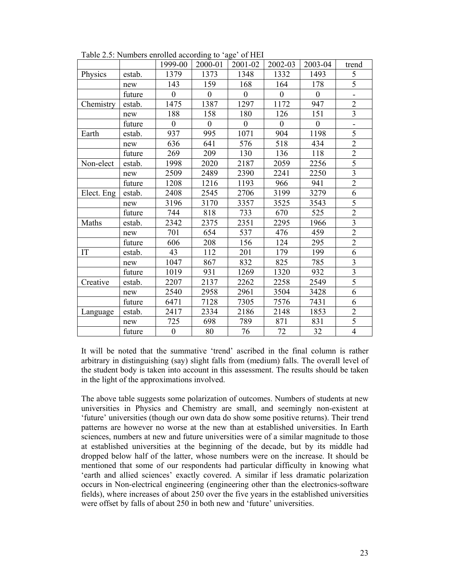|            |        | 1999-00          | -----<br>2000-01 | 2001-02        | 2002-03        | 2003-04        | trend                   |
|------------|--------|------------------|------------------|----------------|----------------|----------------|-------------------------|
| Physics    | estab. | 1379             | 1373             | 1348           | 1332           | 1493           | 5                       |
|            | new    | 143              | 159              | 168            | 164            | 178            | 5                       |
|            | future | $\overline{0}$   | $\overline{0}$   | $\overline{0}$ | $\overline{0}$ | $\overline{0}$ |                         |
| Chemistry  | estab. | 1475             | 1387             | 1297           | 1172           | 947            | $\overline{2}$          |
|            | new    | 188              | 158              | 180            | 126            | 151            | $\overline{\mathbf{3}}$ |
|            | future | $\mathbf{0}$     | $\overline{0}$   | $\mathbf{0}$   | $\overline{0}$ | $\overline{0}$ |                         |
| Earth      | estab. | 937              | 995              | 1071           | 904            | 1198           | $\overline{5}$          |
|            | new    | 636              | 641              | 576            | 518            | 434            | $\overline{2}$          |
|            | future | 269              | 209              | 130            | 136            | 118            | $\frac{2}{5}$           |
| Non-elect  | estab. | 1998             | 2020             | 2187           | 2059           | 2256           |                         |
|            | new    | 2509             | 2489             | 2390           | 2241           | 2250           | $\overline{\mathbf{3}}$ |
|            | future | 1208             | 1216             | 1193           | 966            | 941            | $\overline{2}$          |
| Elect. Eng | estab. | 2408             | 2545             | 2706           | 3199           | 3279           | $\overline{6}$          |
|            | new    | 3196             | 3170             | 3357           | 3525           | 3543           | 5                       |
|            | future | 744              | 818              | 733            | 670            | 525            | $\overline{2}$          |
| Maths      | estab. | 2342             | 2375             | 2351           | 2295           | 1966           | $\overline{\mathbf{3}}$ |
|            | new    | 701              | 654              | 537            | 476            | 459            | $\overline{2}$          |
|            | future | 606              | 208              | 156            | 124            | 295            | $\overline{2}$          |
| IT         | estab. | 43               | 112              | 201            | 179            | 199            | 6                       |
|            | new    | 1047             | 867              | 832            | 825            | 785            | $\overline{3}$          |
|            | future | 1019             | 931              | 1269           | 1320           | 932            | $\overline{\mathbf{3}}$ |
| Creative   | estab. | 2207             | 2137             | 2262           | 2258           | 2549           | $\overline{5}$          |
|            | new    | 2540             | 2958             | 2961           | 3504           | 3428           | $\overline{6}$          |
|            | future | 6471             | 7128             | 7305           | 7576           | 7431           | 6                       |
| Language   | estab. | 2417             | 2334             | 2186           | 2148           | 1853           | $\overline{2}$          |
|            | new    | 725              | 698              | 789            | 871            | 831            | $\overline{5}$          |
|            | future | $\boldsymbol{0}$ | 80               | 76             | 72             | 32             | $\overline{4}$          |

Table  $2.5$ : Numbers enrolled according to 'age' of HEI

It will be noted that the summative 'trend' ascribed in the final column is rather arbitrary in distinguishing (say) slight falls from (medium) falls. The overall level of the student body is taken into account in this assessment. The results should be taken in the light of the approximations involved.

The above table suggests some polarization of outcomes. Numbers of students at new universities in Physics and Chemistry are small, and seemingly non-existent at 'future' universities (though our own data do show some positive returns). Their trend patterns are however no worse at the new than at established universities. In Earth sciences, numbers at new and future universities were of a similar magnitude to those at established universities at the beginning of the decade, but by its middle had dropped below half of the latter, whose numbers were on the increase. It should be mentioned that some of our respondents had particular difficulty in knowing what 'earth and allied sciences' exactly covered. A similar if less dramatic polarization occurs in Non-electrical engineering (engineering other than the electronics-software fields), where increases of about 250 over the five years in the established universities were offset by falls of about 250 in both new and 'future' universities.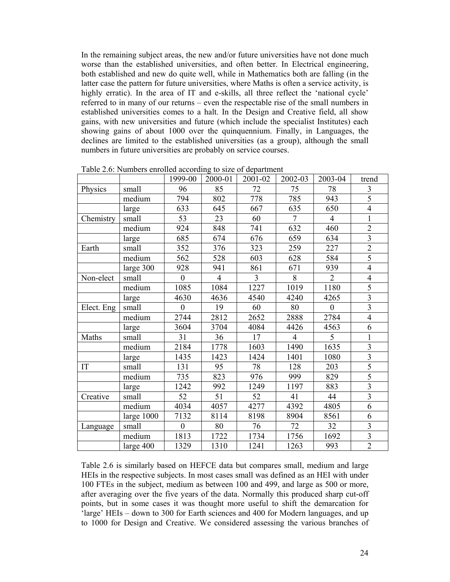In the remaining subject areas, the new and/or future universities have not done much worse than the established universities, and often better. In Electrical engineering, both established and new do quite well, while in Mathematics both are falling (in the latter case the pattern for future universities, where Maths is often a service activity, is highly erratic). In the area of IT and e-skills, all three reflect the 'national cycle' referred to in many of our returns – even the respectable rise of the small numbers in established universities comes to a halt. In the Design and Creative field, all show gains, with new universities and future (which include the specialist Institutes) each showing gains of about 1000 over the quinquennium. Finally, in Languages, the declines are limited to the established universities (as a group), although the small numbers in future universities are probably on service courses.

|            |              | 1999-00          | 2000-01        | 2001-02 | 2002-03        | 2003-04          | trend                   |
|------------|--------------|------------------|----------------|---------|----------------|------------------|-------------------------|
| Physics    | small        | 96               | 85             | 72      | 75             | 78               | 3                       |
|            | medium       | 794              | 802            | 778     | 785            | 943              | 5                       |
|            | large        | 633              | 645            | 667     | 635            | 650              | $\overline{4}$          |
| Chemistry  | small        | 53               | 23             | 60      | $\overline{7}$ | $\overline{4}$   | $\mathbf{1}$            |
|            | medium       | 924              | 848            | 741     | 632            | 460              | $\overline{2}$          |
|            | large        | 685              | 674            | 676     | 659            | 634              | $\overline{\mathbf{3}}$ |
| Earth      | small        | 352              | 376            | 323     | 259            | 227              | $\overline{2}$          |
|            | medium       | 562              | 528            | 603     | 628            | 584              | $\overline{5}$          |
|            | large 300    | 928              | 941            | 861     | 671            | 939              | $\overline{4}$          |
| Non-elect  | small        | $\overline{0}$   | $\overline{4}$ | 3       | 8              | $\overline{2}$   | $\overline{4}$          |
|            | medium       | 1085             | 1084           | 1227    | 1019           | 1180             | 5                       |
|            | large        | 4630             | 4636           | 4540    | 4240           | 4265             | $\overline{3}$          |
| Elect. Eng | small        | $\boldsymbol{0}$ | 19             | 60      | 80             | $\boldsymbol{0}$ | $\overline{\mathbf{3}}$ |
|            | medium       | 2744             | 2812           | 2652    | 2888           | 2784             | $\overline{4}$          |
|            | large        | 3604             | 3704           | 4084    | 4426           | 4563             | 6                       |
| Maths      | small        | 31               | 36             | 17      | $\overline{4}$ | 5                | $\mathbf{1}$            |
|            | medium       | 2184             | 1778           | 1603    | 1490           | 1635             | $\overline{3}$          |
|            | large        | 1435             | 1423           | 1424    | 1401           | 1080             | $\overline{3}$          |
| IT         | small        | 131              | 95             | 78      | 128            | 203              | 5                       |
|            | medium       | 735              | 823            | 976     | 999            | 829              | $\overline{5}$          |
|            | large        | 1242             | 992            | 1249    | 1197           | 883              | $\overline{3}$          |
| Creative   | small        | 52               | 51             | 52      | 41             | 44               | $\overline{3}$          |
|            | medium       | 4034             | 4057           | 4277    | 4392           | 4805             | 6                       |
|            | large $1000$ | 7132             | 8114           | 8198    | 8904           | 8561             | 6                       |
| Language   | small        | $\boldsymbol{0}$ | 80             | 76      | 72             | 32               | $\overline{\mathbf{3}}$ |
|            | medium       | 1813             | 1722           | 1734    | 1756           | 1692             | $\overline{\mathbf{3}}$ |
|            | large 400    | 1329             | 1310           | 1241    | 1263           | 993              | $\overline{2}$          |

Table 2.6: Numbers enrolled according to size of department

Table 2.6 is similarly based on HEFCE data but compares small, medium and large HEIs in the respective subjects. In most cases small was defined as an HEI with under 100 FTEs in the subject, medium as between 100 and 499, and large as 500 or more, after averaging over the five years of the data. Normally this produced sharp cut-off points, but in some cases it was thought more useful to shift the demarcation for 'large' HEIs – down to 300 for Earth sciences and 400 for Modern languages, and up to 1000 for Design and Creative. We considered assessing the various branches of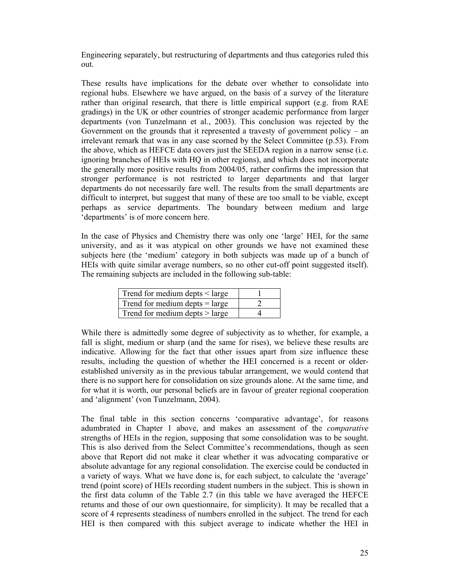Engineering separately, but restructuring of departments and thus categories ruled this out.

These results have implications for the debate over whether to consolidate into regional hubs. Elsewhere we have argued, on the basis of a survey of the literature rather than original research, that there is little empirical support (e.g. from RAE gradings) in the UK or other countries of stronger academic performance from larger departments (von Tunzelmann et al., 2003). This conclusion was rejected by the Government on the grounds that it represented a travesty of government policy – an irrelevant remark that was in any case scorned by the Select Committee (p.53). From the above, which as HEFCE data covers just the SEEDA region in a narrow sense (i.e. ignoring branches of HEIs with HQ in other regions), and which does not incorporate the generally more positive results from 2004/05, rather confirms the impression that stronger performance is not restricted to larger departments and that larger departments do not necessarily fare well. The results from the small departments are difficult to interpret, but suggest that many of these are too small to be viable, except perhaps as service departments. The boundary between medium and large 'departments' is of more concern here.

In the case of Physics and Chemistry there was only one 'large' HEI, for the same university, and as it was atypical on other grounds we have not examined these subjects here (the 'medium' category in both subjects was made up of a bunch of HEIs with quite similar average numbers, so no other cut-off point suggested itself). The remaining subjects are included in the following sub-table:

| Trend for medium depts $\leq$ large |  |
|-------------------------------------|--|
| Trend for medium depts $=$ large    |  |
| Trend for medium depts $>$ large    |  |

While there is admittedly some degree of subjectivity as to whether, for example, a fall is slight, medium or sharp (and the same for rises), we believe these results are indicative. Allowing for the fact that other issues apart from size influence these results, including the question of whether the HEI concerned is a recent or olderestablished university as in the previous tabular arrangement, we would contend that there is no support here for consolidation on size grounds alone. At the same time, and for what it is worth, our personal beliefs are in favour of greater regional cooperation and 'alignment' (von Tunzelmann, 2004).

The final table in this section concerns 'comparative advantage', for reasons adumbrated in Chapter 1 above, and makes an assessment of the *comparative* strengths of HEIs in the region, supposing that some consolidation was to be sought. This is also derived from the Select Committee's recommendations, though as seen above that Report did not make it clear whether it was advocating comparative or absolute advantage for any regional consolidation. The exercise could be conducted in a variety of ways. What we have done is, for each subject, to calculate the 'average' trend (point score) of HEIs recording student numbers in the subject. This is shown in the first data column of the Table 2.7 (in this table we have averaged the HEFCE returns and those of our own questionnaire, for simplicity). It may be recalled that a score of 4 represents steadiness of numbers enrolled in the subject. The trend for each HEI is then compared with this subject average to indicate whether the HEI in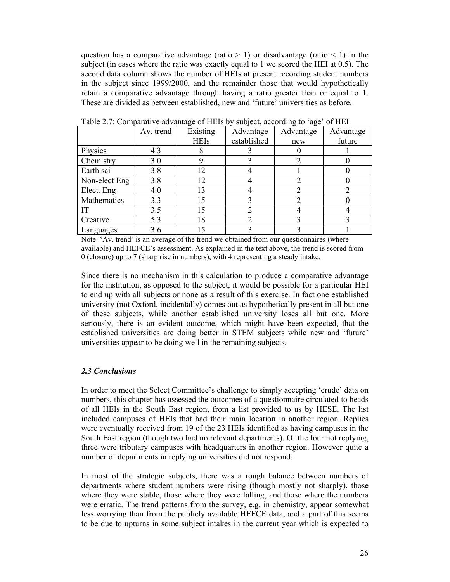question has a comparative advantage (ratio  $> 1$ ) or disadvantage (ratio  $< 1$ ) in the subject (in cases where the ratio was exactly equal to 1 we scored the HEI at 0.5). The second data column shows the number of HEIs at present recording student numbers in the subject since 1999/2000, and the remainder those that would hypothetically retain a comparative advantage through having a ratio greater than or equal to 1. These are divided as between established, new and 'future' universities as before.

|               | Av. trend | Existing<br><b>HEIs</b> | Advantage<br>established | Advantage | Advantage<br>future |
|---------------|-----------|-------------------------|--------------------------|-----------|---------------------|
|               |           |                         |                          | new       |                     |
| Physics       | 4.3       |                         |                          |           |                     |
| Chemistry     | 3.0       |                         |                          |           |                     |
| Earth sci     | 3.8       | 12                      |                          |           |                     |
| Non-elect Eng | 3.8       | 12                      |                          |           |                     |
| Elect. Eng    | 4.0       | 13                      |                          |           |                     |
| Mathematics   | 3.3       | 15                      |                          |           |                     |
| IT            | 3.5       | 15                      |                          |           |                     |
| Creative      | 5.3       | 18                      |                          |           |                     |
| Languages     | 3.6       | 15                      |                          |           |                     |

Table 2.7: Comparative advantage of HEIs by subject, according to 'age' of HEI

Note: 'Av. trend' is an average of the trend we obtained from our questionnaires (where available) and HEFCE's assessment. As explained in the text above, the trend is scored from 0 (closure) up to 7 (sharp rise in numbers), with 4 representing a steady intake.

Since there is no mechanism in this calculation to produce a comparative advantage for the institution, as opposed to the subject, it would be possible for a particular HEI to end up with all subjects or none as a result of this exercise. In fact one established university (not Oxford, incidentally) comes out as hypothetically present in all but one of these subjects, while another established university loses all but one. More seriously, there is an evident outcome, which might have been expected, that the established universities are doing better in STEM subjects while new and 'future' universities appear to be doing well in the remaining subjects.

## *2.3 Conclusions*

In order to meet the Select Committee's challenge to simply accepting 'crude' data on numbers, this chapter has assessed the outcomes of a questionnaire circulated to heads of all HEIs in the South East region, from a list provided to us by HESE. The list included campuses of HEIs that had their main location in another region. Replies were eventually received from 19 of the 23 HEIs identified as having campuses in the South East region (though two had no relevant departments). Of the four not replying, three were tributary campuses with headquarters in another region. However quite a number of departments in replying universities did not respond.

In most of the strategic subjects, there was a rough balance between numbers of departments where student numbers were rising (though mostly not sharply), those where they were stable, those where they were falling, and those where the numbers were erratic. The trend patterns from the survey, e.g. in chemistry, appear somewhat less worrying than from the publicly available HEFCE data, and a part of this seems to be due to upturns in some subject intakes in the current year which is expected to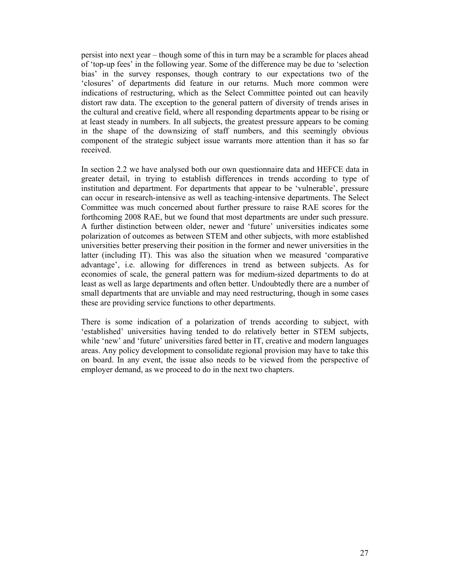persist into next year – though some of this in turn may be a scramble for places ahead of 'top-up fees' in the following year. Some of the difference may be due to 'selection bias' in the survey responses, though contrary to our expectations two of the 'closures' of departments did feature in our returns. Much more common were indications of restructuring, which as the Select Committee pointed out can heavily distort raw data. The exception to the general pattern of diversity of trends arises in the cultural and creative field, where all responding departments appear to be rising or at least steady in numbers. In all subjects, the greatest pressure appears to be coming in the shape of the downsizing of staff numbers, and this seemingly obvious component of the strategic subject issue warrants more attention than it has so far received.

In section 2.2 we have analysed both our own questionnaire data and HEFCE data in greater detail, in trying to establish differences in trends according to type of institution and department. For departments that appear to be 'vulnerable', pressure can occur in research-intensive as well as teaching-intensive departments. The Select Committee was much concerned about further pressure to raise RAE scores for the forthcoming 2008 RAE, but we found that most departments are under such pressure. A further distinction between older, newer and 'future' universities indicates some polarization of outcomes as between STEM and other subjects, with more established universities better preserving their position in the former and newer universities in the latter (including IT). This was also the situation when we measured 'comparative advantage', i.e. allowing for differences in trend as between subjects. As for economies of scale, the general pattern was for medium-sized departments to do at least as well as large departments and often better. Undoubtedly there are a number of small departments that are unviable and may need restructuring, though in some cases these are providing service functions to other departments.

There is some indication of a polarization of trends according to subject, with 'established' universities having tended to do relatively better in STEM subjects, while 'new' and 'future' universities fared better in IT, creative and modern languages areas. Any policy development to consolidate regional provision may have to take this on board. In any event, the issue also needs to be viewed from the perspective of employer demand, as we proceed to do in the next two chapters.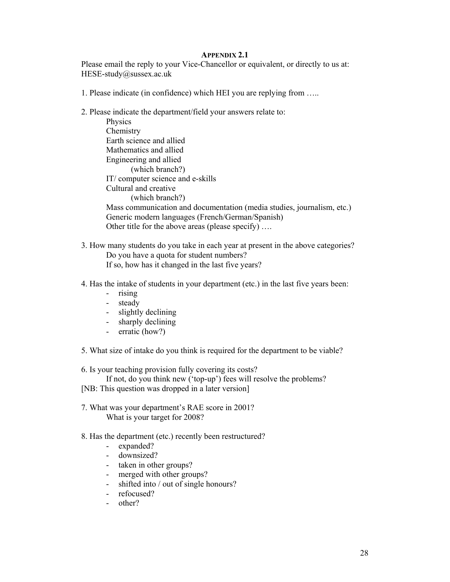## **APPENDIX 2.1**

Please email the reply to your Vice-Chancellor or equivalent, or directly to us at: HESE-study@sussex.ac.uk

- 1. Please indicate (in confidence) which HEI you are replying from …..
- 2. Please indicate the department/field your answers relate to:

 Physics Chemistry Earth science and allied Mathematics and allied Engineering and allied (which branch?) IT/ computer science and e-skills Cultural and creative (which branch?) Mass communication and documentation (media studies, journalism, etc.) Generic modern languages (French/German/Spanish) Other title for the above areas (please specify) ….

- 3. How many students do you take in each year at present in the above categories? Do you have a quota for student numbers? If so, how has it changed in the last five years?
- 4. Has the intake of students in your department (etc.) in the last five years been:
	- rising
	- steady
	- slightly declining
	- sharply declining
	- erratic (how?)
- 5. What size of intake do you think is required for the department to be viable?

6. Is your teaching provision fully covering its costs?

 If not, do you think new ('top-up') fees will resolve the problems? [NB: This question was dropped in a later version]

- 7. What was your department's RAE score in 2001? What is your target for 2008?
- 8. Has the department (etc.) recently been restructured?
	- expanded?
	- downsized?
	- taken in other groups?
	- merged with other groups?
	- shifted into / out of single honours?
	- refocused?
	- other?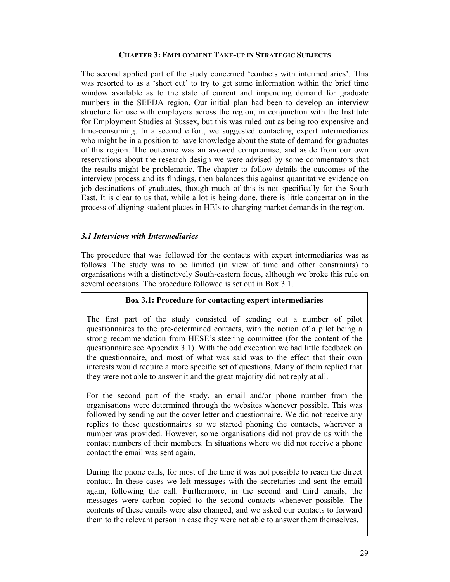# **CHAPTER 3: EMPLOYMENT TAKE-UP IN STRATEGIC SUBJECTS**

The second applied part of the study concerned 'contacts with intermediaries'. This was resorted to as a 'short cut' to try to get some information within the brief time window available as to the state of current and impending demand for graduate numbers in the SEEDA region. Our initial plan had been to develop an interview structure for use with employers across the region, in conjunction with the Institute for Employment Studies at Sussex, but this was ruled out as being too expensive and time-consuming. In a second effort, we suggested contacting expert intermediaries who might be in a position to have knowledge about the state of demand for graduates of this region. The outcome was an avowed compromise, and aside from our own reservations about the research design we were advised by some commentators that the results might be problematic. The chapter to follow details the outcomes of the interview process and its findings, then balances this against quantitative evidence on job destinations of graduates, though much of this is not specifically for the South East. It is clear to us that, while a lot is being done, there is little concertation in the process of aligning student places in HEIs to changing market demands in the region.

# *3.1 Interviews with Intermediaries*

The procedure that was followed for the contacts with expert intermediaries was as follows. The study was to be limited (in view of time and other constraints) to organisations with a distinctively South-eastern focus, although we broke this rule on several occasions. The procedure followed is set out in Box 3.1.

# **Box 3.1: Procedure for contacting expert intermediaries**

The first part of the study consisted of sending out a number of pilot questionnaires to the pre-determined contacts, with the notion of a pilot being a strong recommendation from HESE's steering committee (for the content of the questionnaire see Appendix 3.1). With the odd exception we had little feedback on the questionnaire, and most of what was said was to the effect that their own interests would require a more specific set of questions. Many of them replied that they were not able to answer it and the great majority did not reply at all.

For the second part of the study, an email and/or phone number from the organisations were determined through the websites whenever possible. This was followed by sending out the cover letter and questionnaire. We did not receive any replies to these questionnaires so we started phoning the contacts, wherever a number was provided. However, some organisations did not provide us with the contact numbers of their members. In situations where we did not receive a phone contact the email was sent again.

During the phone calls, for most of the time it was not possible to reach the direct contact. In these cases we left messages with the secretaries and sent the email again, following the call. Furthermore, in the second and third emails, the messages were carbon copied to the second contacts whenever possible. The contents of these emails were also changed, and we asked our contacts to forward them to the relevant person in case they were not able to answer them themselves.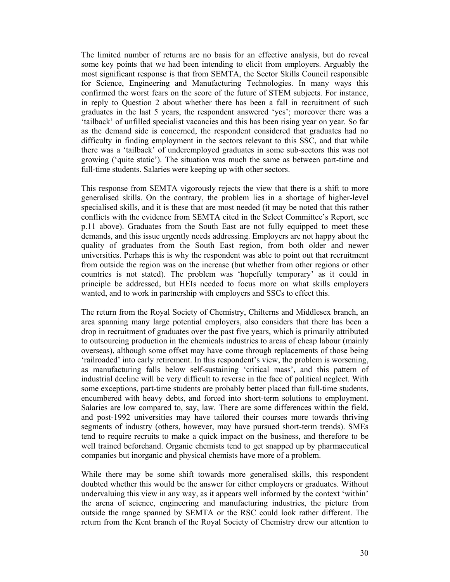The limited number of returns are no basis for an effective analysis, but do reveal some key points that we had been intending to elicit from employers. Arguably the most significant response is that from SEMTA, the Sector Skills Council responsible for Science, Engineering and Manufacturing Technologies. In many ways this confirmed the worst fears on the score of the future of STEM subjects. For instance, in reply to Question 2 about whether there has been a fall in recruitment of such graduates in the last 5 years, the respondent answered 'yes'; moreover there was a 'tailback' of unfilled specialist vacancies and this has been rising year on year. So far as the demand side is concerned, the respondent considered that graduates had no difficulty in finding employment in the sectors relevant to this SSC, and that while there was a 'tailback' of underemployed graduates in some sub-sectors this was not growing ('quite static'). The situation was much the same as between part-time and full-time students. Salaries were keeping up with other sectors.

This response from SEMTA vigorously rejects the view that there is a shift to more generalised skills. On the contrary, the problem lies in a shortage of higher-level specialised skills, and it is these that are most needed (it may be noted that this rather conflicts with the evidence from SEMTA cited in the Select Committee's Report, see p.11 above). Graduates from the South East are not fully equipped to meet these demands, and this issue urgently needs addressing. Employers are not happy about the quality of graduates from the South East region, from both older and newer universities. Perhaps this is why the respondent was able to point out that recruitment from outside the region was on the increase (but whether from other regions or other countries is not stated). The problem was 'hopefully temporary' as it could in principle be addressed, but HEIs needed to focus more on what skills employers wanted, and to work in partnership with employers and SSCs to effect this.

The return from the Royal Society of Chemistry, Chilterns and Middlesex branch, an area spanning many large potential employers, also considers that there has been a drop in recruitment of graduates over the past five years, which is primarily attributed to outsourcing production in the chemicals industries to areas of cheap labour (mainly overseas), although some offset may have come through replacements of those being 'railroaded' into early retirement. In this respondent's view, the problem is worsening, as manufacturing falls below self-sustaining 'critical mass', and this pattern of industrial decline will be very difficult to reverse in the face of political neglect. With some exceptions, part-time students are probably better placed than full-time students, encumbered with heavy debts, and forced into short-term solutions to employment. Salaries are low compared to, say, law. There are some differences within the field, and post-1992 universities may have tailored their courses more towards thriving segments of industry (others, however, may have pursued short-term trends). SMEs tend to require recruits to make a quick impact on the business, and therefore to be well trained beforehand. Organic chemists tend to get snapped up by pharmaceutical companies but inorganic and physical chemists have more of a problem.

While there may be some shift towards more generalised skills, this respondent doubted whether this would be the answer for either employers or graduates. Without undervaluing this view in any way, as it appears well informed by the context 'within' the arena of science, engineering and manufacturing industries, the picture from outside the range spanned by SEMTA or the RSC could look rather different. The return from the Kent branch of the Royal Society of Chemistry drew our attention to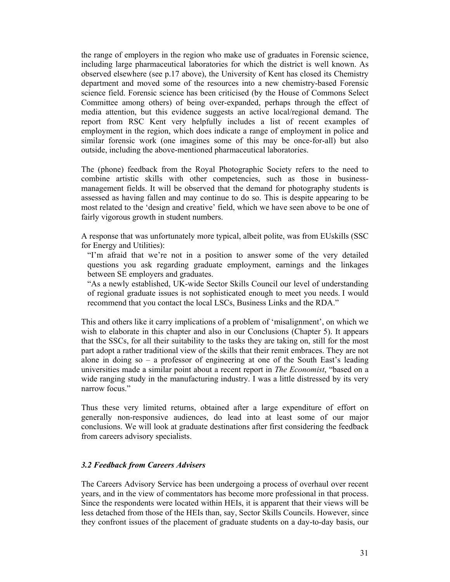the range of employers in the region who make use of graduates in Forensic science, including large pharmaceutical laboratories for which the district is well known. As observed elsewhere (see p.17 above), the University of Kent has closed its Chemistry department and moved some of the resources into a new chemistry-based Forensic science field. Forensic science has been criticised (by the House of Commons Select Committee among others) of being over-expanded, perhaps through the effect of media attention, but this evidence suggests an active local/regional demand. The report from RSC Kent very helpfully includes a list of recent examples of employment in the region, which does indicate a range of employment in police and similar forensic work (one imagines some of this may be once-for-all) but also outside, including the above-mentioned pharmaceutical laboratories.

The (phone) feedback from the Royal Photographic Society refers to the need to combine artistic skills with other competencies, such as those in businessmanagement fields. It will be observed that the demand for photography students is assessed as having fallen and may continue to do so. This is despite appearing to be most related to the 'design and creative' field, which we have seen above to be one of fairly vigorous growth in student numbers.

A response that was unfortunately more typical, albeit polite, was from EUskills (SSC for Energy and Utilities):

"I'm afraid that we're not in a position to answer some of the very detailed questions you ask regarding graduate employment, earnings and the linkages between SE employers and graduates.

"As a newly established, UK-wide Sector Skills Council our level of understanding of regional graduate issues is not sophisticated enough to meet you needs. I would recommend that you contact the local LSCs, Business Links and the RDA."

This and others like it carry implications of a problem of 'misalignment', on which we wish to elaborate in this chapter and also in our Conclusions (Chapter 5). It appears that the SSCs, for all their suitability to the tasks they are taking on, still for the most part adopt a rather traditional view of the skills that their remit embraces. They are not alone in doing so – a professor of engineering at one of the South East's leading universities made a similar point about a recent report in *The Economist*, "based on a wide ranging study in the manufacturing industry. I was a little distressed by its very narrow focus"

Thus these very limited returns, obtained after a large expenditure of effort on generally non-responsive audiences, do lead into at least some of our major conclusions. We will look at graduate destinations after first considering the feedback from careers advisory specialists.

## *3.2 Feedback from Careers Advisers*

The Careers Advisory Service has been undergoing a process of overhaul over recent years, and in the view of commentators has become more professional in that process. Since the respondents were located within HEIs, it is apparent that their views will be less detached from those of the HEIs than, say, Sector Skills Councils. However, since they confront issues of the placement of graduate students on a day-to-day basis, our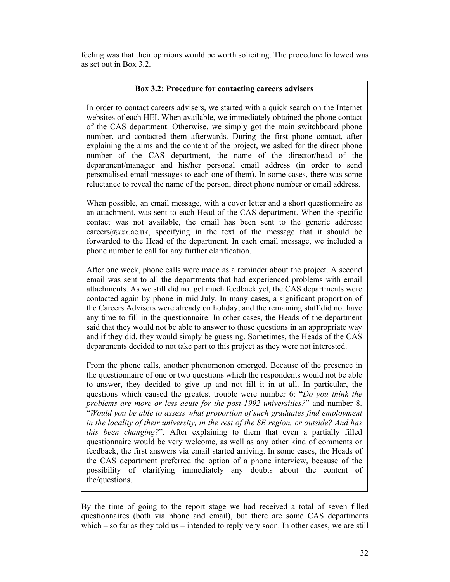feeling was that their opinions would be worth soliciting. The procedure followed was as set out in Box 3.2.

# **Box 3.2: Procedure for contacting careers advisers**

In order to contact careers advisers, we started with a quick search on the Internet websites of each HEI. When available, we immediately obtained the phone contact of the CAS department. Otherwise, we simply got the main switchboard phone number, and contacted them afterwards. During the first phone contact, after explaining the aims and the content of the project, we asked for the direct phone number of the CAS department, the name of the director/head of the department/manager and his/her personal email address (in order to send personalised email messages to each one of them). In some cases, there was some reluctance to reveal the name of the person, direct phone number or email address.

When possible, an email message, with a cover letter and a short questionnaire as an attachment, was sent to each Head of the CAS department. When the specific contact was not available, the email has been sent to the generic address: careers@*xxx*.ac.uk, specifying in the text of the message that it should be forwarded to the Head of the department. In each email message, we included a phone number to call for any further clarification.

After one week, phone calls were made as a reminder about the project. A second email was sent to all the departments that had experienced problems with email attachments. As we still did not get much feedback yet, the CAS departments were contacted again by phone in mid July. In many cases, a significant proportion of the Careers Advisers were already on holiday, and the remaining staff did not have any time to fill in the questionnaire. In other cases, the Heads of the department said that they would not be able to answer to those questions in an appropriate way and if they did, they would simply be guessing. Sometimes, the Heads of the CAS departments decided to not take part to this project as they were not interested.

From the phone calls, another phenomenon emerged. Because of the presence in the questionnaire of one or two questions which the respondents would not be able to answer, they decided to give up and not fill it in at all. In particular, the questions which caused the greatest trouble were number 6: "*Do you think the problems are more or less acute for the post-1992 universities?*" and number 8. "*Would you be able to assess what proportion of such graduates find employment in the locality of their university, in the rest of the SE region, or outside? And has this been changing?*". After explaining to them that even a partially filled questionnaire would be very welcome, as well as any other kind of comments or feedback, the first answers via email started arriving. In some cases, the Heads of the CAS department preferred the option of a phone interview, because of the possibility of clarifying immediately any doubts about the content of the/questions.

By the time of going to the report stage we had received a total of seven filled questionnaires (both via phone and email), but there are some CAS departments which – so far as they told us – intended to reply very soon. In other cases, we are still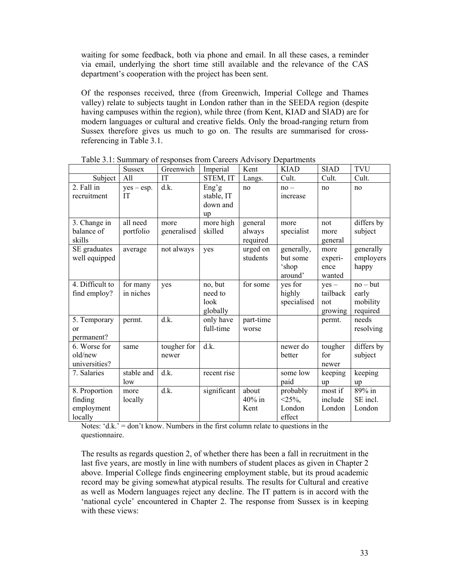waiting for some feedback, both via phone and email. In all these cases, a reminder via email, underlying the short time still available and the relevance of the CAS department's cooperation with the project has been sent.

Of the responses received, three (from Greenwich, Imperial College and Thames valley) relate to subjects taught in London rather than in the SEEDA region (despite having campuses within the region), while three (from Kent, KIAD and SIAD) are for modern languages or cultural and creative fields. Only the broad-ranging return from Sussex therefore gives us much to go on. The results are summarised for crossreferencing in Table 3.1.

|                                                   | <b>Sussex</b>             | Greenwich            | Imperial                               | Kent                          | <b>KIAD</b>                                | <b>SIAD</b>                           | <b>TVU</b>                                  |
|---------------------------------------------------|---------------------------|----------------------|----------------------------------------|-------------------------------|--------------------------------------------|---------------------------------------|---------------------------------------------|
| Subject                                           | All                       | IT                   | STEM, IT                               | Langs.                        | Cult.                                      | Cult.                                 | Cult.                                       |
| 2. Fall in<br>recruitment                         | $yes - esp.$<br><b>IT</b> | d.k.                 | Eng'g<br>stable, IT<br>down and<br>up  | no                            | $no -$<br>increase                         | no                                    | no                                          |
| 3. Change in<br>balance of<br>skills              | all need<br>portfolio     | more<br>generalised  | more high<br>skilled                   | general<br>always<br>required | more<br>specialist                         | not<br>more<br>general                | differs by<br>subject                       |
| SE graduates<br>well equipped                     | average                   | not always           | yes                                    | urged on<br>students          | generally,<br>but some<br>'shop<br>around' | more<br>experi-<br>ence<br>wanted     | generally<br>employers<br>happy             |
| 4. Difficult to<br>find employ?                   | for many<br>in niches     | yes                  | no, but<br>need to<br>look<br>globally | for some                      | yes for<br>highly<br>specialised           | $yes -$<br>tailback<br>not<br>growing | $no - but$<br>early<br>mobility<br>required |
| 5. Temporary<br>or<br>permanent?                  | permt.                    | d.k.                 | only have<br>full-time                 | part-time<br>worse            |                                            | permt.                                | needs<br>resolving                          |
| 6. Worse for<br>old/new<br>universities?          | same                      | tougher for<br>newer | d.k.                                   |                               | newer do<br>better                         | tougher<br>for<br>newer               | differs by<br>subject                       |
| 7. Salaries                                       | stable and<br>low         | d.k.                 | recent rise                            |                               | some low<br>paid                           | keeping<br>up                         | keeping<br>up                               |
| 8. Proportion<br>finding<br>employment<br>locally | more<br>locally           | d.k.                 | significant                            | about<br>$40\%$ in<br>Kent    | probably<br>$<$ 25%,<br>London<br>effect   | most if<br>include<br>London          | $89\%$ in<br>SE incl.<br>London             |

Table 3.1: Summary of responses from Careers Advisory Departments

Notes:  $d.k. = don't know. Numbers in the first column relate to questions in the$ questionnaire.

The results as regards question 2, of whether there has been a fall in recruitment in the last five years, are mostly in line with numbers of student places as given in Chapter 2 above. Imperial College finds engineering employment stable, but its proud academic record may be giving somewhat atypical results. The results for Cultural and creative as well as Modern languages reject any decline. The IT pattern is in accord with the 'national cycle' encountered in Chapter 2. The response from Sussex is in keeping with these views: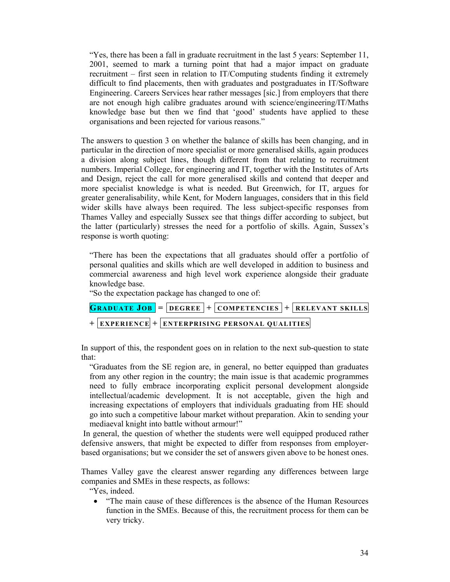"Yes, there has been a fall in graduate recruitment in the last 5 years: September 11, 2001, seemed to mark a turning point that had a major impact on graduate recruitment – first seen in relation to IT/Computing students finding it extremely difficult to find placements, then with graduates and postgraduates in IT/Software Engineering. Careers Services hear rather messages [sic.] from employers that there are not enough high calibre graduates around with science/engineering/IT/Maths knowledge base but then we find that 'good' students have applied to these organisations and been rejected for various reasons."

The answers to question 3 on whether the balance of skills has been changing, and in particular in the direction of more specialist or more generalised skills, again produces a division along subject lines, though different from that relating to recruitment numbers. Imperial College, for engineering and IT, together with the Institutes of Arts and Design, reject the call for more generalised skills and contend that deeper and more specialist knowledge is what is needed. But Greenwich, for IT, argues for greater generalisability, while Kent, for Modern languages, considers that in this field wider skills have always been required. The less subject-specific responses from Thames Valley and especially Sussex see that things differ according to subject, but the latter (particularly) stresses the need for a portfolio of skills. Again, Sussex's response is worth quoting:

"There has been the expectations that all graduates should offer a portfolio of personal qualities and skills which are well developed in addition to business and commercial awareness and high level work experience alongside their graduate knowledge base.

"So the expectation package has changed to one of:

| <b>GRADUATE JOB</b> = $DEGREE$ + $COMPETENCES$ + $RELEVANT SKILLS$ |  |  |  |
|--------------------------------------------------------------------|--|--|--|
| + EXPERIENCE + ENTERPRISING PERSONAL QUALITIES                     |  |  |  |

In support of this, the respondent goes on in relation to the next sub-question to state that:

"Graduates from the SE region are, in general, no better equipped than graduates from any other region in the country; the main issue is that academic programmes need to fully embrace incorporating explicit personal development alongside intellectual/academic development. It is not acceptable, given the high and increasing expectations of employers that individuals graduating from HE should go into such a competitive labour market without preparation. Akin to sending your mediaeval knight into battle without armour!"

 In general, the question of whether the students were well equipped produced rather defensive answers, that might be expected to differ from responses from employerbased organisations; but we consider the set of answers given above to be honest ones.

Thames Valley gave the clearest answer regarding any differences between large companies and SMEs in these respects, as follows:

"Yes, indeed.

• "The main cause of these differences is the absence of the Human Resources function in the SMEs. Because of this, the recruitment process for them can be very tricky.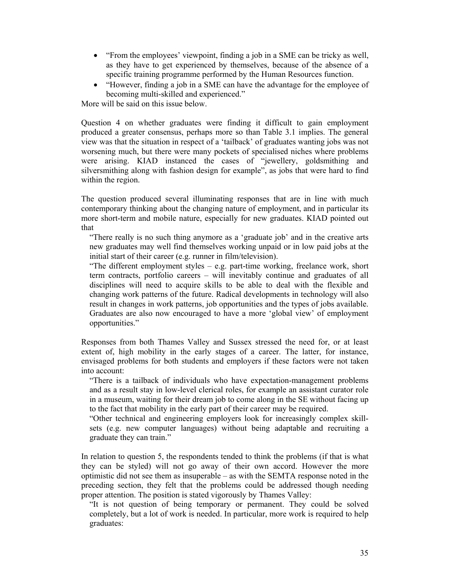- "From the employees' viewpoint, finding a job in a SME can be tricky as well, as they have to get experienced by themselves, because of the absence of a specific training programme performed by the Human Resources function.
- "However, finding a job in a SME can have the advantage for the employee of becoming multi-skilled and experienced."

More will be said on this issue below.

Question 4 on whether graduates were finding it difficult to gain employment produced a greater consensus, perhaps more so than Table 3.1 implies. The general view was that the situation in respect of a 'tailback' of graduates wanting jobs was not worsening much, but there were many pockets of specialised niches where problems were arising. KIAD instanced the cases of "jewellery, goldsmithing and silversmithing along with fashion design for example", as jobs that were hard to find within the region.

The question produced several illuminating responses that are in line with much contemporary thinking about the changing nature of employment, and in particular its more short-term and mobile nature, especially for new graduates. KIAD pointed out that

"There really is no such thing anymore as a 'graduate job' and in the creative arts new graduates may well find themselves working unpaid or in low paid jobs at the initial start of their career (e.g. runner in film/television).

"The different employment styles  $-$  e.g. part-time working, freelance work, short term contracts, portfolio careers – will inevitably continue and graduates of all disciplines will need to acquire skills to be able to deal with the flexible and changing work patterns of the future. Radical developments in technology will also result in changes in work patterns, job opportunities and the types of jobs available. Graduates are also now encouraged to have a more 'global view' of employment opportunities."

Responses from both Thames Valley and Sussex stressed the need for, or at least extent of, high mobility in the early stages of a career. The latter, for instance, envisaged problems for both students and employers if these factors were not taken into account:

"There is a tailback of individuals who have expectation-management problems and as a result stay in low-level clerical roles, for example an assistant curator role in a museum, waiting for their dream job to come along in the SE without facing up to the fact that mobility in the early part of their career may be required.

"Other technical and engineering employers look for increasingly complex skillsets (e.g. new computer languages) without being adaptable and recruiting a graduate they can train."

In relation to question 5, the respondents tended to think the problems (if that is what they can be styled) will not go away of their own accord. However the more optimistic did not see them as insuperable – as with the SEMTA response noted in the preceding section, they felt that the problems could be addressed though needing proper attention. The position is stated vigorously by Thames Valley:

"It is not question of being temporary or permanent. They could be solved completely, but a lot of work is needed. In particular, more work is required to help graduates: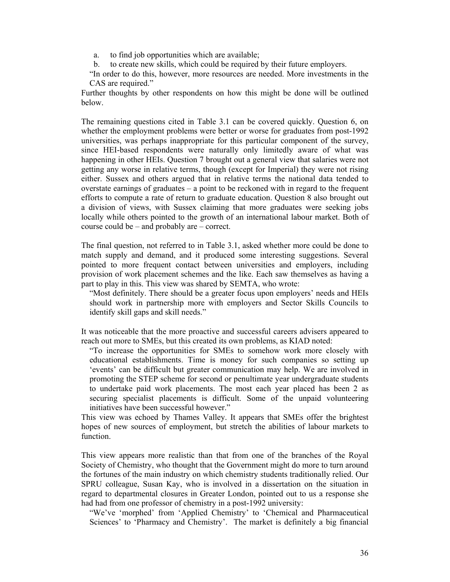a. to find job opportunities which are available;

b. to create new skills, which could be required by their future employers.

"In order to do this, however, more resources are needed. More investments in the CAS are required."

Further thoughts by other respondents on how this might be done will be outlined below.

The remaining questions cited in Table 3.1 can be covered quickly. Question 6, on whether the employment problems were better or worse for graduates from post-1992 universities, was perhaps inappropriate for this particular component of the survey, since HEI-based respondents were naturally only limitedly aware of what was happening in other HEIs. Question 7 brought out a general view that salaries were not getting any worse in relative terms, though (except for Imperial) they were not rising either. Sussex and others argued that in relative terms the national data tended to overstate earnings of graduates – a point to be reckoned with in regard to the frequent efforts to compute a rate of return to graduate education. Question 8 also brought out a division of views, with Sussex claiming that more graduates were seeking jobs locally while others pointed to the growth of an international labour market. Both of course could be – and probably are – correct.

The final question, not referred to in Table 3.1, asked whether more could be done to match supply and demand, and it produced some interesting suggestions. Several pointed to more frequent contact between universities and employers, including provision of work placement schemes and the like. Each saw themselves as having a part to play in this. This view was shared by SEMTA, who wrote:

"Most definitely. There should be a greater focus upon employers' needs and HEIs should work in partnership more with employers and Sector Skills Councils to identify skill gaps and skill needs."

It was noticeable that the more proactive and successful careers advisers appeared to reach out more to SMEs, but this created its own problems, as KIAD noted:

"To increase the opportunities for SMEs to somehow work more closely with educational establishments. Time is money for such companies so setting up 'events' can be difficult but greater communication may help. We are involved in promoting the STEP scheme for second or penultimate year undergraduate students to undertake paid work placements. The most each year placed has been 2 as securing specialist placements is difficult. Some of the unpaid volunteering initiatives have been successful however."

This view was echoed by Thames Valley. It appears that SMEs offer the brightest hopes of new sources of employment, but stretch the abilities of labour markets to function.

This view appears more realistic than that from one of the branches of the Royal Society of Chemistry, who thought that the Government might do more to turn around the fortunes of the main industry on which chemistry students traditionally relied. Our SPRU colleague, Susan Kay, who is involved in a dissertation on the situation in regard to departmental closures in Greater London, pointed out to us a response she had had from one professor of chemistry in a post-1992 university:

"We've 'morphed' from 'Applied Chemistry' to 'Chemical and Pharmaceutical Sciences' to 'Pharmacy and Chemistry'. The market is definitely a big financial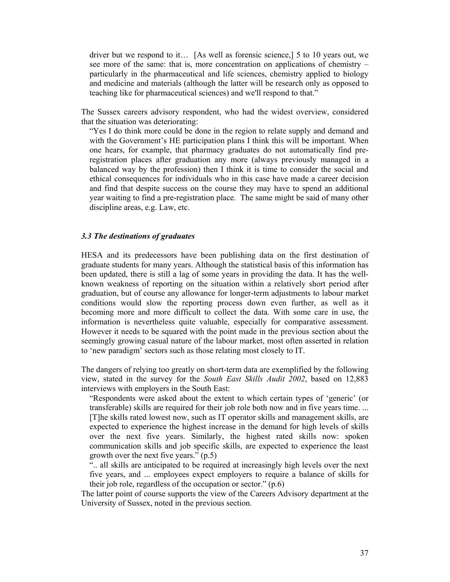driver but we respond to it… [As well as forensic science,] 5 to 10 years out, we see more of the same: that is, more concentration on applications of chemistry – particularly in the pharmaceutical and life sciences, chemistry applied to biology and medicine and materials (although the latter will be research only as opposed to teaching like for pharmaceutical sciences) and we'll respond to that."

The Sussex careers advisory respondent, who had the widest overview, considered that the situation was deteriorating:

"Yes I do think more could be done in the region to relate supply and demand and with the Government's HE participation plans I think this will be important. When one hears, for example, that pharmacy graduates do not automatically find preregistration places after graduation any more (always previously managed in a balanced way by the profession) then I think it is time to consider the social and ethical consequences for individuals who in this case have made a career decision and find that despite success on the course they may have to spend an additional year waiting to find a pre-registration place. The same might be said of many other discipline areas, e.g. Law, etc.

#### *3.3 The destinations of graduates*

HESA and its predecessors have been publishing data on the first destination of graduate students for many years. Although the statistical basis of this information has been updated, there is still a lag of some years in providing the data. It has the wellknown weakness of reporting on the situation within a relatively short period after graduation, but of course any allowance for longer-term adjustments to labour market conditions would slow the reporting process down even further, as well as it becoming more and more difficult to collect the data. With some care in use, the information is nevertheless quite valuable, especially for comparative assessment. However it needs to be squared with the point made in the previous section about the seemingly growing casual nature of the labour market, most often asserted in relation to 'new paradigm' sectors such as those relating most closely to IT.

The dangers of relying too greatly on short-term data are exemplified by the following view, stated in the survey for the *South East Skills Audit 2002*, based on 12,883 interviews with employers in the South East:

"Respondents were asked about the extent to which certain types of 'generic' (or transferable) skills are required for their job role both now and in five years time. ... [T]he skills rated lowest now, such as IT operator skills and management skills, are expected to experience the highest increase in the demand for high levels of skills over the next five years. Similarly, the highest rated skills now: spoken communication skills and job specific skills, are expected to experience the least growth over the next five years."  $(p.5)$ 

".. all skills are anticipated to be required at increasingly high levels over the next five years, and ... employees expect employers to require a balance of skills for their job role, regardless of the occupation or sector." (p.6)

The latter point of course supports the view of the Careers Advisory department at the University of Sussex, noted in the previous section.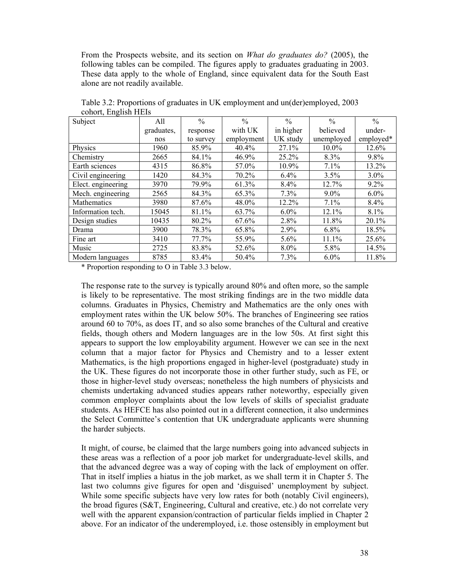From the Prospects website, and its section on *What do graduates do?* (2005), the following tables can be compiled. The figures apply to graduates graduating in 2003. These data apply to the whole of England, since equivalent data for the South East alone are not readily available.

| $\frac{1}{2}$      |            |               |               |               |               |               |
|--------------------|------------|---------------|---------------|---------------|---------------|---------------|
| Subject            | All        | $\frac{0}{0}$ | $\frac{0}{0}$ | $\frac{0}{0}$ | $\frac{0}{0}$ | $\frac{0}{0}$ |
|                    | graduates, | response      | with UK       | in higher     | believed      | under-        |
|                    | nos        | to survey     | employment    | UK study      | unemployed    | employed*     |
| Physics            | 1960       | 85.9%         | 40.4%         | 27.1%         | $10.0\%$      | 12.6%         |
| Chemistry          | 2665       | 84.1%         | 46.9%         | 25.2%         | $8.3\%$       | $9.8\%$       |
| Earth sciences     | 4315       | 86.8%         | 57.0%         | 10.9%         | 7.1%          | 13.2%         |
| Civil engineering  | 1420       | 84.3%         | 70.2%         | 6.4%          | 3.5%          | $3.0\%$       |
| Elect. engineering | 3970       | 79.9%         | 61.3%         | $8.4\%$       | 12.7%         | $9.2\%$       |
| Mech. engineering  | 2565       | 84.3%         | 65.3%         | $7.3\%$       | $9.0\%$       | $6.0\%$       |
| Mathematics        | 3980       | 87.6%         | 48.0%         | 12.2%         | 7.1%          | 8.4%          |
| Information tech.  | 15045      | 81.1%         | 63.7%         | $6.0\%$       | 12.1%         | 8.1%          |
| Design studies     | 10435      | 80.2%         | 67.6%         | 2.8%          | 11.8%         | 20.1%         |
| Drama              | 3900       | 78.3%         | 65.8%         | 2.9%          | $6.8\%$       | 18.5%         |
| Fine art           | 3410       | 77.7%         | 55.9%         | 5.6%          | 11.1%         | 25.6%         |
| Music              | 2725       | 83.8%         | 52.6%         | 8.0%          | 5.8%          | 14.5%         |
| Modern languages   | 8785       | 83.4%         | 50.4%         | 7.3%          | $6.0\%$       | 11.8%         |

Table 3.2: Proportions of graduates in UK employment and un(der)employed, 2003 cohort, English HEIs

\* Proportion responding to O in Table 3.3 below.

The response rate to the survey is typically around 80% and often more, so the sample is likely to be representative. The most striking findings are in the two middle data columns. Graduates in Physics, Chemistry and Mathematics are the only ones with employment rates within the UK below 50%. The branches of Engineering see ratios around 60 to 70%, as does IT, and so also some branches of the Cultural and creative fields, though others and Modern languages are in the low 50s. At first sight this appears to support the low employability argument. However we can see in the next column that a major factor for Physics and Chemistry and to a lesser extent Mathematics, is the high proportions engaged in higher-level (postgraduate) study in the UK. These figures do not incorporate those in other further study, such as FE, or those in higher-level study overseas; nonetheless the high numbers of physicists and chemists undertaking advanced studies appears rather noteworthy, especially given common employer complaints about the low levels of skills of specialist graduate students. As HEFCE has also pointed out in a different connection, it also undermines the Select Committee's contention that UK undergraduate applicants were shunning the harder subjects.

It might, of course, be claimed that the large numbers going into advanced subjects in these areas was a reflection of a poor job market for undergraduate-level skills, and that the advanced degree was a way of coping with the lack of employment on offer. That in itself implies a hiatus in the job market, as we shall term it in Chapter 5. The last two columns give figures for open and 'disguised' unemployment by subject. While some specific subjects have very low rates for both (notably Civil engineers), the broad figures (S&T, Engineering, Cultural and creative, etc.) do not correlate very well with the apparent expansion/contraction of particular fields implied in Chapter 2 above. For an indicator of the underemployed, i.e. those ostensibly in employment but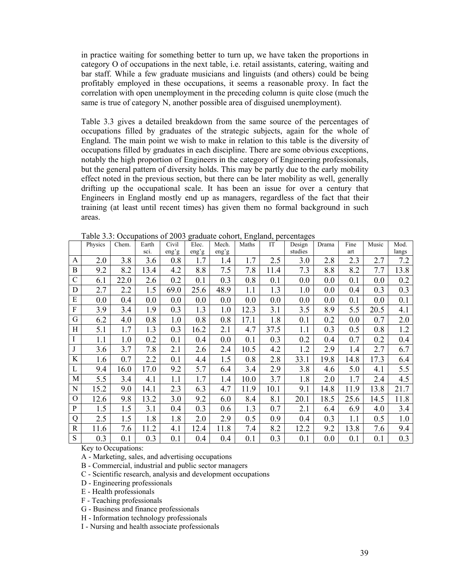in practice waiting for something better to turn up, we have taken the proportions in category O of occupations in the next table, i.e. retail assistants, catering, waiting and bar staff. While a few graduate musicians and linguists (and others) could be being profitably employed in these occupations, it seems a reasonable proxy. In fact the correlation with open unemployment in the preceding column is quite close (much the same is true of category N, another possible area of disguised unemployment).

Table 3.3 gives a detailed breakdown from the same source of the percentages of occupations filled by graduates of the strategic subjects, again for the whole of England. The main point we wish to make in relation to this table is the diversity of occupations filled by graduates in each discipline. There are some obvious exceptions, notably the high proportion of Engineers in the category of Engineering professionals, but the general pattern of diversity holds. This may be partly due to the early mobility effect noted in the previous section, but there can be later mobility as well, generally drifting up the occupational scale. It has been an issue for over a century that Engineers in England mostly end up as managers, regardless of the fact that their training (at least until recent times) has given them no formal background in such areas.

|                | Physics | Chem. | Earth | Civil | Elec. | Mech. | Maths | IT   | Design  | Drama | Fine | Music | Mod.  |
|----------------|---------|-------|-------|-------|-------|-------|-------|------|---------|-------|------|-------|-------|
|                |         |       | sci.  | eng'g | eng'g | eng'g |       |      | studies |       | art  |       | langs |
| A              | 2.0     | 3.8   | 3.6   | 0.8   | 1.7   | 1.4   | 1.7   | 2.5  | 3.0     | 2.8   | 2.3  | 2.7   | 7.2   |
| B              | 9.2     | 8.2   | 13.4  | 4.2   | 8.8   | 7.5   | 7.8   | 11.4 | 7.3     | 8.8   | 8.2  | 7.7   | 13.8  |
| $\mathcal{C}$  | 6.1     | 22.0  | 2.6   | 0.2   | 0.1   | 0.3   | 0.8   | 0.1  | 0.0     | 0.0   | 0.1  | 0.0   | 0.2   |
| D              | 2.7     | 2.2   | 1.5   | 69.0  | 25.6  | 48.9  | 1.1   | 1.3  | 1.0     | 0.0   | 0.4  | 0.3   | 0.3   |
| E              | 0.0     | 0.4   | 0.0   | 0.0   | 0.0   | 0.0   | 0.0   | 0.0  | 0.0     | 0.0   | 0.1  | 0.0   | 0.1   |
| F              | 3.9     | 3.4   | 1.9   | 0.3   | 1.3   | 1.0   | 12.3  | 3.1  | 3.5     | 8.9   | 5.5  | 20.5  | 4.1   |
| G              | 6.2     | 4.0   | 0.8   | 1.0   | 0.8   | 0.8   | 17.1  | 1.8  | 0.1     | 0.2   | 0.0  | 0.7   | 2.0   |
| Η              | 5.1     | 1.7   | 1.3   | 0.3   | 16.2  | 2.1   | 4.7   | 37.5 | 1.1     | 0.3   | 0.5  | 0.8   | 1.2   |
| I              | 1.1     | 1.0   | 0.2   | 0.1   | 0.4   | 0.0   | 0.1   | 0.3  | 0.2     | 0.4   | 0.7  | 0.2   | 0.4   |
| J              | 3.6     | 3.7   | 7.8   | 2.1   | 2.6   | 2.4   | 10.5  | 4.2  | 1.2     | 2.9   | 1.4  | 2.7   | 6.7   |
| K              | 1.6     | 0.7   | 2.2   | 0.1   | 4.4   | 1.5   | 0.8   | 2.8  | 33.1    | 19.8  | 14.8 | 17.3  | 6.4   |
| L              | 9.4     | 16.0  | 17.0  | 9.2   | 5.7   | 6.4   | 3.4   | 2.9  | 3.8     | 4.6   | 5.0  | 4.1   | 5.5   |
| M              | 5.5     | 3.4   | 4.1   | 1.1   | 1.7   | 1.4   | 10.0  | 3.7  | 1.8     | 2.0   | 1.7  | 2.4   | 4.5   |
| N              | 15.2    | 9.0   | 14.1  | 2.3   | 6.3   | 4.7   | 11.9  | 10.1 | 9.1     | 14.8  | 11.9 | 13.8  | 21.7  |
| $\overline{O}$ | 12.6    | 9.8   | 13.2  | 3.0   | 9.2   | 6.0   | 8.4   | 8.1  | 20.1    | 18.5  | 25.6 | 14.5  | 11.8  |
| $\mathbf{P}$   | 1.5     | 1.5   | 3.1   | 0.4   | 0.3   | 0.6   | 1.3   | 0.7  | 2.1     | 6.4   | 6.9  | 4.0   | 3.4   |
| Q              | 2.5     | 1.5   | 1.8   | 1.8   | 2.0   | 2.9   | 0.5   | 0.9  | 0.4     | 0.3   | 1.1  | 0.5   | 1.0   |
| R              | 11.6    | 7.6   | 11.2  | 4.1   | 12.4  | 11.8  | 7.4   | 8.2  | 12.2    | 9.2   | 13.8 | 7.6   | 9.4   |
| ${\bf S}$      | 0.3     | 0.1   | 0.3   | 0.1   | 0.4   | 0.4   | 0.1   | 0.3  | 0.1     | 0.0   | 0.1  | 0.1   | 0.3   |

Table 3.3: Occupations of 2003 graduate cohort, England, percentages

Key to Occupations:

A - Marketing, sales, and advertising occupations

B - Commercial, industrial and public sector managers

C - Scientific research, analysis and development occupations

D - Engineering professionals

E - Health professionals

F - Teaching professionals

G - Business and finance professionals

H - Information technology professionals

I - Nursing and health associate professionals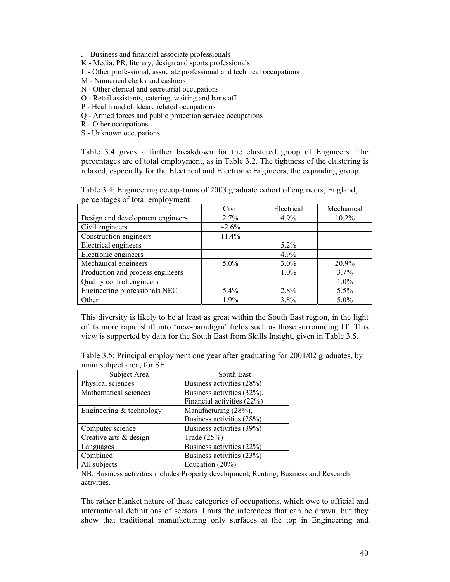J - Business and financial associate professionals

- K Media, PR, literary, design and sports professionals
- L Other professional, associate professional and technical occupations
- M Numerical clerks and cashiers
- N Other clerical and secretarial occupations
- O Retail assistants, catering, waiting and bar staff
- P Health and childcare related occupations
- Q Armed forces and public protection service occupations
- R Other occupations
- S Unknown occupations

Table 3.4 gives a further breakdown for the clustered group of Engineers. The percentages are of total employment, as in Table 3.2. The tightness of the clustering is relaxed, especially for the Electrical and Electronic Engineers, the expanding group.

Table 3.4: Engineering occupations of 2003 graduate cohort of engineers, England, percentages of total employment

|                                  | Civil   | Electrical | Mechanical |
|----------------------------------|---------|------------|------------|
| Design and development engineers | 2.7%    | 4.9%       | 10.2%      |
| Civil engineers                  | 42.6%   |            |            |
| Construction engineers           | 11.4%   |            |            |
| Electrical engineers             |         | $5.2\%$    |            |
| Electronic engineers             |         | 4.9%       |            |
| Mechanical engineers             | $5.0\%$ | $3.0\%$    | 20.9%      |
| Production and process engineers |         | $1.0\%$    | 3.7%       |
| Quality control engineers        |         |            | 1.0%       |
| Engineering professionals NEC    | 5.4%    | 2.8%       | 5.5%       |
| Other                            | $1.9\%$ | 3.8%       | $5.0\%$    |

This diversity is likely to be at least as great within the South East region, in the light of its more rapid shift into 'new-paradigm' fields such as those surrounding IT. This view is supported by data for the South East from Skills Insight, given in Table 3.5.

Table 3.5: Principal employment one year after graduating for 2001/02 graduates, by main subject area, for SE

| Subject Area               | South East                 |
|----------------------------|----------------------------|
| Physical sciences          | Business activities (28%)  |
| Mathematical sciences      | Business activities (32%), |
|                            | Financial activities (22%) |
| Engineering $&$ technology | Manufacturing (28%),       |
|                            | Business activities (28%)  |
| Computer science           | Business activities (39%)  |
| Creative arts & design     | Trade $(25%)$              |
| Languages                  | Business activities (22%)  |
| Combined                   | Business activities (23%)  |
| All subjects               | Education (20%)            |

NB: Business activities includes Property development, Renting, Business and Research activities.

The rather blanket nature of these categories of occupations, which owe to official and international definitions of sectors, limits the inferences that can be drawn, but they show that traditional manufacturing only surfaces at the top in Engineering and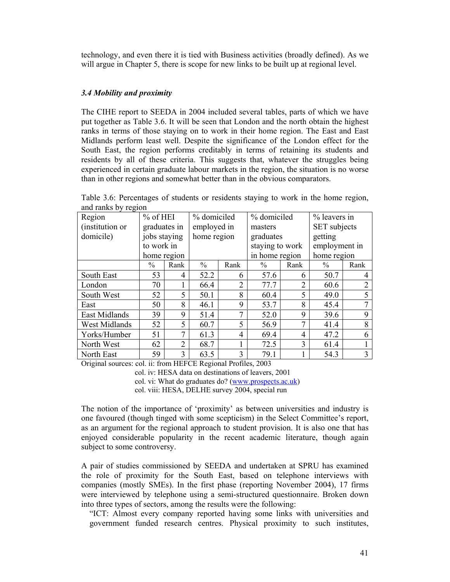technology, and even there it is tied with Business activities (broadly defined). As we will argue in Chapter 5, there is scope for new links to be built up at regional level.

# *3.4 Mobility and proximity*

The CIHE report to SEEDA in 2004 included several tables, parts of which we have put together as Table 3.6. It will be seen that London and the north obtain the highest ranks in terms of those staying on to work in their home region. The East and East Midlands perform least well. Despite the significance of the London effect for the South East, the region performs creditably in terms of retaining its students and residents by all of these criteria. This suggests that, whatever the struggles being experienced in certain graduate labour markets in the region, the situation is no worse than in other regions and somewhat better than in the obvious comparators.

|                      | aliu Talins vy Tegiuli |                |               |                |                 |                |                     |                |  |
|----------------------|------------------------|----------------|---------------|----------------|-----------------|----------------|---------------------|----------------|--|
| Region               | $%$ of HEI             |                | % domiciled   |                | % domiciled     |                | % leavers in        |                |  |
| (institution or      | graduates in           |                | employed in   |                | masters         |                | <b>SET</b> subjects |                |  |
| domicile)            | jobs staying           |                | home region   |                | graduates       |                | getting             |                |  |
|                      | to work in             |                |               |                | staying to work |                | employment in       |                |  |
|                      |                        | home region    |               |                | in home region  |                | home region         |                |  |
|                      | $\frac{0}{0}$          | Rank           | $\frac{0}{0}$ | Rank           | $\frac{0}{0}$   | Rank           | $\%$                | Rank           |  |
| South East           | 53                     | 4              | 52.2          | 6              | 57.6            | 6              | 50.7                | 4              |  |
| London               | 70                     |                | 66.4          | $\overline{2}$ | 77.7            | $\overline{2}$ | 60.6                | $\overline{2}$ |  |
| South West           | 52                     | 5              | 50.1          | 8              | 60.4            | 5              | 49.0                | 5              |  |
| East                 | 50                     | 8              | 46.1          | 9              | 53.7            | 8              | 45.4                | $\mathcal{I}$  |  |
| East Midlands        | 39                     | 9              | 51.4          | 7              | 52.0            | 9              | 39.6                | 9              |  |
| <b>West Midlands</b> | 52                     | 5              | 60.7          | 5              | 56.9            | 7              | 41.4                | 8              |  |
| Yorks/Humber         | 51                     | $\tau$         | 61.3<br>4     |                | 69.4            | 4              | 47.2                | 6              |  |
| North West           | 62                     | $\overline{2}$ | 68.7          |                | 72.5            | 3              | 61.4                |                |  |
| North East           | 59                     | 3              | 63.5          | 3              | 79.1            |                | 54.3                | 3              |  |

Table 3.6: Percentages of students or residents staying to work in the home region, and ranks by region

Original sources: col. ii: from HEFCE Regional Profiles, 2003

col. iv: HESA data on destinations of leavers, 2001

col. vi: What do graduates do? (www.prospects.ac.uk)

col. viii: HESA, DELHE survey 2004, special run

The notion of the importance of 'proximity' as between universities and industry is one favoured (though tinged with some scepticism) in the Select Committee's report, as an argument for the regional approach to student provision. It is also one that has enjoyed considerable popularity in the recent academic literature, though again subject to some controversy.

A pair of studies commissioned by SEEDA and undertaken at SPRU has examined the role of proximity for the South East, based on telephone interviews with companies (mostly SMEs). In the first phase (reporting November 2004), 17 firms were interviewed by telephone using a semi-structured questionnaire. Broken down into three types of sectors, among the results were the following:

"ICT: Almost every company reported having some links with universities and government funded research centres. Physical proximity to such institutes,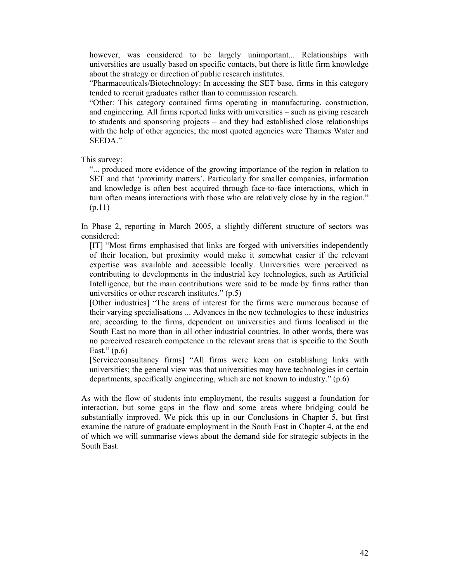however, was considered to be largely unimportant... Relationships with universities are usually based on specific contacts, but there is little firm knowledge about the strategy or direction of public research institutes.

"Pharmaceuticals/Biotechnology: In accessing the SET base, firms in this category tended to recruit graduates rather than to commission research.

"Other: This category contained firms operating in manufacturing, construction, and engineering. All firms reported links with universities – such as giving research to students and sponsoring projects – and they had established close relationships with the help of other agencies; the most quoted agencies were Thames Water and SEEDA."

This survey:

"... produced more evidence of the growing importance of the region in relation to SET and that 'proximity matters'. Particularly for smaller companies, information and knowledge is often best acquired through face-to-face interactions, which in turn often means interactions with those who are relatively close by in the region." (p.11)

In Phase 2, reporting in March 2005, a slightly different structure of sectors was considered:

[IT] "Most firms emphasised that links are forged with universities independently of their location, but proximity would make it somewhat easier if the relevant expertise was available and accessible locally. Universities were perceived as contributing to developments in the industrial key technologies, such as Artificial Intelligence, but the main contributions were said to be made by firms rather than universities or other research institutes." (p.5)

[Other industries] "The areas of interest for the firms were numerous because of their varying specialisations ... Advances in the new technologies to these industries are, according to the firms, dependent on universities and firms localised in the South East no more than in all other industrial countries. In other words, there was no perceived research competence in the relevant areas that is specific to the South East."  $(p.6)$ 

[Service/consultancy firms] "All firms were keen on establishing links with universities; the general view was that universities may have technologies in certain departments, specifically engineering, which are not known to industry." (p.6)

As with the flow of students into employment, the results suggest a foundation for interaction, but some gaps in the flow and some areas where bridging could be substantially improved. We pick this up in our Conclusions in Chapter 5, but first examine the nature of graduate employment in the South East in Chapter 4, at the end of which we will summarise views about the demand side for strategic subjects in the South East.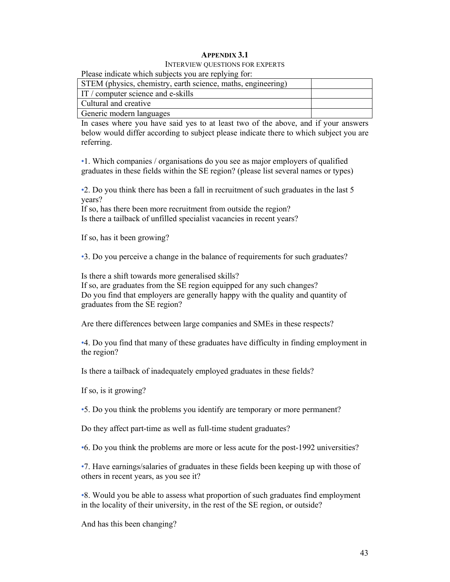## **APPENDIX 3.1**

## INTERVIEW QUESTIONS FOR EXPERTS

Please indicate which subjects you are replying for:

| STEM (physics, chemistry, earth science, maths, engineering) |  |
|--------------------------------------------------------------|--|
| IT / computer science and e-skills                           |  |
| Cultural and creative                                        |  |
| Generic modern languages                                     |  |

In cases where you have said yes to at least two of the above, and if your answers below would differ according to subject please indicate there to which subject you are referring.

•1. Which companies / organisations do you see as major employers of qualified graduates in these fields within the SE region? (please list several names or types)

•2. Do you think there has been a fall in recruitment of such graduates in the last 5 years?

If so, has there been more recruitment from outside the region? Is there a tailback of unfilled specialist vacancies in recent years?

If so, has it been growing?

•3. Do you perceive a change in the balance of requirements for such graduates?

Is there a shift towards more generalised skills?

If so, are graduates from the SE region equipped for any such changes? Do you find that employers are generally happy with the quality and quantity of graduates from the SE region?

Are there differences between large companies and SMEs in these respects?

•4. Do you find that many of these graduates have difficulty in finding employment in the region?

Is there a tailback of inadequately employed graduates in these fields?

If so, is it growing?

•5. Do you think the problems you identify are temporary or more permanent?

Do they affect part-time as well as full-time student graduates?

•6. Do you think the problems are more or less acute for the post-1992 universities?

•7. Have earnings/salaries of graduates in these fields been keeping up with those of others in recent years, as you see it?

•8. Would you be able to assess what proportion of such graduates find employment in the locality of their university, in the rest of the SE region, or outside?

And has this been changing?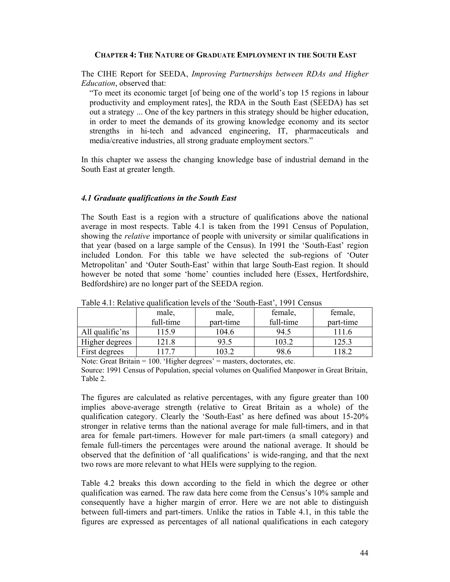## **CHAPTER 4: THE NATURE OF GRADUATE EMPLOYMENT IN THE SOUTH EAST**

The CIHE Report for SEEDA, *Improving Partnerships between RDAs and Higher Education*, observed that:

"To meet its economic target [of being one of the world's top 15 regions in labour productivity and employment rates], the RDA in the South East (SEEDA) has set out a strategy ... One of the key partners in this strategy should be higher education, in order to meet the demands of its growing knowledge economy and its sector strengths in hi-tech and advanced engineering, IT, pharmaceuticals and media/creative industries, all strong graduate employment sectors."

In this chapter we assess the changing knowledge base of industrial demand in the South East at greater length.

## *4.1 Graduate qualifications in the South East*

The South East is a region with a structure of qualifications above the national average in most respects. Table 4.1 is taken from the 1991 Census of Population, showing the *relative* importance of people with university or similar qualifications in that year (based on a large sample of the Census). In 1991 the 'South-East' region included London. For this table we have selected the sub-regions of 'Outer Metropolitan' and 'Outer South-East' within that large South-East region. It should however be noted that some 'home' counties included here (Essex, Hertfordshire, Bedfordshire) are no longer part of the SEEDA region.

|                 | male,     | male,     | female,   | female,   |  |  |  |  |
|-----------------|-----------|-----------|-----------|-----------|--|--|--|--|
|                 | full-time | part-time | full-time | part-time |  |  |  |  |
| All qualific'ns | 15.9      | 104.6     | 94.5      | 111.6     |  |  |  |  |
| Higher degrees  | 21.8      | 93.5      | 103.2     | 125.3     |  |  |  |  |
| First degrees   | 177       | 03.2      | 98.6      |           |  |  |  |  |

Table 4.1: Relative qualification levels of the 'South-East', 1991 Census

Note: Great Britain = 100. 'Higher degrees' = masters, doctorates, etc. Source: 1991 Census of Population, special volumes on Qualified Manpower in Great Britain, Table 2.

The figures are calculated as relative percentages, with any figure greater than 100 implies above-average strength (relative to Great Britain as a whole) of the qualification category. Clearly the 'South-East' as here defined was about 15-20% stronger in relative terms than the national average for male full-timers, and in that area for female part-timers. However for male part-timers (a small category) and female full-timers the percentages were around the national average. It should be observed that the definition of 'all qualifications' is wide-ranging, and that the next two rows are more relevant to what HEIs were supplying to the region.

Table 4.2 breaks this down according to the field in which the degree or other qualification was earned. The raw data here come from the Census's 10% sample and consequently have a higher margin of error. Here we are not able to distinguish between full-timers and part-timers. Unlike the ratios in Table 4.1, in this table the figures are expressed as percentages of all national qualifications in each category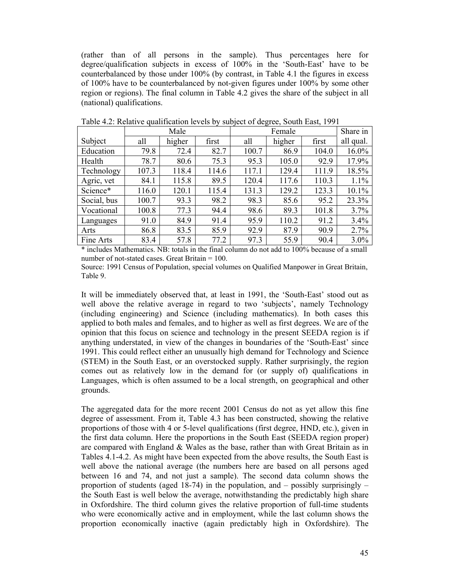(rather than of all persons in the sample). Thus percentages here for degree/qualification subjects in excess of 100% in the 'South-East' have to be counterbalanced by those under 100% (by contrast, in Table 4.1 the figures in excess of 100% have to be counterbalanced by not-given figures under 100% by some other region or regions). The final column in Table 4.2 gives the share of the subject in all (national) qualifications.

|             |       | Male   |       |       | Share in |       |           |
|-------------|-------|--------|-------|-------|----------|-------|-----------|
| Subject     | all   | higher | first | all   | higher   | first | all qual. |
| Education   | 79.8  | 72.4   | 82.7  | 100.7 | 86.9     | 104.0 | 16.0%     |
| Health      | 78.7  | 80.6   | 75.3  | 95.3  | 105.0    | 92.9  | 17.9%     |
| Technology  | 107.3 | 118.4  | 114.6 | 117.1 | 129.4    | 111.9 | 18.5%     |
| Agric, vet  | 84.1  | 115.8  | 89.5  | 120.4 | 117.6    | 110.3 | 1.1%      |
| Science*    | 116.0 | 120.1  | 115.4 | 131.3 | 129.2    | 123.3 | 10.1%     |
| Social, bus | 100.7 | 93.3   | 98.2  | 98.3  | 85.6     | 95.2  | 23.3%     |
| Vocational  | 100.8 | 77.3   | 94.4  | 98.6  | 89.3     | 101.8 | 3.7%      |
| Languages   | 91.0  | 84.9   | 91.4  | 95.9  | 110.2    | 91.2  | 3.4%      |
| Arts        | 86.8  | 83.5   | 85.9  | 92.9  | 87.9     | 90.9  | 2.7%      |
| Fine Arts   | 83.4  | 57.8   | 77.2  | 97.3  | 55.9     | 90.4  | 3.0%      |

Table 4.2: Relative qualification levels by subject of degree, South East, 1991

\* includes Mathematics. NB: totals in the final column do not add to 100% because of a small number of not-stated cases. Great Britain  $= 100$ .

Source: 1991 Census of Population, special volumes on Qualified Manpower in Great Britain, Table 9.

It will be immediately observed that, at least in 1991, the 'South-East' stood out as well above the relative average in regard to two 'subjects', namely Technology (including engineering) and Science (including mathematics). In both cases this applied to both males and females, and to higher as well as first degrees. We are of the opinion that this focus on science and technology in the present SEEDA region is if anything understated, in view of the changes in boundaries of the 'South-East' since 1991. This could reflect either an unusually high demand for Technology and Science (STEM) in the South East, or an overstocked supply. Rather surprisingly, the region comes out as relatively low in the demand for (or supply of) qualifications in Languages, which is often assumed to be a local strength, on geographical and other grounds.

The aggregated data for the more recent 2001 Census do not as yet allow this fine degree of assessment. From it, Table 4.3 has been constructed, showing the relative proportions of those with 4 or 5-level qualifications (first degree, HND, etc.), given in the first data column. Here the proportions in the South East (SEEDA region proper) are compared with England & Wales as the base, rather than with Great Britain as in Tables 4.1-4.2. As might have been expected from the above results, the South East is well above the national average (the numbers here are based on all persons aged between 16 and 74, and not just a sample). The second data column shows the proportion of students (aged 18-74) in the population, and  $-$  possibly surprisingly  $$ the South East is well below the average, notwithstanding the predictably high share in Oxfordshire. The third column gives the relative proportion of full-time students who were economically active and in employment, while the last column shows the proportion economically inactive (again predictably high in Oxfordshire). The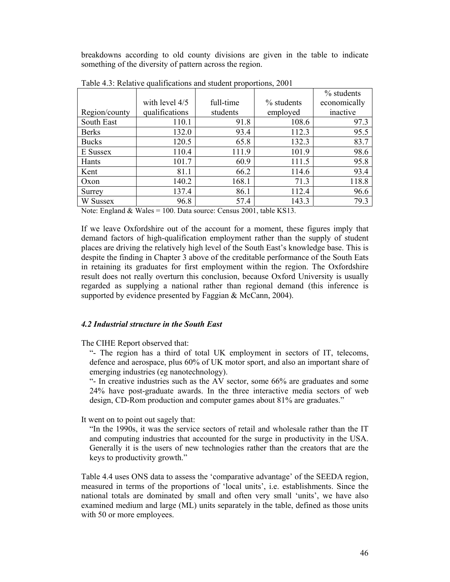breakdowns according to old county divisions are given in the table to indicate something of the diversity of pattern across the region.

|               |                |           |               | % students   |
|---------------|----------------|-----------|---------------|--------------|
|               | with level 4/5 | full-time | $\%$ students | economically |
| Region/county | qualifications | students  | employed      | inactive     |
| South East    | 110.1          | 91.8      | 108.6         | 97.3         |
| <b>Berks</b>  | 132.0          | 93.4      | 112.3         | 95.5         |
| <b>Bucks</b>  | 120.5          | 65.8      | 132.3         | 83.7         |
| E Sussex      | 110.4          | 111.9     | 101.9         | 98.6         |
| Hants         | 101.7          | 60.9      | 111.5         | 95.8         |
| Kent          | 81.1           | 66.2      | 114.6         | 93.4         |
| Oxon          | 140.2          | 168.1     | 71.3          | 118.8        |
| Surrey        | 137.4          | 86.1      | 112.4         | 96.6         |
| W Sussex      | 96.8           | 57.4      | 143.3         | 79.3         |

Table 4.3: Relative qualifications and student proportions, 2001

Note: England & Wales = 100. Data source: Census 2001, table KS13.

If we leave Oxfordshire out of the account for a moment, these figures imply that demand factors of high-qualification employment rather than the supply of student places are driving the relatively high level of the South East's knowledge base. This is despite the finding in Chapter 3 above of the creditable performance of the South Eats in retaining its graduates for first employment within the region. The Oxfordshire result does not really overturn this conclusion, because Oxford University is usually regarded as supplying a national rather than regional demand (this inference is supported by evidence presented by Faggian & McCann, 2004).

#### *4.2 Industrial structure in the South East*

The CIHE Report observed that:

"- The region has a third of total UK employment in sectors of IT, telecoms, defence and aerospace, plus 60% of UK motor sport, and also an important share of emerging industries (eg nanotechnology).

"- In creative industries such as the AV sector, some 66% are graduates and some 24% have post-graduate awards. In the three interactive media sectors of web design, CD-Rom production and computer games about 81% are graduates."

It went on to point out sagely that:

"In the 1990s, it was the service sectors of retail and wholesale rather than the IT and computing industries that accounted for the surge in productivity in the USA. Generally it is the users of new technologies rather than the creators that are the keys to productivity growth."

Table 4.4 uses ONS data to assess the 'comparative advantage' of the SEEDA region, measured in terms of the proportions of 'local units', i.e. establishments. Since the national totals are dominated by small and often very small 'units', we have also examined medium and large (ML) units separately in the table, defined as those units with 50 or more employees.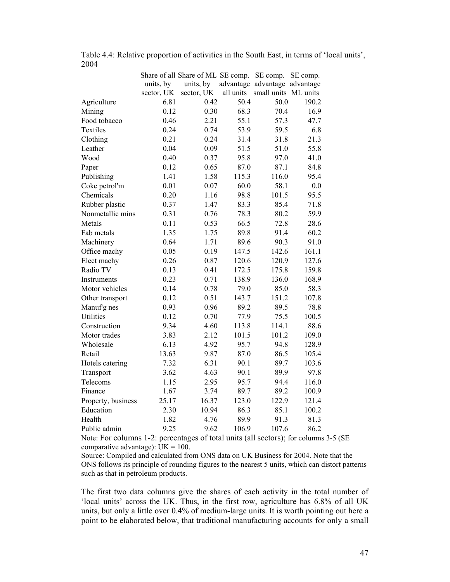|                    |            | Share of all Share of ML SE comp. |           | SE comp.                      | SE comp. |
|--------------------|------------|-----------------------------------|-----------|-------------------------------|----------|
|                    | units, by  | units, by                         |           | advantage advantage advantage |          |
|                    | sector, UK | sector, UK                        | all units | small units ML units          |          |
| Agriculture        | 6.81       | 0.42                              | 50.4      | 50.0                          | 190.2    |
| Mining             | 0.12       | 0.30                              | 68.3      | 70.4                          | 16.9     |
| Food tobacco       | 0.46       | 2.21                              | 55.1      | 57.3                          | 47.7     |
| Textiles           | 0.24       | 0.74                              | 53.9      | 59.5                          | 6.8      |
| Clothing           | 0.21       | 0.24                              | 31.4      | 31.8                          | 21.3     |
| Leather            | 0.04       | 0.09                              | 51.5      | 51.0                          | 55.8     |
| Wood               | 0.40       | 0.37                              | 95.8      | 97.0                          | 41.0     |
| Paper              | 0.12       | 0.65                              | 87.0      | 87.1                          | 84.8     |
| Publishing         | 1.41       | 1.58                              | 115.3     | 116.0                         | 95.4     |
| Coke petrol'm      | 0.01       | 0.07                              | 60.0      | 58.1                          | 0.0      |
| Chemicals          | 0.20       | 1.16                              | 98.8      | 101.5                         | 95.5     |
| Rubber plastic     | 0.37       | 1.47                              | 83.3      | 85.4                          | 71.8     |
| Nonmetallic mins   | 0.31       | 0.76                              | 78.3      | 80.2                          | 59.9     |
| Metals             | 0.11       | 0.53                              | 66.5      | 72.8                          | 28.6     |
| Fab metals         | 1.35       | 1.75                              | 89.8      | 91.4                          | 60.2     |
| Machinery          | 0.64       | 1.71                              | 89.6      | 90.3                          | 91.0     |
| Office machy       | 0.05       | 0.19                              | 147.5     | 142.6                         | 161.1    |
| Elect machy        | 0.26       | 0.87                              | 120.6     | 120.9                         | 127.6    |
| Radio TV           | 0.13       | 0.41                              | 172.5     | 175.8                         | 159.8    |
| Instruments        | 0.23       | 0.71                              | 138.9     | 136.0                         | 168.9    |
| Motor vehicles     | 0.14       | 0.78                              | 79.0      | 85.0                          | 58.3     |
| Other transport    | 0.12       | 0.51                              | 143.7     | 151.2                         | 107.8    |
| Manuf'g nes        | 0.93       | 0.96                              | 89.2      | 89.5                          | 78.8     |
| <b>Utilities</b>   | 0.12       | 0.70                              | 77.9      | 75.5                          | 100.5    |
| Construction       | 9.34       | 4.60                              | 113.8     | 114.1                         | 88.6     |
| Motor trades       | 3.83       | 2.12                              | 101.5     | 101.2                         | 109.0    |
| Wholesale          | 6.13       | 4.92                              | 95.7      | 94.8                          | 128.9    |
| Retail             | 13.63      | 9.87                              | 87.0      | 86.5                          | 105.4    |
| Hotels catering    | 7.32       | 6.31                              | 90.1      | 89.7                          | 103.6    |
| Transport          | 3.62       | 4.63                              | 90.1      | 89.9                          | 97.8     |
| Telecoms           | 1.15       | 2.95                              | 95.7      | 94.4                          | 116.0    |
| Finance            | 1.67       | 3.74                              | 89.7      | 89.2                          | 100.9    |
| Property, business | 25.17      | 16.37                             | 123.0     | 122.9                         | 121.4    |
| Education          | 2.30       | 10.94                             | 86.3      | 85.1                          | 100.2    |
| Health             | 1.82       | 4.76                              | 89.9      | 91.3                          | 81.3     |
| Public admin       | 9.25       | 9.62                              | 106.9     | 107.6                         | 86.2     |

Table 4.4: Relative proportion of activities in the South East, in terms of 'local units', 2004

Note: For columns 1-2: percentages of total units (all sectors); for columns 3-5 (SE comparative advantage):  $UK = 100$ .

Source: Compiled and calculated from ONS data on UK Business for 2004. Note that the ONS follows its principle of rounding figures to the nearest 5 units, which can distort patterns such as that in petroleum products.

The first two data columns give the shares of each activity in the total number of 'local units' across the UK. Thus, in the first row, agriculture has 6.8% of all UK units, but only a little over 0.4% of medium-large units. It is worth pointing out here a point to be elaborated below, that traditional manufacturing accounts for only a small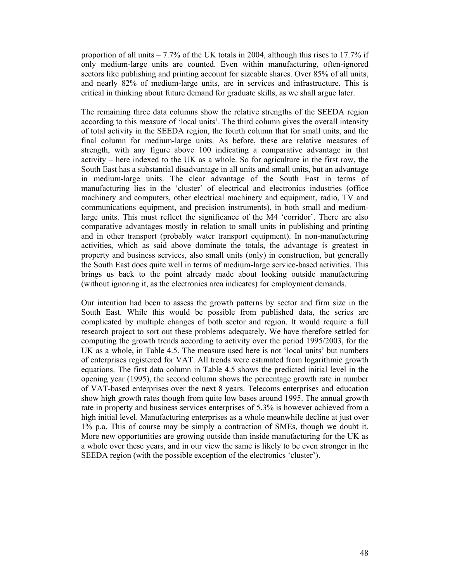proportion of all units  $-7.7\%$  of the UK totals in 2004, although this rises to 17.7% if only medium-large units are counted. Even within manufacturing, often-ignored sectors like publishing and printing account for sizeable shares. Over 85% of all units, and nearly 82% of medium-large units, are in services and infrastructure. This is critical in thinking about future demand for graduate skills, as we shall argue later.

The remaining three data columns show the relative strengths of the SEEDA region according to this measure of 'local units'. The third column gives the overall intensity of total activity in the SEEDA region, the fourth column that for small units, and the final column for medium-large units. As before, these are relative measures of strength, with any figure above 100 indicating a comparative advantage in that activity – here indexed to the UK as a whole. So for agriculture in the first row, the South East has a substantial disadvantage in all units and small units, but an advantage in medium-large units. The clear advantage of the South East in terms of manufacturing lies in the 'cluster' of electrical and electronics industries (office machinery and computers, other electrical machinery and equipment, radio, TV and communications equipment, and precision instruments), in both small and mediumlarge units. This must reflect the significance of the M4 'corridor'. There are also comparative advantages mostly in relation to small units in publishing and printing and in other transport (probably water transport equipment). In non-manufacturing activities, which as said above dominate the totals, the advantage is greatest in property and business services, also small units (only) in construction, but generally the South East does quite well in terms of medium-large service-based activities. This brings us back to the point already made about looking outside manufacturing (without ignoring it, as the electronics area indicates) for employment demands.

Our intention had been to assess the growth patterns by sector and firm size in the South East. While this would be possible from published data, the series are complicated by multiple changes of both sector and region. It would require a full research project to sort out these problems adequately. We have therefore settled for computing the growth trends according to activity over the period 1995/2003, for the UK as a whole, in Table 4.5. The measure used here is not 'local units' but numbers of enterprises registered for VAT. All trends were estimated from logarithmic growth equations. The first data column in Table 4.5 shows the predicted initial level in the opening year (1995), the second column shows the percentage growth rate in number of VAT-based enterprises over the next 8 years. Telecoms enterprises and education show high growth rates though from quite low bases around 1995. The annual growth rate in property and business services enterprises of 5.3% is however achieved from a high initial level. Manufacturing enterprises as a whole meanwhile decline at just over 1% p.a. This of course may be simply a contraction of SMEs, though we doubt it. More new opportunities are growing outside than inside manufacturing for the UK as a whole over these years, and in our view the same is likely to be even stronger in the SEEDA region (with the possible exception of the electronics 'cluster').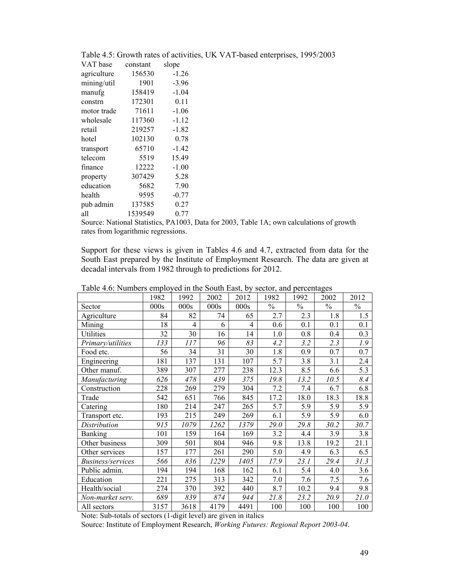| VAT base    | constant | slope   |
|-------------|----------|---------|
| agriculture | 156530   | $-1.26$ |
| mining/util | 1901     | $-3.96$ |
| manufg      | 158419   | $-1.04$ |
| constrn     | 172301   | 0.11    |
| motor trade | 71611    | $-1.06$ |
| wholesale   | 117360   | $-1.12$ |
| retail      | 219257   | $-1.82$ |
| hotel       | 102130   | 0.78    |
| transport   | 65710    | $-1.42$ |
| telecom     | 5519     | 15.49   |
| finance     | 12222    | $-1.00$ |
| property    | 307429   | 5.28    |
| education   | 5682     | 7.90    |
| health      | 9595     | $-0.77$ |
| pub admin   | 137585   | 0.27    |
| all         | 1539549  | 0.77    |

Table 4.5: Growth rates of activities, UK VAT-based enterprises, 1995/2003

Source: National Statistics, PA1003, Data for 2003, Table 1A; own calculations of growth rates from logarithmic regressions.

Support for these views is given in Tables 4.6 and 4.7, extracted from data for the South East prepared by the Institute of Employment Research. The data are given at decadal intervals from 1982 through to predictions for 2012.

|                          | 1982 | 1992           | 2002 | 2012 | 1982          | 1992          | 2002          | 2012             |
|--------------------------|------|----------------|------|------|---------------|---------------|---------------|------------------|
| Sector                   | 000s | 000s           | 000s | 000s | $\frac{0}{0}$ | $\frac{0}{0}$ | $\frac{0}{0}$ | $\frac{0}{0}$    |
| Agriculture              | 84   | 82             | 74   | 65   | 2.7           | 2.3           | 1.8           | 1.5              |
| Mining                   | 18   | $\overline{4}$ | 6    | 4    | 0.6           | 0.1           | 0.1           | 0.1              |
| <b>Utilities</b>         | 32   | 30             | 16   | 14   | 1.0           | 0.8           | 0.4           | 0.3              |
| Primary/utilities        | 133  | 117            | 96   | 83   | 4.2           | 3.2           | 2.3           | 1.9              |
| Food etc.                | 56   | 34             | 31   | 30   | 1.8           | 0.9           | 0.7           | 0.7              |
| Engineering              | 181  | 137            | 131  | 107  | 5.7           | 3.8           | 3.1           | 2.4              |
| Other manuf.             | 389  | 307            | 277  | 238  | 12.3          | 8.5           | 6.6           | $5.\overline{3}$ |
| Manufacturing            | 626  | 478            | 439  | 375  | 19.8          | 13.2          | 10.5          | 8.4              |
| Construction             | 228  | 269            | 279  | 304  | 7.2           | 7.4           | 6.7           | 6.8              |
| Trade                    | 542  | 651            | 766  | 845  | 17.2          | 18.0          | 18.3          | 18.8             |
| Catering                 | 180  | 214            | 247  | 265  | 5.7           | 5.9           | 5.9           | 5.9              |
| Transport etc.           | 193  | 215            | 249  | 269  | 6.1           | 5.9           | 5.9           | 6.0              |
| Distribution             | 915  | 1079           | 1262 | 1379 | 29.0          | 29.8          | 30.2          | 30.7             |
| <b>Banking</b>           | 101  | 159            | 164  | 169  | 3.2           | 4.4           | 3.9           | 3.8              |
| Other business           | 309  | 501            | 804  | 946  | 9.8           | 13.8          | 19.2          | 21.1             |
| Other services           | 157  | 177            | 261  | 290  | 5.0           | 4.9           | 6.3           | 6.5              |
| <b>Business/services</b> | 566  | 836            | 1229 | 1405 | 17.9          | 23.1          | 29.4          | 31.3             |
| Public admin.            | 194  | 194            | 168  | 162  | 6.1           | 5.4           | 4.0           | 3.6              |
| Education                | 221  | 275            | 313  | 342  | 7.0           | 7.6           | 7.5           | 7.6              |
| Health/social            | 274  | 370            | 392  | 440  | 8.7           | 10.2          | 9.4           | 9.8              |
| Non-market serv.         | 689  | 839            | 874  | 944  | 21.8          | 23.2          | 20.9          | 21.0             |
| All sectors              | 3157 | 3618           | 4179 | 4491 | 100           | 100           | 100           | 100              |

Table 4.6: Numbers employed in the South East, by sector, and percentages

Note: Sub-totals of sectors (1-digit level) are given in italics

Source: Institute of Employment Research, *Working Futures: Regional Report 2003-04*.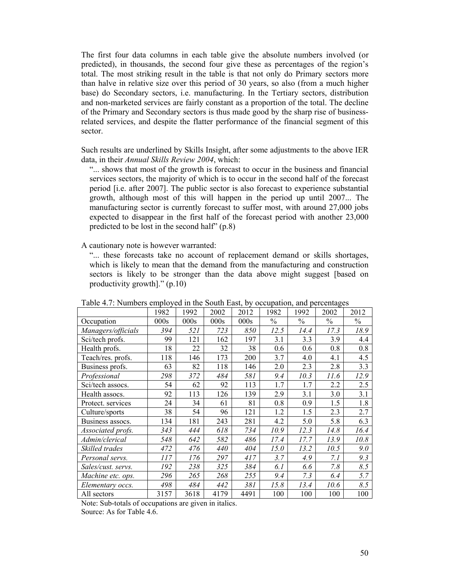The first four data columns in each table give the absolute numbers involved (or predicted), in thousands, the second four give these as percentages of the region's total. The most striking result in the table is that not only do Primary sectors more than halve in relative size over this period of 30 years, so also (from a much higher base) do Secondary sectors, i.e. manufacturing. In the Tertiary sectors, distribution and non-marketed services are fairly constant as a proportion of the total. The decline of the Primary and Secondary sectors is thus made good by the sharp rise of businessrelated services, and despite the flatter performance of the financial segment of this sector.

Such results are underlined by Skills Insight, after some adjustments to the above IER data, in their *Annual Skills Review 2004*, which:

"... shows that most of the growth is forecast to occur in the business and financial services sectors, the majority of which is to occur in the second half of the forecast period [i.e. after 2007]. The public sector is also forecast to experience substantial growth, although most of this will happen in the period up until 2007... The manufacturing sector is currently forecast to suffer most, with around 27,000 jobs expected to disappear in the first half of the forecast period with another 23,000 predicted to be lost in the second half" (p.8)

A cautionary note is however warranted:

"... these forecasts take no account of replacement demand or skills shortages, which is likely to mean that the demand from the manufacturing and construction sectors is likely to be stronger than the data above might suggest [based on productivity growth]." (p.10)

|                    | 1982 | 1992 | 2002 | 2012 | 1982          | 1992          | 2002          | 2012          |
|--------------------|------|------|------|------|---------------|---------------|---------------|---------------|
| Occupation         | 000s | 000s | 000s | 000s | $\frac{0}{0}$ | $\frac{0}{0}$ | $\frac{0}{0}$ | $\frac{0}{0}$ |
| Managers/officials | 394  | 521  | 723  | 850  | 12.5          | 14.4          | 17.3          | 18.9          |
| Sci/tech profs.    | 99   | 121  | 162  | 197  | 3.1           | 3.3           | 3.9           | 4.4           |
| Health profs.      | 18   | 22   | 32   | 38   | 0.6           | 0.6           | 0.8           | 0.8           |
| Teach/res. profs.  | 118  | 146  | 173  | 200  | 3.7           | 4.0           | 4.1           | 4.5           |
| Business profs.    | 63   | 82   | 118  | 146  | 2.0           | 2.3           | 2.8           | 3.3           |
| Professional       | 298  | 372  | 484  | 581  | 9.4           | 10.3          | 11.6          | 12.9          |
| Sci/tech assocs.   | 54   | 62   | 92   | 113  | 1.7           | 1.7           | 2.2           | 2.5           |
| Health assocs.     | 92   | 113  | 126  | 139  | 2.9           | 3.1           | 3.0           | 3.1           |
| Protect. services  | 24   | 34   | 61   | 81   | 0.8           | 0.9           | 1.5           | 1.8           |
| Culture/sports     | 38   | 54   | 96   | 121  | 1.2           | 1.5           | 2.3           | 2.7           |
| Business assocs.   | 134  | 181  | 243  | 281  | 4.2           | 5.0           | 5.8           | 6.3           |
| Associated profs.  | 343  | 444  | 618  | 734  | 10.9          | 12.3          | 14.8          | 16.4          |
| Admin/clerical     | 548  | 642  | 582  | 486  | 17.4          | 17.7          | 13.9          | 10.8          |
| Skilled trades     | 472  | 476  | 440  | 404  | 15.0          | 13.2          | 10.5          | 9.0           |
| Personal servs.    | 117  | 176  | 297  | 417  | 3.7           | 4.9           | 7.1           | 9.3           |
| Sales/cust. servs. | 192  | 238  | 325  | 384  | 6.1           | 6.6           | 7.8           | 8.5           |
| Machine etc. ops.  | 296  | 265  | 268  | 255  | 9.4           | 7.3           | 6.4           | 5.7           |
| Elementary occs.   | 498  | 484  | 442  | 381  | 15.8          | 13.4          | 10.6          | 8.5           |
| All sectors        | 3157 | 3618 | 4179 | 4491 | 100           | 100           | 100           | 100           |

Table 4.7: Numbers employed in the South East, by occupation, and percentages

Note: Sub-totals of occupations are given in italics. Source: As for Table 4.6.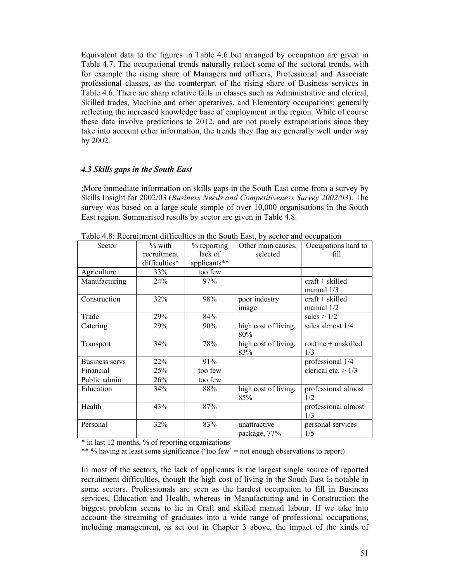Equivalent data to the figures in Table 4.6 but arranged by occupation are given in Table 4.7. The occupational trends naturally reflect some of the sectoral trends, with for example the rising share of Managers and officers, Professional and Associate professional classes, as the counterpart of the rising share of Business services in Table 4.6. There are sharp relative falls in classes such as Administrative and clerical, Skilled trades, Machine and other operatives, and Elementary occupations; generally reflecting the increased knowledge base of employment in the region. While of course these data involve predictions to 2012, and are not purely extrapolations since they take into account other information, the trends they flag are generally well under way by 2002.

## *4.3 Skills gaps in the South East*

;More immediate information on skills gaps in the South East come from a survey by Skills Insight for 2002/03 (*Business Needs and Competitiveness Survey 2002/03*). The survey was based on a large-scale sample of over 10,000 organisations in the South East region. Summarised results by sector are given in Table 4.8.

| Sector                | $%$ with<br>recruitment<br>difficulties* | $%$ reporting<br>lack of<br>applicants** | Other main causes,<br>selected | Occupations hard to<br>fill       |
|-----------------------|------------------------------------------|------------------------------------------|--------------------------------|-----------------------------------|
| Agriculture           | 33%                                      | too few                                  |                                |                                   |
| Manufacturing         | 24%                                      | 97%                                      |                                | $craft + skilled$<br>manual $1/3$ |
| Construction          | 32%                                      | 98%                                      | poor industry<br><i>image</i>  | $craft + skilled$<br>manual 1/2   |
| Trade                 | 29%                                      | 84%                                      |                                | sales $> 1/2$                     |
| Catering              | 29%                                      | 90%                                      | high cost of living,<br>80%    | sales almost 1/4                  |
| Transport             | 34%                                      | 78%                                      | high cost of living,<br>83%    | routine + unskilled<br>1/3        |
| <b>Business servs</b> | 22%                                      | 91%                                      |                                | professional 1/4                  |
| Financial             | 25%                                      | too few                                  |                                | clerical etc. $> 1/3$             |
| Public admin          | 26%                                      | too few                                  |                                |                                   |
| Education             | 34%                                      | 88%                                      | high cost of living,<br>85%    | professional almost<br>1/2        |
| Health                | 43%                                      | 87%                                      |                                | professional almost<br>1/3        |
| Personal              | 32%                                      | 83%                                      | unattractive<br>package, 77%   | personal services<br>1/5          |

Table 4.8: Recruitment difficulties in the South East, by sector and occupation

\* in last 12 months, % of reporting organizations

\*\* % having at least some significance ('too few' = not enough observations to report)

In most of the sectors, the lack of applicants is the largest single source of reported recruitment difficulties, though the high cost of living in the South East is notable in some sectors. Professionals are seen as the hardest occupation to fill in Business services, Education and Health, whereas in Manufacturing and in Construction the biggest problem seems to lie in Craft and skilled manual labour. If we take into account the streaming of graduates into a wide range of professional occupations, including management, as set out in Chapter 3 above, the impact of the kinds of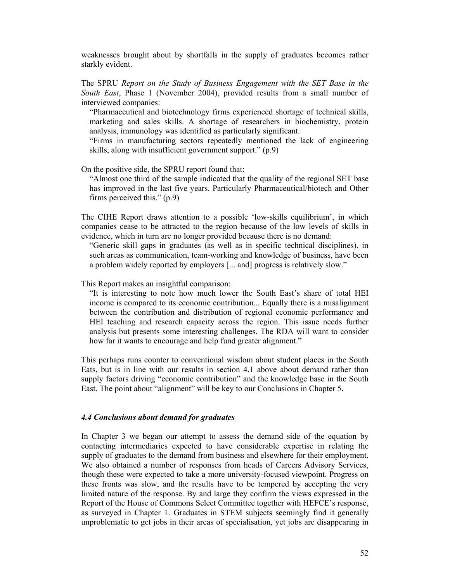weaknesses brought about by shortfalls in the supply of graduates becomes rather starkly evident.

The SPRU *Report on the Study of Business Engagement with the SET Base in the South East*, Phase 1 (November 2004), provided results from a small number of interviewed companies:

"Pharmaceutical and biotechnology firms experienced shortage of technical skills, marketing and sales skills. A shortage of researchers in biochemistry, protein analysis, immunology was identified as particularly significant.

"Firms in manufacturing sectors repeatedly mentioned the lack of engineering skills, along with insufficient government support." (p.9)

On the positive side, the SPRU report found that:

"Almost one third of the sample indicated that the quality of the regional SET base has improved in the last five years. Particularly Pharmaceutical/biotech and Other firms perceived this." (p.9)

The CIHE Report draws attention to a possible 'low-skills equilibrium', in which companies cease to be attracted to the region because of the low levels of skills in evidence, which in turn are no longer provided because there is no demand:

"Generic skill gaps in graduates (as well as in specific technical disciplines), in such areas as communication, team-working and knowledge of business, have been a problem widely reported by employers [... and] progress is relatively slow."

This Report makes an insightful comparison:

"It is interesting to note how much lower the South East's share of total HEI income is compared to its economic contribution... Equally there is a misalignment between the contribution and distribution of regional economic performance and HEI teaching and research capacity across the region. This issue needs further analysis but presents some interesting challenges. The RDA will want to consider how far it wants to encourage and help fund greater alignment."

This perhaps runs counter to conventional wisdom about student places in the South Eats, but is in line with our results in section 4.1 above about demand rather than supply factors driving "economic contribution" and the knowledge base in the South East. The point about "alignment" will be key to our Conclusions in Chapter 5.

#### *4.4 Conclusions about demand for graduates*

In Chapter 3 we began our attempt to assess the demand side of the equation by contacting intermediaries expected to have considerable expertise in relating the supply of graduates to the demand from business and elsewhere for their employment. We also obtained a number of responses from heads of Careers Advisory Services, though these were expected to take a more university-focused viewpoint. Progress on these fronts was slow, and the results have to be tempered by accepting the very limited nature of the response. By and large they confirm the views expressed in the Report of the House of Commons Select Committee together with HEFCE's response, as surveyed in Chapter 1. Graduates in STEM subjects seemingly find it generally unproblematic to get jobs in their areas of specialisation, yet jobs are disappearing in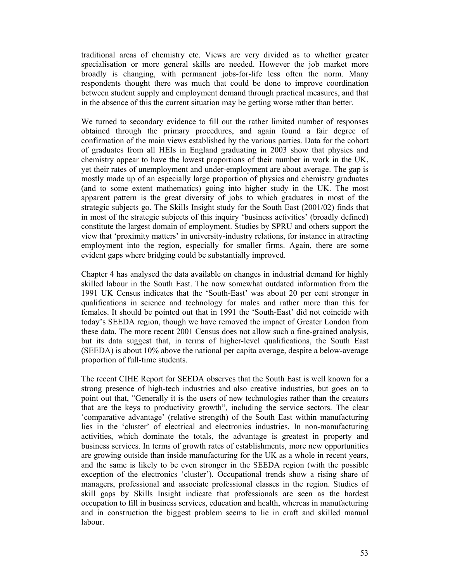traditional areas of chemistry etc. Views are very divided as to whether greater specialisation or more general skills are needed. However the job market more broadly is changing, with permanent jobs-for-life less often the norm. Many respondents thought there was much that could be done to improve coordination between student supply and employment demand through practical measures, and that in the absence of this the current situation may be getting worse rather than better.

We turned to secondary evidence to fill out the rather limited number of responses obtained through the primary procedures, and again found a fair degree of confirmation of the main views established by the various parties. Data for the cohort of graduates from all HEIs in England graduating in 2003 show that physics and chemistry appear to have the lowest proportions of their number in work in the UK, yet their rates of unemployment and under-employment are about average. The gap is mostly made up of an especially large proportion of physics and chemistry graduates (and to some extent mathematics) going into higher study in the UK. The most apparent pattern is the great diversity of jobs to which graduates in most of the strategic subjects go. The Skills Insight study for the South East (2001/02) finds that in most of the strategic subjects of this inquiry 'business activities' (broadly defined) constitute the largest domain of employment. Studies by SPRU and others support the view that 'proximity matters' in university-industry relations, for instance in attracting employment into the region, especially for smaller firms. Again, there are some evident gaps where bridging could be substantially improved.

Chapter 4 has analysed the data available on changes in industrial demand for highly skilled labour in the South East. The now somewhat outdated information from the 1991 UK Census indicates that the 'South-East' was about 20 per cent stronger in qualifications in science and technology for males and rather more than this for females. It should be pointed out that in 1991 the 'South-East' did not coincide with today's SEEDA region, though we have removed the impact of Greater London from these data. The more recent 2001 Census does not allow such a fine-grained analysis, but its data suggest that, in terms of higher-level qualifications, the South East (SEEDA) is about 10% above the national per capita average, despite a below-average proportion of full-time students.

The recent CIHE Report for SEEDA observes that the South East is well known for a strong presence of high-tech industries and also creative industries, but goes on to point out that, "Generally it is the users of new technologies rather than the creators that are the keys to productivity growth", including the service sectors. The clear 'comparative advantage' (relative strength) of the South East within manufacturing lies in the 'cluster' of electrical and electronics industries. In non-manufacturing activities, which dominate the totals, the advantage is greatest in property and business services. In terms of growth rates of establishments, more new opportunities are growing outside than inside manufacturing for the UK as a whole in recent years, and the same is likely to be even stronger in the SEEDA region (with the possible exception of the electronics 'cluster'). Occupational trends show a rising share of managers, professional and associate professional classes in the region. Studies of skill gaps by Skills Insight indicate that professionals are seen as the hardest occupation to fill in business services, education and health, whereas in manufacturing and in construction the biggest problem seems to lie in craft and skilled manual labour.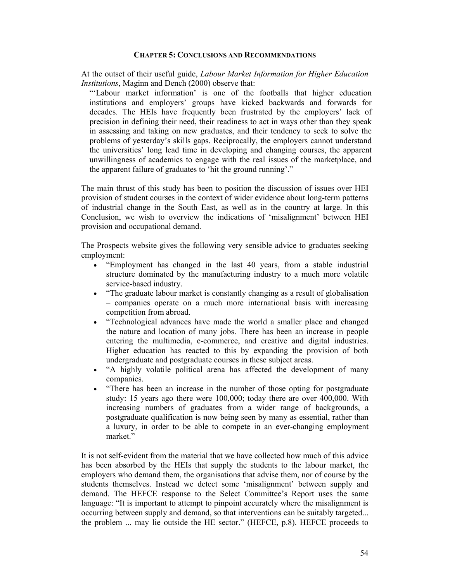## **CHAPTER 5: CONCLUSIONS AND RECOMMENDATIONS**

At the outset of their useful guide, *Labour Market Information for Higher Education Institutions*, Maginn and Dench (2000) observe that:

"'Labour market information' is one of the footballs that higher education institutions and employers' groups have kicked backwards and forwards for decades. The HEIs have frequently been frustrated by the employers' lack of precision in defining their need, their readiness to act in ways other than they speak in assessing and taking on new graduates, and their tendency to seek to solve the problems of yesterday's skills gaps. Reciprocally, the employers cannot understand the universities' long lead time in developing and changing courses, the apparent unwillingness of academics to engage with the real issues of the marketplace, and the apparent failure of graduates to 'hit the ground running'."

The main thrust of this study has been to position the discussion of issues over HEI provision of student courses in the context of wider evidence about long-term patterns of industrial change in the South East, as well as in the country at large. In this Conclusion, we wish to overview the indications of 'misalignment' between HEI provision and occupational demand.

The Prospects website gives the following very sensible advice to graduates seeking employment:

- "Employment has changed in the last 40 years, from a stable industrial structure dominated by the manufacturing industry to a much more volatile service-based industry.
- "The graduate labour market is constantly changing as a result of globalisation – companies operate on a much more international basis with increasing competition from abroad.
- "Technological advances have made the world a smaller place and changed the nature and location of many jobs. There has been an increase in people entering the multimedia, e-commerce, and creative and digital industries. Higher education has reacted to this by expanding the provision of both undergraduate and postgraduate courses in these subject areas.
- "A highly volatile political arena has affected the development of many companies.
- "There has been an increase in the number of those opting for postgraduate study: 15 years ago there were 100,000; today there are over 400,000. With increasing numbers of graduates from a wider range of backgrounds, a postgraduate qualification is now being seen by many as essential, rather than a luxury, in order to be able to compete in an ever-changing employment market."

It is not self-evident from the material that we have collected how much of this advice has been absorbed by the HEIs that supply the students to the labour market, the employers who demand them, the organisations that advise them, nor of course by the students themselves. Instead we detect some 'misalignment' between supply and demand. The HEFCE response to the Select Committee's Report uses the same language: "It is important to attempt to pinpoint accurately where the misalignment is occurring between supply and demand, so that interventions can be suitably targeted... the problem ... may lie outside the HE sector." (HEFCE, p.8). HEFCE proceeds to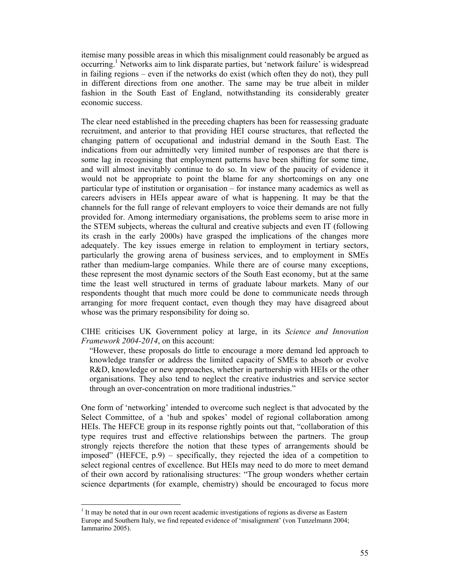itemise many possible areas in which this misalignment could reasonably be argued as occurring.<sup>1</sup> Networks aim to link disparate parties, but 'network failure' is widespread in failing regions – even if the networks do exist (which often they do not), they pull in different directions from one another. The same may be true albeit in milder fashion in the South East of England, notwithstanding its considerably greater economic success.

The clear need established in the preceding chapters has been for reassessing graduate recruitment, and anterior to that providing HEI course structures, that reflected the changing pattern of occupational and industrial demand in the South East. The indications from our admittedly very limited number of responses are that there is some lag in recognising that employment patterns have been shifting for some time, and will almost inevitably continue to do so. In view of the paucity of evidence it would not be appropriate to point the blame for any shortcomings on any one particular type of institution or organisation – for instance many academics as well as careers advisers in HEIs appear aware of what is happening. It may be that the channels for the full range of relevant employers to voice their demands are not fully provided for. Among intermediary organisations, the problems seem to arise more in the STEM subjects, whereas the cultural and creative subjects and even IT (following its crash in the early 2000s) have grasped the implications of the changes more adequately. The key issues emerge in relation to employment in tertiary sectors, particularly the growing arena of business services, and to employment in SMEs rather than medium-large companies. While there are of course many exceptions, these represent the most dynamic sectors of the South East economy, but at the same time the least well structured in terms of graduate labour markets. Many of our respondents thought that much more could be done to communicate needs through arranging for more frequent contact, even though they may have disagreed about whose was the primary responsibility for doing so.

CIHE criticises UK Government policy at large, in its *Science and Innovation Framework 2004-2014*, on this account:

"However, these proposals do little to encourage a more demand led approach to knowledge transfer or address the limited capacity of SMEs to absorb or evolve R&D, knowledge or new approaches, whether in partnership with HEIs or the other organisations. They also tend to neglect the creative industries and service sector through an over-concentration on more traditional industries."

One form of 'networking' intended to overcome such neglect is that advocated by the Select Committee, of a 'hub and spokes' model of regional collaboration among HEIs. The HEFCE group in its response rightly points out that, "collaboration of this type requires trust and effective relationships between the partners. The group strongly rejects therefore the notion that these types of arrangements should be imposed" (HEFCE, p.9) – specifically, they rejected the idea of a competition to select regional centres of excellence. But HEIs may need to do more to meet demand of their own accord by rationalising structures: "The group wonders whether certain science departments (for example, chemistry) should be encouraged to focus more

<sup>&</sup>lt;sup>1</sup> It may be noted that in our own recent academic investigations of regions as diverse as Eastern Europe and Southern Italy, we find repeated evidence of 'misalignment' (von Tunzelmann 2004; Iammarino 2005).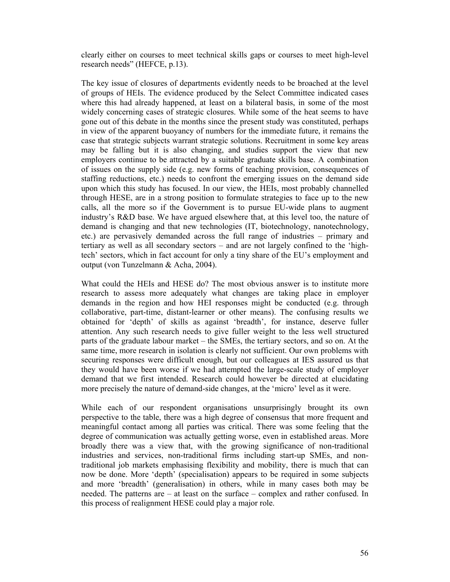clearly either on courses to meet technical skills gaps or courses to meet high-level research needs" (HEFCE, p.13).

The key issue of closures of departments evidently needs to be broached at the level of groups of HEIs. The evidence produced by the Select Committee indicated cases where this had already happened, at least on a bilateral basis, in some of the most widely concerning cases of strategic closures. While some of the heat seems to have gone out of this debate in the months since the present study was constituted, perhaps in view of the apparent buoyancy of numbers for the immediate future, it remains the case that strategic subjects warrant strategic solutions. Recruitment in some key areas may be falling but it is also changing, and studies support the view that new employers continue to be attracted by a suitable graduate skills base. A combination of issues on the supply side (e.g. new forms of teaching provision, consequences of staffing reductions, etc.) needs to confront the emerging issues on the demand side upon which this study has focused. In our view, the HEIs, most probably channelled through HESE, are in a strong position to formulate strategies to face up to the new calls, all the more so if the Government is to pursue EU-wide plans to augment industry's R&D base. We have argued elsewhere that, at this level too, the nature of demand is changing and that new technologies (IT, biotechnology, nanotechnology, etc.) are pervasively demanded across the full range of industries – primary and tertiary as well as all secondary sectors – and are not largely confined to the 'hightech' sectors, which in fact account for only a tiny share of the EU's employment and output (von Tunzelmann & Acha, 2004).

What could the HEIs and HESE do? The most obvious answer is to institute more research to assess more adequately what changes are taking place in employer demands in the region and how HEI responses might be conducted (e.g. through collaborative, part-time, distant-learner or other means). The confusing results we obtained for 'depth' of skills as against 'breadth', for instance, deserve fuller attention. Any such research needs to give fuller weight to the less well structured parts of the graduate labour market – the SMEs, the tertiary sectors, and so on. At the same time, more research in isolation is clearly not sufficient. Our own problems with securing responses were difficult enough, but our colleagues at IES assured us that they would have been worse if we had attempted the large-scale study of employer demand that we first intended. Research could however be directed at elucidating more precisely the nature of demand-side changes, at the 'micro' level as it were.

While each of our respondent organisations unsurprisingly brought its own perspective to the table, there was a high degree of consensus that more frequent and meaningful contact among all parties was critical. There was some feeling that the degree of communication was actually getting worse, even in established areas. More broadly there was a view that, with the growing significance of non-traditional industries and services, non-traditional firms including start-up SMEs, and nontraditional job markets emphasising flexibility and mobility, there is much that can now be done. More 'depth' (specialisation) appears to be required in some subjects and more 'breadth' (generalisation) in others, while in many cases both may be needed. The patterns are – at least on the surface – complex and rather confused. In this process of realignment HESE could play a major role.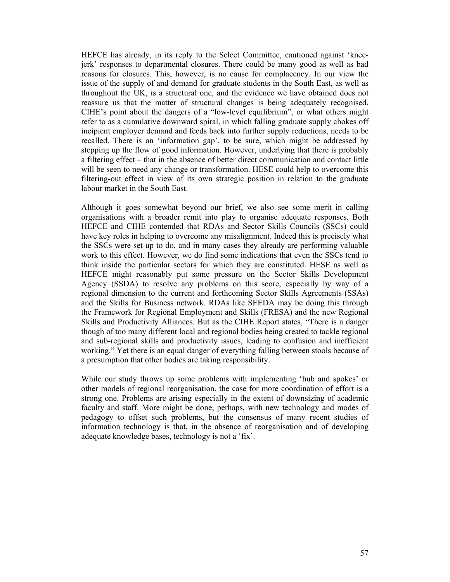HEFCE has already, in its reply to the Select Committee, cautioned against 'kneejerk' responses to departmental closures. There could be many good as well as bad reasons for closures. This, however, is no cause for complacency. In our view the issue of the supply of and demand for graduate students in the South East, as well as throughout the UK, is a structural one, and the evidence we have obtained does not reassure us that the matter of structural changes is being adequately recognised. CIHE's point about the dangers of a "low-level equilibrium", or what others might refer to as a cumulative downward spiral, in which falling graduate supply chokes off incipient employer demand and feeds back into further supply reductions, needs to be recalled. There is an 'information gap', to be sure, which might be addressed by stepping up the flow of good information. However, underlying that there is probably a filtering effect – that in the absence of better direct communication and contact little will be seen to need any change or transformation. HESE could help to overcome this filtering-out effect in view of its own strategic position in relation to the graduate labour market in the South East.

Although it goes somewhat beyond our brief, we also see some merit in calling organisations with a broader remit into play to organise adequate responses. Both HEFCE and CIHE contended that RDAs and Sector Skills Councils (SSCs) could have key roles in helping to overcome any misalignment. Indeed this is precisely what the SSCs were set up to do, and in many cases they already are performing valuable work to this effect. However, we do find some indications that even the SSCs tend to think inside the particular sectors for which they are constituted. HESE as well as HEFCE might reasonably put some pressure on the Sector Skills Development Agency (SSDA) to resolve any problems on this score, especially by way of a regional dimension to the current and forthcoming Sector Skills Agreements (SSAs) and the Skills for Business network. RDAs like SEEDA may be doing this through the Framework for Regional Employment and Skills (FRESA) and the new Regional Skills and Productivity Alliances. But as the CIHE Report states, "There is a danger though of too many different local and regional bodies being created to tackle regional and sub-regional skills and productivity issues, leading to confusion and inefficient working." Yet there is an equal danger of everything falling between stools because of a presumption that other bodies are taking responsibility.

While our study throws up some problems with implementing 'hub and spokes' or other models of regional reorganisation, the case for more coordination of effort is a strong one. Problems are arising especially in the extent of downsizing of academic faculty and staff. More might be done, perhaps, with new technology and modes of pedagogy to offset such problems, but the consensus of many recent studies of information technology is that, in the absence of reorganisation and of developing adequate knowledge bases, technology is not a 'fix'.